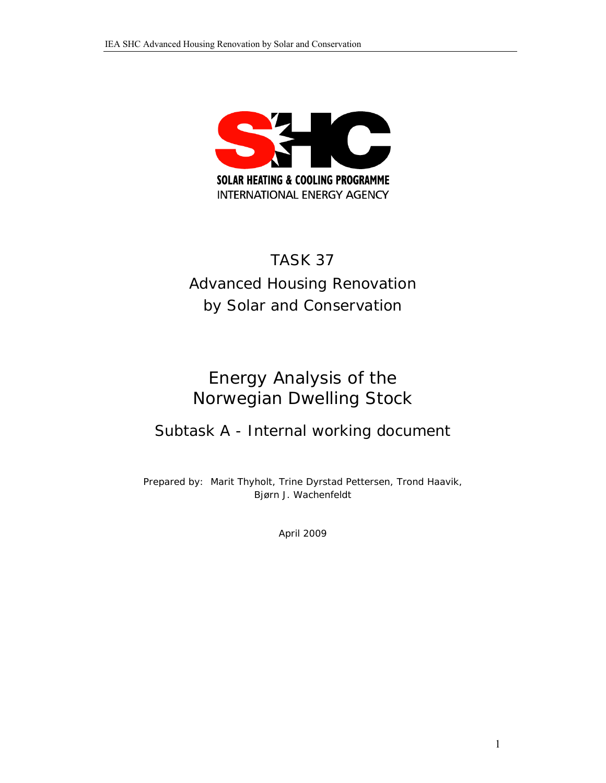

# TASK 37 Advanced Housing Renovation by Solar and Conservation

# Energy Analysis of the Norwegian Dwelling Stock

# Subtask A - Internal working document

Prepared by: Marit Thyholt, Trine Dyrstad Pettersen, Trond Haavik, Bjørn J. Wachenfeldt

April 2009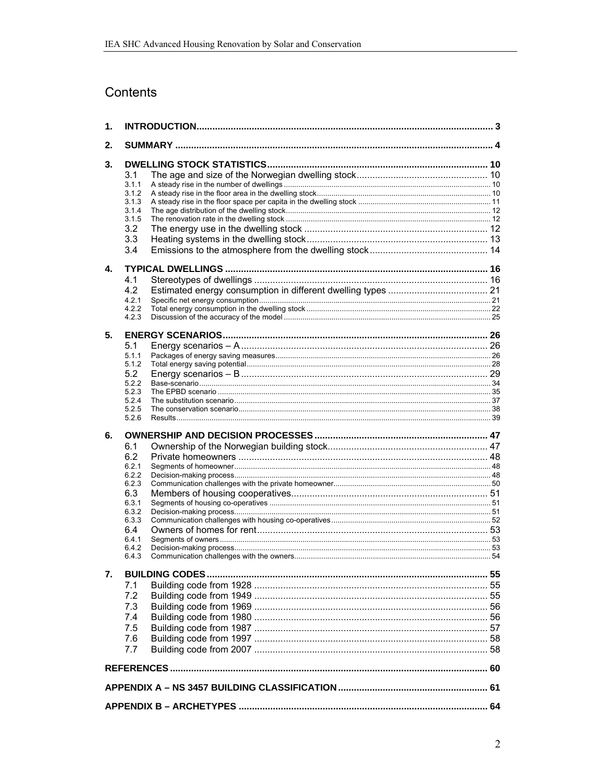# Contents

| 1. |                |  |
|----|----------------|--|
| 2. |                |  |
| 3. |                |  |
|    | 3.1            |  |
|    | 3.1.1          |  |
|    | 3.1.2          |  |
|    | 3.1.3<br>3.1.4 |  |
|    | 3.1.5          |  |
|    | 3.2            |  |
|    | 3.3            |  |
|    | 3.4            |  |
| 4. |                |  |
|    | 4.1            |  |
|    | 4.2            |  |
|    | 4.2.1          |  |
|    | 4.2.2          |  |
|    | 4.2.3          |  |
| 5. |                |  |
|    | 5.1            |  |
|    | 5.1.1          |  |
|    | 5.1.2<br>5.2   |  |
|    | 5.2.2          |  |
|    | 5.2.3          |  |
|    | 5.2.4          |  |
|    | 5.2.5<br>5.2.6 |  |
|    |                |  |
| 6. |                |  |
|    | 6.1            |  |
|    | 6.2            |  |
|    | 6.2.1<br>6.2.2 |  |
|    | 6.2.3          |  |
|    | 6.3            |  |
|    | 6.3.1          |  |
|    | 6.3.2          |  |
|    | 6.3.3          |  |
|    | 6.4<br>6.4.1   |  |
|    | 6.4.2          |  |
|    | 6.4.3          |  |
| 7. |                |  |
|    | 7.1            |  |
|    | 7.2            |  |
|    | 7.3            |  |
|    | 7.4            |  |
|    | 7.5            |  |
|    | 7.6            |  |
|    | 7.7            |  |
|    |                |  |
|    |                |  |
|    |                |  |
|    |                |  |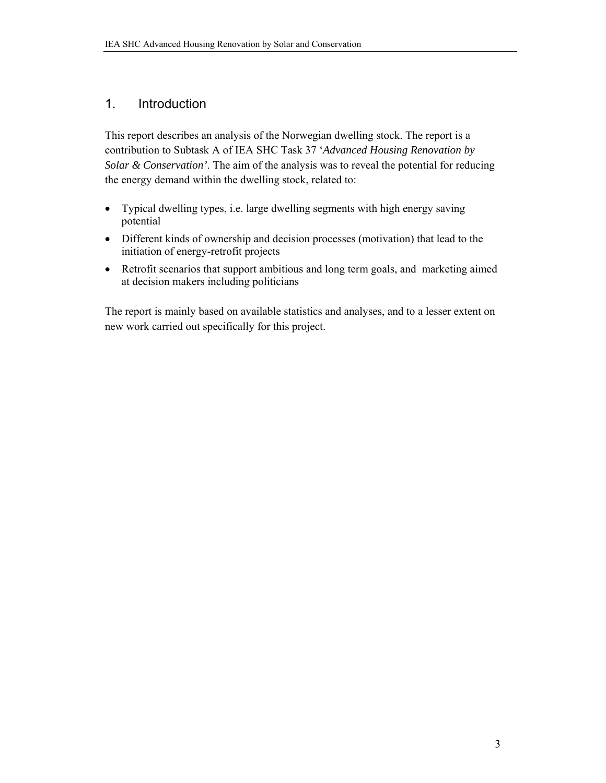### 1. Introduction

This report describes an analysis of the Norwegian dwelling stock. The report is a contribution to Subtask A of IEA SHC Task 37 '*Advanced Housing Renovation by Solar & Conservation'*. The aim of the analysis was to reveal the potential for reducing the energy demand within the dwelling stock, related to:

- Typical dwelling types, i.e. large dwelling segments with high energy saving potential
- Different kinds of ownership and decision processes (motivation) that lead to the initiation of energy-retrofit projects
- Retrofit scenarios that support ambitious and long term goals, and marketing aimed at decision makers including politicians

The report is mainly based on available statistics and analyses, and to a lesser extent on new work carried out specifically for this project.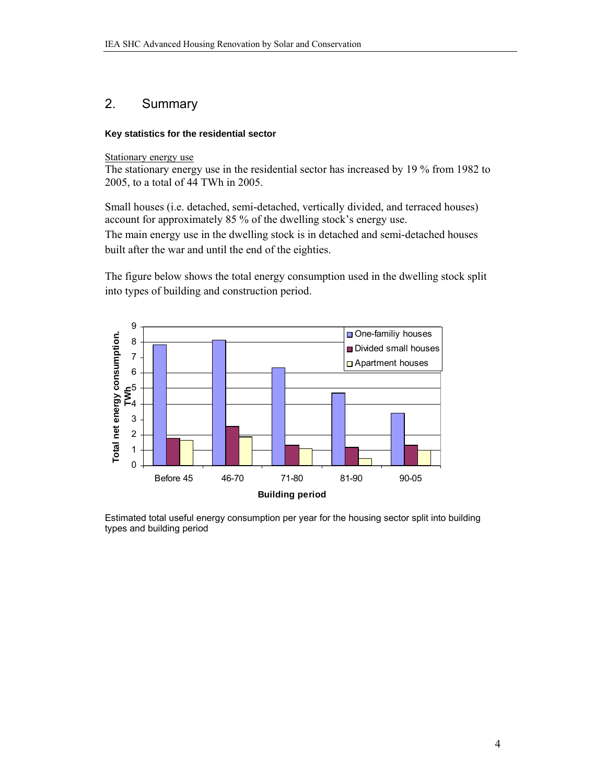### 2. Summary

#### **Key statistics for the residential sector**

Stationary energy use

The stationary energy use in the residential sector has increased by 19 % from 1982 to 2005, to a total of 44 TWh in 2005.

Small houses (i.e. detached, semi-detached, vertically divided, and terraced houses) account for approximately 85 % of the dwelling stock's energy use. The main energy use in the dwelling stock is in detached and semi-detached houses built after the war and until the end of the eighties.

The figure below shows the total energy consumption used in the dwelling stock split into types of building and construction period.



Estimated total useful energy consumption per year for the housing sector split into building types and building period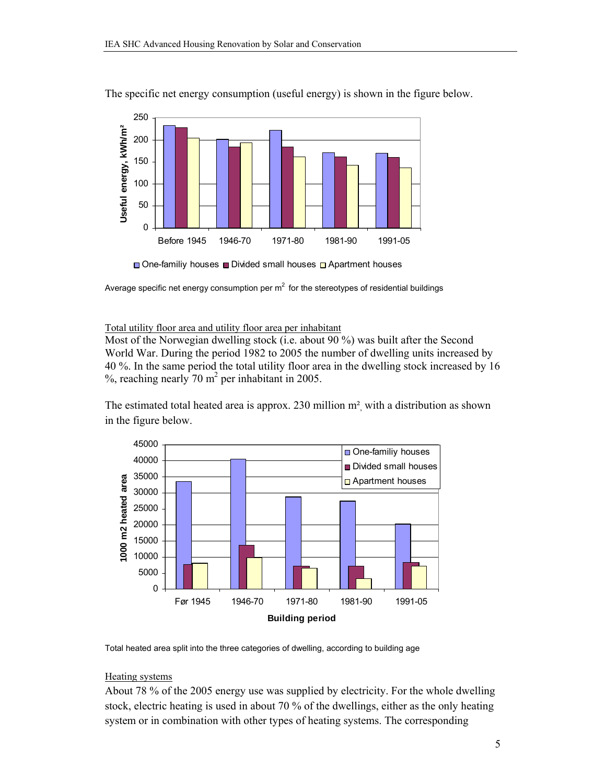

The specific net energy consumption (useful energy) is shown in the figure below.

 $\Box$  One-familiy houses  $\Box$  Divided small houses  $\Box$  Apartment houses

Average specific net energy consumption per  $m^2$  for the stereotypes of residential buildings

Total utility floor area and utility floor area per inhabitant

Most of the Norwegian dwelling stock (i.e. about 90 %) was built after the Second World War. During the period 1982 to 2005 the number of dwelling units increased by 40 %. In the same period the total utility floor area in the dwelling stock increased by 16  $%$ , reaching nearly 70 m<sup>2</sup> per inhabitant in 2005.

The estimated total heated area is approx. 230 million  $m<sup>2</sup>$  with a distribution as shown in the figure below.





#### Heating systems

About 78 % of the 2005 energy use was supplied by electricity. For the whole dwelling stock, electric heating is used in about 70 % of the dwellings, either as the only heating system or in combination with other types of heating systems. The corresponding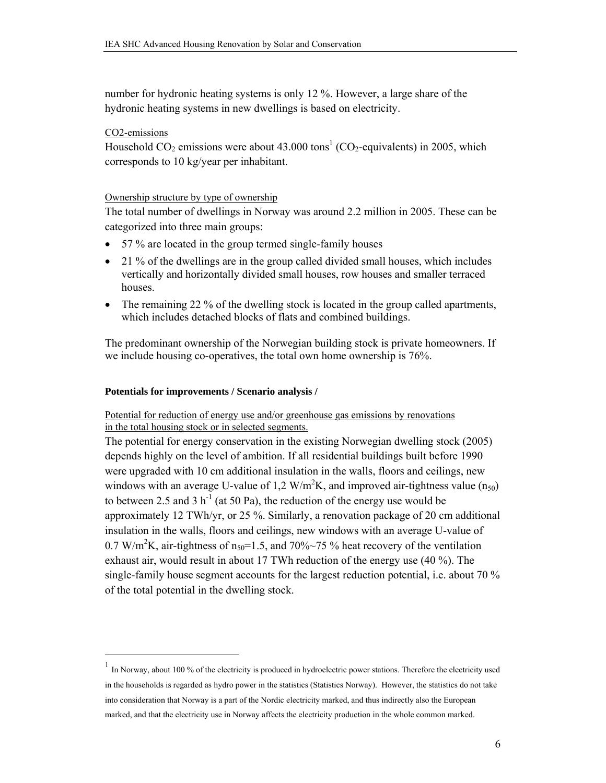number for hydronic heating systems is only 12 %. However, a large share of the hydronic heating systems in new dwellings is based on electricity.

#### CO2-emissions

 $\overline{a}$ 

Household  $CO_2$  emissions were about 43.000 tons<sup>1</sup> (CO<sub>2</sub>-equivalents) in 2005, which corresponds to 10 kg/year per inhabitant.

#### Ownership structure by type of ownership

The total number of dwellings in Norway was around 2.2 million in 2005. These can be categorized into three main groups:

- 57 % are located in the group termed single-family houses
- 21 % of the dwellings are in the group called divided small houses, which includes vertically and horizontally divided small houses, row houses and smaller terraced houses.
- The remaining 22 % of the dwelling stock is located in the group called apartments, which includes detached blocks of flats and combined buildings.

The predominant ownership of the Norwegian building stock is private homeowners. If we include housing co-operatives, the total own home ownership is 76%.

#### **Potentials for improvements / Scenario analysis /**

#### Potential for reduction of energy use and/or greenhouse gas emissions by renovations in the total housing stock or in selected segments.

The potential for energy conservation in the existing Norwegian dwelling stock (2005) depends highly on the level of ambition. If all residential buildings built before 1990 were upgraded with 10 cm additional insulation in the walls, floors and ceilings, new windows with an average U-value of 1,2  $W/m^2K$ , and improved air-tightness value (n<sub>50</sub>) to between 2.5 and 3 h<sup>-1</sup> (at 50 Pa), the reduction of the energy use would be approximately 12 TWh/yr, or 25 %. Similarly, a renovation package of 20 cm additional insulation in the walls, floors and ceilings, new windows with an average U-value of 0.7 W/m<sup>2</sup>K, air-tightness of  $n_{50}$ =1.5, and 70%~75 % heat recovery of the ventilation exhaust air, would result in about 17 TWh reduction of the energy use (40 %). The single-family house segment accounts for the largest reduction potential, i.e. about 70 % of the total potential in the dwelling stock.

 $1$  In Norway, about 100 % of the electricity is produced in hydroelectric power stations. Therefore the electricity used in the households is regarded as hydro power in the statistics (Statistics Norway). However, the statistics do not take into consideration that Norway is a part of the Nordic electricity marked, and thus indirectly also the European marked, and that the electricity use in Norway affects the electricity production in the whole common marked.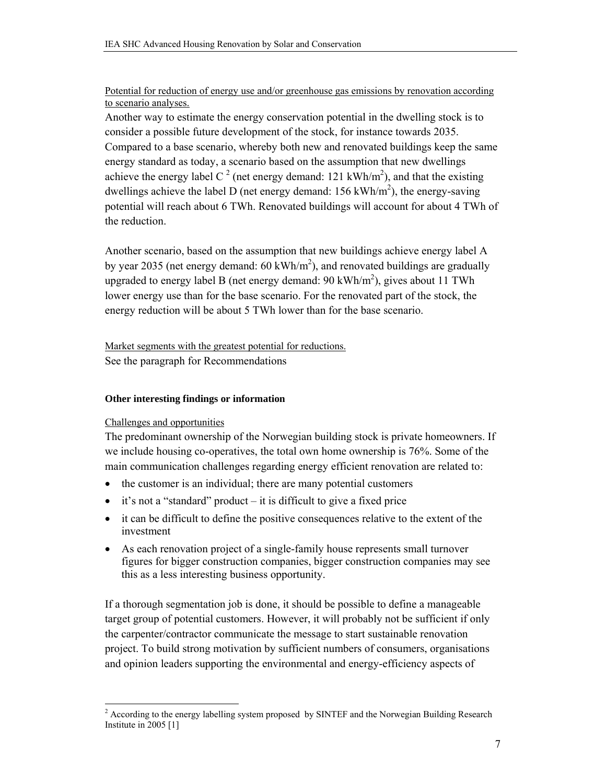#### Potential for reduction of energy use and/or greenhouse gas emissions by renovation according to scenario analyses.

Another way to estimate the energy conservation potential in the dwelling stock is to consider a possible future development of the stock, for instance towards 2035. Compared to a base scenario, whereby both new and renovated buildings keep the same energy standard as today, a scenario based on the assumption that new dwellings achieve the energy label C<sup>2</sup> (net energy demand: 121 kWh/m<sup>2</sup>), and that the existing dwellings achieve the label D (net energy demand:  $156 \text{ kWh/m}^2$ ), the energy-saving potential will reach about 6 TWh. Renovated buildings will account for about 4 TWh of the reduction.

Another scenario, based on the assumption that new buildings achieve energy label A by year 2035 (net energy demand:  $60 \text{ kWh/m}^2$ ), and renovated buildings are gradually upgraded to energy label B (net energy demand:  $90 \text{ kWh/m}^2$ ), gives about 11 TWh lower energy use than for the base scenario. For the renovated part of the stock, the energy reduction will be about 5 TWh lower than for the base scenario.

Market segments with the greatest potential for reductions. See the paragraph for Recommendations

### **Other interesting findings or information**

### Challenges and opportunities

The predominant ownership of the Norwegian building stock is private homeowners. If we include housing co-operatives, the total own home ownership is 76%. Some of the main communication challenges regarding energy efficient renovation are related to:

- the customer is an individual; there are many potential customers
- $\bullet$  it's not a "standard" product it is difficult to give a fixed price
- it can be difficult to define the positive consequences relative to the extent of the investment
- As each renovation project of a single-family house represents small turnover figures for bigger construction companies, bigger construction companies may see this as a less interesting business opportunity.

If a thorough segmentation job is done, it should be possible to define a manageable target group of potential customers. However, it will probably not be sufficient if only the carpenter/contractor communicate the message to start sustainable renovation project. To build strong motivation by sufficient numbers of consumers, organisations and opinion leaders supporting the environmental and energy-efficiency aspects of

<sup>&</sup>lt;sup>2</sup> According to the energy labelling system proposed by SINTEF and the Norwegian Building Research Institute in 2005 [1]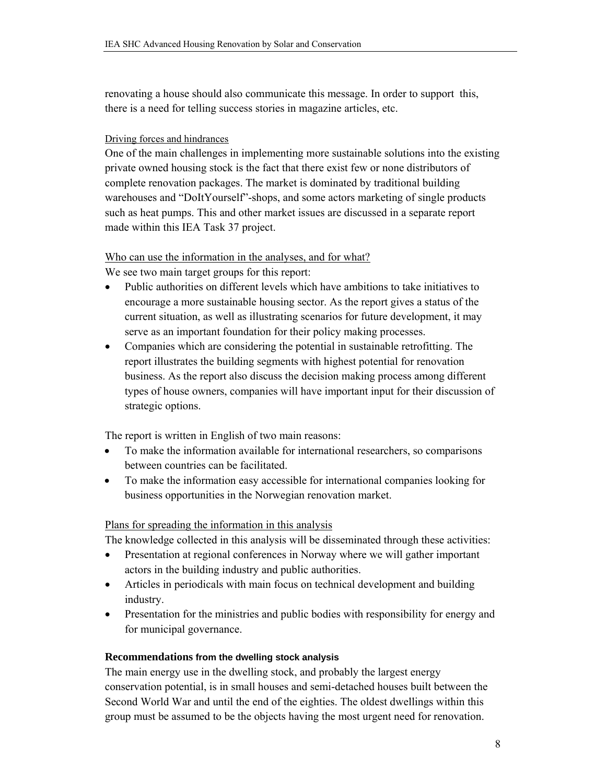renovating a house should also communicate this message. In order to support this, there is a need for telling success stories in magazine articles, etc.

### Driving forces and hindrances

One of the main challenges in implementing more sustainable solutions into the existing private owned housing stock is the fact that there exist few or none distributors of complete renovation packages. The market is dominated by traditional building warehouses and "DoItYourself"-shops, and some actors marketing of single products such as heat pumps. This and other market issues are discussed in a separate report made within this IEA Task 37 project.

### Who can use the information in the analyses, and for what?

We see two main target groups for this report:

- Public authorities on different levels which have ambitions to take initiatives to encourage a more sustainable housing sector. As the report gives a status of the current situation, as well as illustrating scenarios for future development, it may serve as an important foundation for their policy making processes.
- Companies which are considering the potential in sustainable retrofitting. The report illustrates the building segments with highest potential for renovation business. As the report also discuss the decision making process among different types of house owners, companies will have important input for their discussion of strategic options.

The report is written in English of two main reasons:

- To make the information available for international researchers, so comparisons between countries can be facilitated.
- To make the information easy accessible for international companies looking for business opportunities in the Norwegian renovation market.

### Plans for spreading the information in this analysis

The knowledge collected in this analysis will be disseminated through these activities:

- Presentation at regional conferences in Norway where we will gather important actors in the building industry and public authorities.
- Articles in periodicals with main focus on technical development and building industry.
- Presentation for the ministries and public bodies with responsibility for energy and for municipal governance.

### **Recommendations from the dwelling stock analysis**

The main energy use in the dwelling stock, and probably the largest energy conservation potential, is in small houses and semi-detached houses built between the Second World War and until the end of the eighties. The oldest dwellings within this group must be assumed to be the objects having the most urgent need for renovation.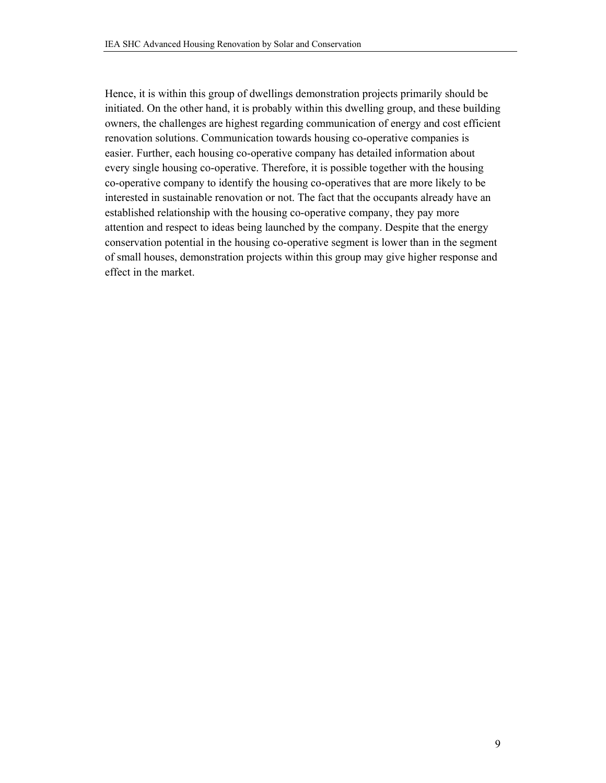Hence, it is within this group of dwellings demonstration projects primarily should be initiated. On the other hand, it is probably within this dwelling group, and these building owners, the challenges are highest regarding communication of energy and cost efficient renovation solutions. Communication towards housing co-operative companies is easier. Further, each housing co-operative company has detailed information about every single housing co-operative. Therefore, it is possible together with the housing co-operative company to identify the housing co-operatives that are more likely to be interested in sustainable renovation or not. The fact that the occupants already have an established relationship with the housing co-operative company, they pay more attention and respect to ideas being launched by the company. Despite that the energy conservation potential in the housing co-operative segment is lower than in the segment of small houses, demonstration projects within this group may give higher response and effect in the market.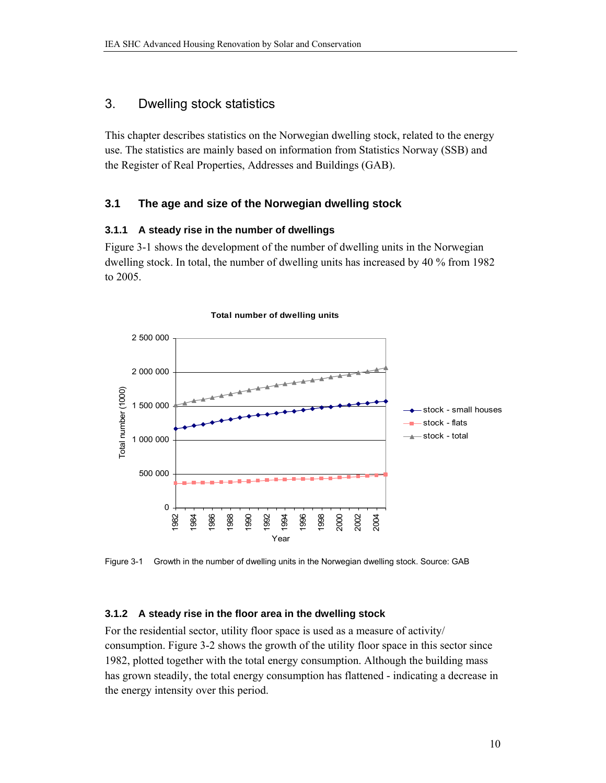### 3. Dwelling stock statistics

This chapter describes statistics on the Norwegian dwelling stock, related to the energy use. The statistics are mainly based on information from Statistics Norway (SSB) and the Register of Real Properties, Addresses and Buildings (GAB).

### **3.1 The age and size of the Norwegian dwelling stock**

### **3.1.1 A steady rise in the number of dwellings**

Figure 3-1 shows the development of the number of dwelling units in the Norwegian dwelling stock. In total, the number of dwelling units has increased by 40 % from 1982 to 2005.



Figure 3-1 Growth in the number of dwelling units in the Norwegian dwelling stock. Source: GAB

### **3.1.2 A steady rise in the floor area in the dwelling stock**

For the residential sector, utility floor space is used as a measure of activity/ consumption. Figure 3-2 shows the growth of the utility floor space in this sector since 1982, plotted together with the total energy consumption. Although the building mass has grown steadily, the total energy consumption has flattened - indicating a decrease in the energy intensity over this period.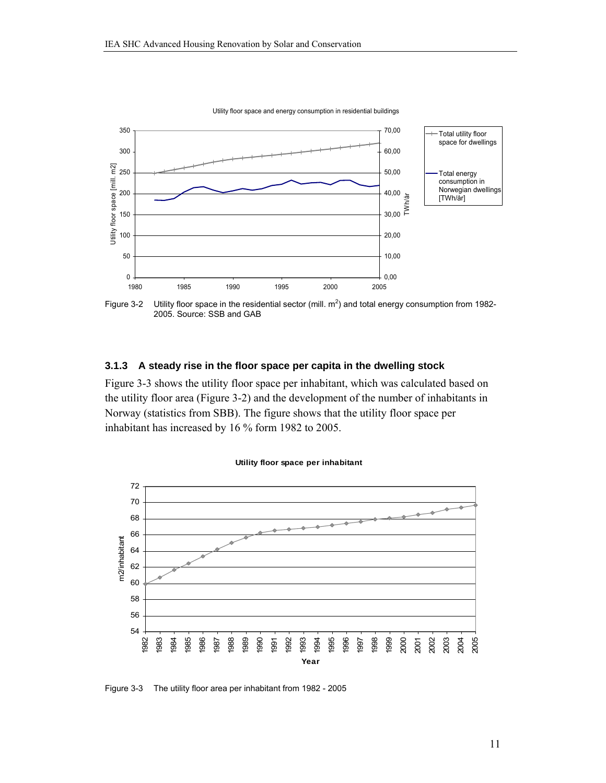

Utility floor space and energy consumption in residential buildings

Figure 3-2 Utility floor space in the residential sector (mill.  $m^2$ ) and total energy consumption from 1982-2005. Source: SSB and GAB

#### **3.1.3 A steady rise in the floor space per capita in the dwelling stock**

Figure 3-3 shows the utility floor space per inhabitant, which was calculated based on the utility floor area (Figure 3-2) and the development of the number of inhabitants in Norway (statistics from SBB). The figure shows that the utility floor space per inhabitant has increased by 16 % form 1982 to 2005.



#### **Utility floor space per inhabitant**

Figure 3-3 The utility floor area per inhabitant from 1982 - 2005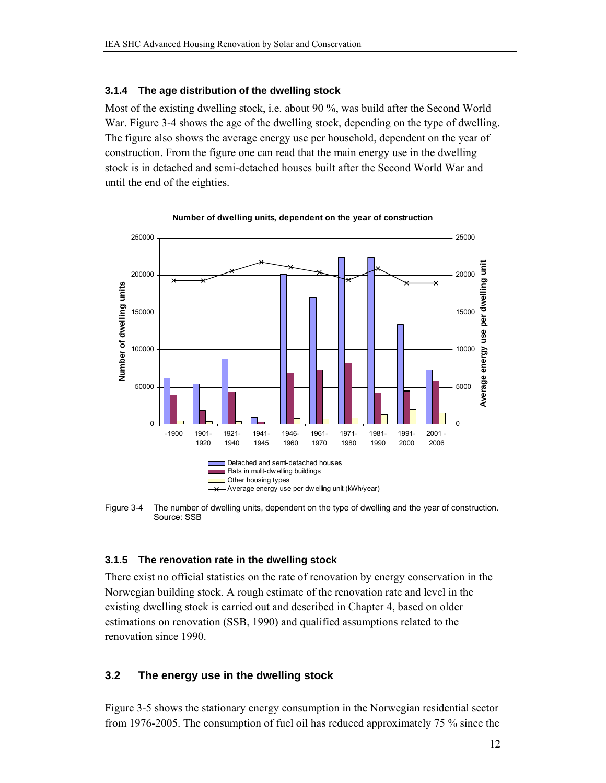#### **3.1.4 The age distribution of the dwelling stock**

Most of the existing dwelling stock, i.e. about 90 %, was build after the Second World War. Figure 3-4 shows the age of the dwelling stock, depending on the type of dwelling. The figure also shows the average energy use per household, dependent on the year of construction. From the figure one can read that the main energy use in the dwelling stock is in detached and semi-detached houses built after the Second World War and until the end of the eighties.



**Number of dwelling units, dependent on the year of construction**

Figure 3-4 The number of dwelling units, dependent on the type of dwelling and the year of construction. Source: SSB

#### **3.1.5 The renovation rate in the dwelling stock**

There exist no official statistics on the rate of renovation by energy conservation in the Norwegian building stock. A rough estimate of the renovation rate and level in the existing dwelling stock is carried out and described in Chapter 4, based on older estimations on renovation (SSB, 1990) and qualified assumptions related to the renovation since 1990.

### **3.2 The energy use in the dwelling stock**

Figure 3-5 shows the stationary energy consumption in the Norwegian residential sector from 1976-2005. The consumption of fuel oil has reduced approximately 75 % since the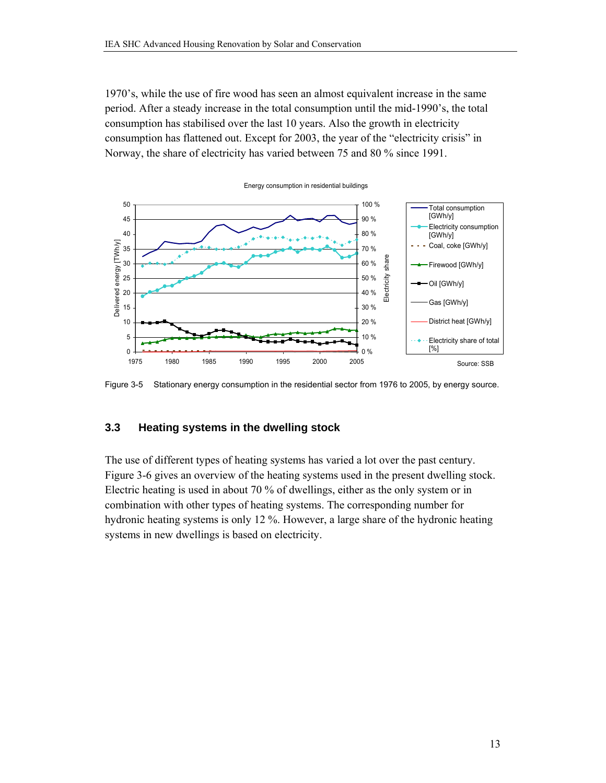1970's, while the use of fire wood has seen an almost equivalent increase in the same period. After a steady increase in the total consumption until the mid-1990's, the total consumption has stabilised over the last 10 years. Also the growth in electricity consumption has flattened out. Except for 2003, the year of the "electricity crisis" in Norway, the share of electricity has varied between 75 and 80 % since 1991.



Figure 3-5 Stationary energy consumption in the residential sector from 1976 to 2005, by energy source.

### **3.3 Heating systems in the dwelling stock**

The use of different types of heating systems has varied a lot over the past century. Figure 3-6 gives an overview of the heating systems used in the present dwelling stock. Electric heating is used in about 70 % of dwellings, either as the only system or in combination with other types of heating systems. The corresponding number for hydronic heating systems is only 12 %. However, a large share of the hydronic heating systems in new dwellings is based on electricity.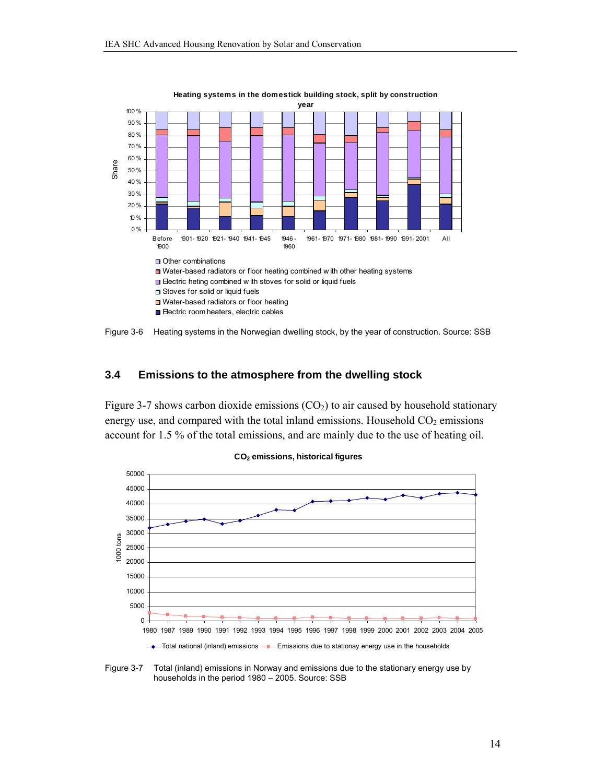

**Heating systems in the domestick building stock, split by construction** 



### **3.4 Emissions to the atmosphere from the dwelling stock**

Figure 3-7 shows carbon dioxide emissions  $(CO<sub>2</sub>)$  to air caused by household stationary energy use, and compared with the total inland emissions. Household  $CO<sub>2</sub>$  emissions account for 1.5 % of the total emissions, and are mainly due to the use of heating oil.



**CO2 emissions, historical figures** 

Figure 3-7 Total (inland) emissions in Norway and emissions due to the stationary energy use by households in the period 1980 – 2005. Source: SSB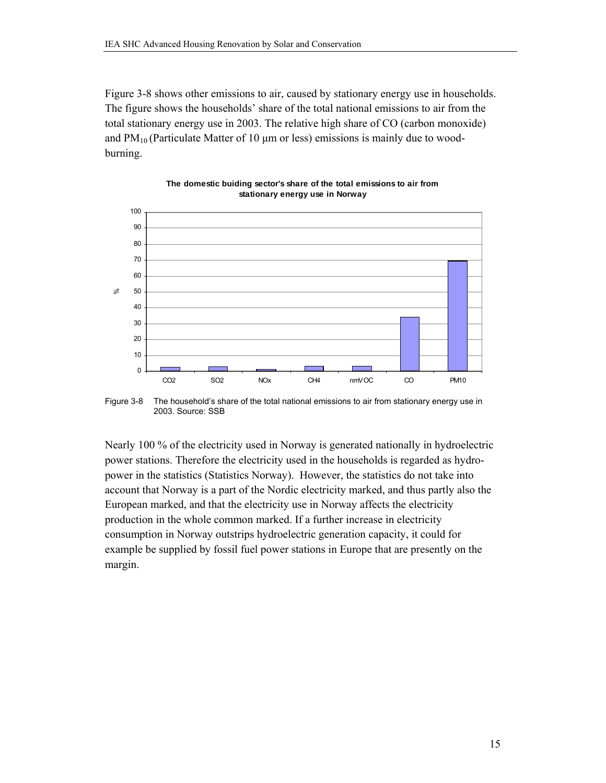Figure 3-8 shows other emissions to air, caused by stationary energy use in households. The figure shows the households' share of the total national emissions to air from the total stationary energy use in 2003. The relative high share of CO (carbon monoxide) and  $PM_{10}$  (Particulate Matter of 10 µm or less) emissions is mainly due to woodburning.



**The domestic buiding sector's share of the total emissions to air from stationary energy use in Norway** 

Figure 3-8 The household's share of the total national emissions to air from stationary energy use in 2003. Source: SSB

Nearly 100 % of the electricity used in Norway is generated nationally in hydroelectric power stations. Therefore the electricity used in the households is regarded as hydropower in the statistics (Statistics Norway). However, the statistics do not take into account that Norway is a part of the Nordic electricity marked, and thus partly also the European marked, and that the electricity use in Norway affects the electricity production in the whole common marked. If a further increase in electricity consumption in Norway outstrips hydroelectric generation capacity, it could for example be supplied by fossil fuel power stations in Europe that are presently on the margin.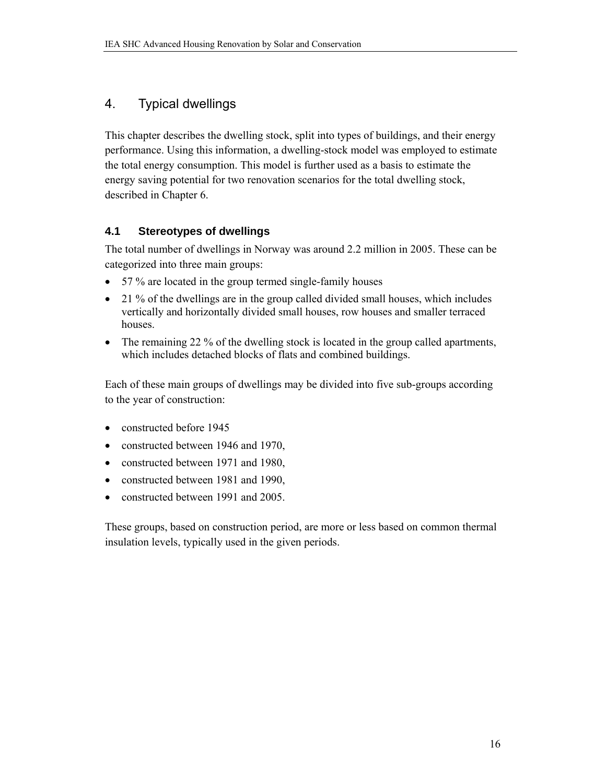## 4. Typical dwellings

This chapter describes the dwelling stock, split into types of buildings, and their energy performance. Using this information, a dwelling-stock model was employed to estimate the total energy consumption. This model is further used as a basis to estimate the energy saving potential for two renovation scenarios for the total dwelling stock, described in Chapter 6.

### **4.1 Stereotypes of dwellings**

The total number of dwellings in Norway was around 2.2 million in 2005. These can be categorized into three main groups:

- 57 % are located in the group termed single-family houses
- 21 % of the dwellings are in the group called divided small houses, which includes vertically and horizontally divided small houses, row houses and smaller terraced houses.
- The remaining 22 % of the dwelling stock is located in the group called apartments, which includes detached blocks of flats and combined buildings.

Each of these main groups of dwellings may be divided into five sub-groups according to the year of construction:

- constructed before 1945
- constructed between 1946 and 1970,
- constructed between 1971 and 1980,
- constructed between 1981 and 1990,
- constructed between 1991 and 2005.

These groups, based on construction period, are more or less based on common thermal insulation levels, typically used in the given periods.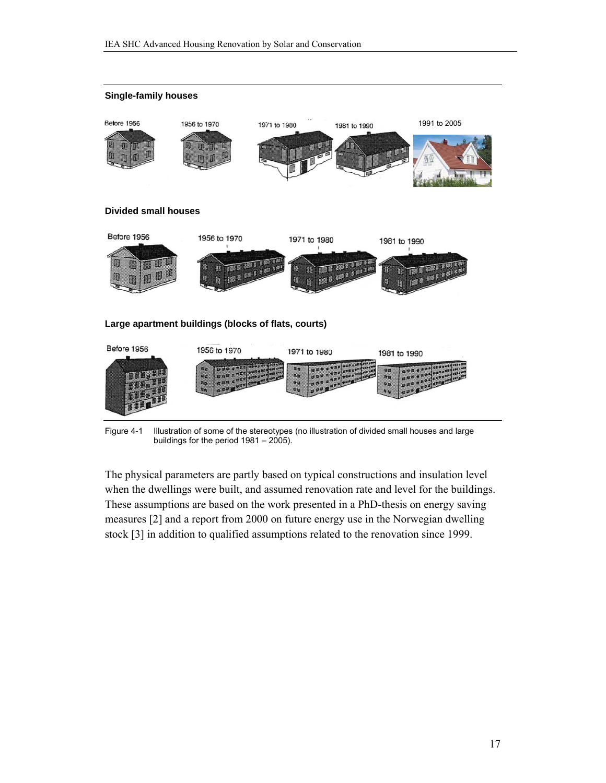

Figure 4-1 Illustration of some of the stereotypes (no illustration of divided small houses and large buildings for the period 1981 – 2005).

The physical parameters are partly based on typical constructions and insulation level when the dwellings were built, and assumed renovation rate and level for the buildings. These assumptions are based on the work presented in a PhD-thesis on energy saving measures [2] and a report from 2000 on future energy use in the Norwegian dwelling stock [3] in addition to qualified assumptions related to the renovation since 1999.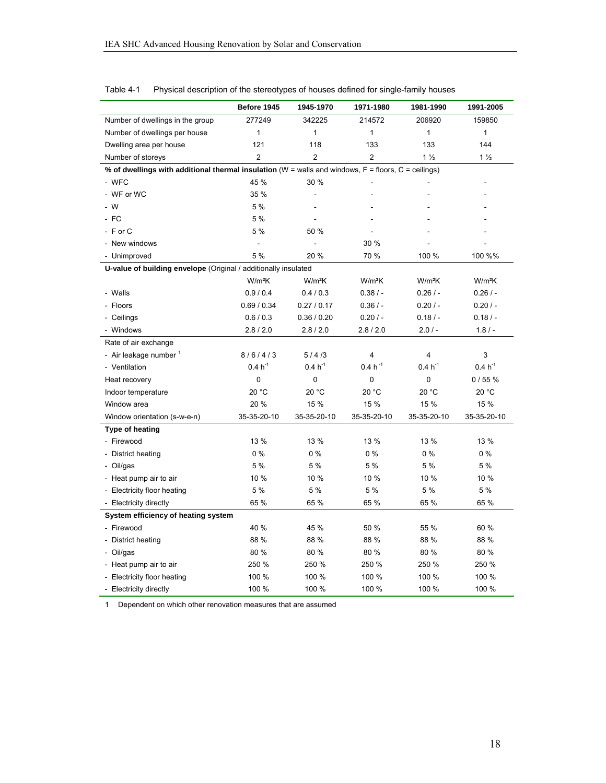|                                                                                                            | Before 1945    | 1945-1970                | 1971-1980      | 1981-1990      | 1991-2005          |  |  |  |  |
|------------------------------------------------------------------------------------------------------------|----------------|--------------------------|----------------|----------------|--------------------|--|--|--|--|
| Number of dwellings in the group                                                                           | 277249         | 342225                   | 214572         | 206920         | 159850             |  |  |  |  |
| Number of dwellings per house                                                                              | $\mathbf{1}$   | 1                        | $\mathbf{1}$   | $\mathbf{1}$   | $\mathbf{1}$       |  |  |  |  |
| Dwelling area per house                                                                                    | 121            | 118                      | 133            | 133            | 144                |  |  |  |  |
| Number of storeys                                                                                          | $\overline{2}$ | $\overline{2}$           | $\overline{2}$ | 1 <sub>2</sub> | 1 <sub>2</sub>     |  |  |  |  |
| % of dwellings with additional thermal insulation ( $W =$ walls and windows, $F =$ floors, $C =$ ceilings) |                |                          |                |                |                    |  |  |  |  |
| - WFC                                                                                                      | 45 %           | 30 %                     |                |                |                    |  |  |  |  |
| - WF or WC                                                                                                 | 35 %           |                          |                |                |                    |  |  |  |  |
| $-W$                                                                                                       | 5 %            | $\overline{a}$           |                |                |                    |  |  |  |  |
| $-FC$                                                                                                      | 5 %            |                          |                |                |                    |  |  |  |  |
| - F or C                                                                                                   | 5 %            | 50 %                     |                |                |                    |  |  |  |  |
| - New windows                                                                                              | $\blacksquare$ | $\overline{\phantom{a}}$ | 30 %           |                |                    |  |  |  |  |
| - Unimproved                                                                                               | 5 %            | 20 %                     | 70 %           | 100 %          | 100 %%             |  |  |  |  |
| U-value of building envelope (Original / additionally insulated                                            |                |                          |                |                |                    |  |  |  |  |
|                                                                                                            | $W/m^2K$       | W/m <sup>2</sup> K       | $W/m^2K$       | $W/m^2K$       | W/m <sup>2</sup> K |  |  |  |  |
| - Walls                                                                                                    | 0.9 / 0.4      | 0.4 / 0.3                | $0.38/ -$      | $0.26/ -$      | 0.26/              |  |  |  |  |
| - Floors                                                                                                   | 0.69 / 0.34    | 0.27 / 0.17              | 0.36/          | 0.20/          | 0.20/              |  |  |  |  |
| - Ceilings                                                                                                 | 0.6/0.3        | 0.36 / 0.20              | 0.20/          | 0.18/          | 0.18/              |  |  |  |  |
| - Windows                                                                                                  | 2.8 / 2.0      | 2.8 / 2.0                | 2.8 / 2.0      | 2.0/           | $1.8/ -$           |  |  |  |  |
| Rate of air exchange                                                                                       |                |                          |                |                |                    |  |  |  |  |
| - Air leakage number 1                                                                                     | 8/6/4/3        | 5/4/3                    | 4              | 4              | 3                  |  |  |  |  |
| - Ventilation                                                                                              | $0.4 h^{-1}$   | $0.4 h^{-1}$             | $0.4 h^{-1}$   | $0.4 h^{-1}$   | $0.4 h^{-1}$       |  |  |  |  |
| Heat recovery                                                                                              | 0              | 0                        | 0              | 0              | 0/55%              |  |  |  |  |
| Indoor temperature                                                                                         | 20 °C          | 20 °C                    | 20 °C          | 20 °C          | 20 °C              |  |  |  |  |
| Window area                                                                                                | 20 %           | 15 %                     | 15 %           | 15 %           | 15 %               |  |  |  |  |
| Window orientation (s-w-e-n)                                                                               | 35-35-20-10    | 35-35-20-10              | 35-35-20-10    | 35-35-20-10    | 35-35-20-10        |  |  |  |  |
| Type of heating                                                                                            |                |                          |                |                |                    |  |  |  |  |
| - Firewood                                                                                                 | 13 %           | 13 %                     | 13 %           | 13 %           | 13 %               |  |  |  |  |
| - District heating                                                                                         | $0\%$          | 0%                       | $0\%$          | $0\%$          | $0\%$              |  |  |  |  |
| - Oil/gas                                                                                                  | 5 %            | 5 %                      | 5 %            | 5 %            | 5 %                |  |  |  |  |
| - Heat pump air to air                                                                                     | 10 %           | 10 %                     | 10 %           | 10 %           | 10 %               |  |  |  |  |
| - Electricity floor heating                                                                                | 5 %            | 5 %                      | 5 %            | 5 %            | 5 %                |  |  |  |  |
| - Electricity directly                                                                                     | 65 %           | 65 %                     | 65 %           | 65 %           | 65 %               |  |  |  |  |
| System efficiency of heating system                                                                        |                |                          |                |                |                    |  |  |  |  |
| - Firewood                                                                                                 | 40 %           | 45 %                     | 50 %           | 55 %           | 60 %               |  |  |  |  |
| - District heating                                                                                         | 88 %           | 88 %                     | 88 %           | 88 %           | 88 %               |  |  |  |  |
| - Oil/gas                                                                                                  | 80 %           | 80 %                     | 80 %           | 80 %           | 80 %               |  |  |  |  |
| - Heat pump air to air                                                                                     | 250 %          | 250 %                    | 250 %          | 250 %          | 250 %              |  |  |  |  |
| - Electricity floor heating                                                                                | 100 %          | 100 %                    | 100 %          | 100 %          | 100 %              |  |  |  |  |
| - Electricity directly                                                                                     | 100 %          | 100 %                    | 100 %          | 100 %          | 100 %              |  |  |  |  |

#### Table 4-1 Physical description of the stereotypes of houses defined for single-family houses

1 Dependent on which other renovation measures that are assumed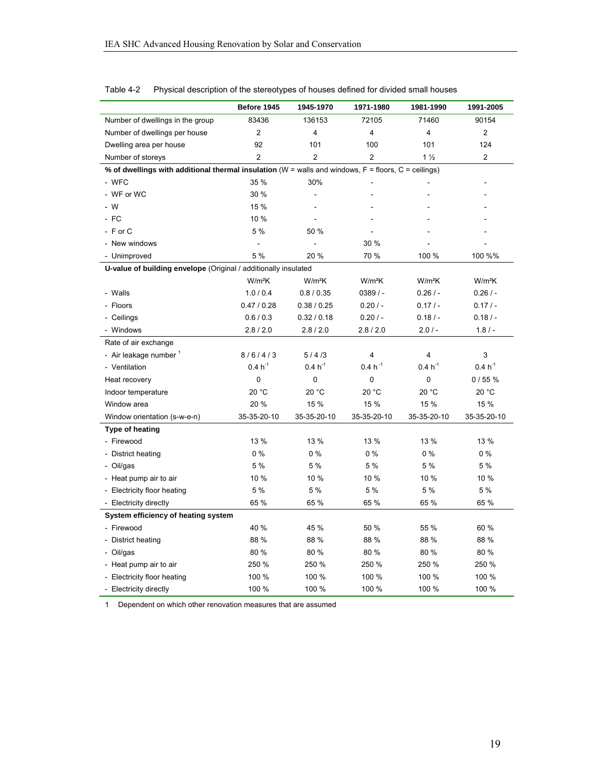|                                                                                                            | Before 1945    | 1945-1970                | 1971-1980      | 1981-1990      | 1991-2005          |  |  |  |  |
|------------------------------------------------------------------------------------------------------------|----------------|--------------------------|----------------|----------------|--------------------|--|--|--|--|
| Number of dwellings in the group                                                                           | 83436          | 136153                   | 72105          | 71460          | 90154              |  |  |  |  |
| Number of dwellings per house                                                                              | 2              | 4                        | 4              | 4              | $\overline{2}$     |  |  |  |  |
| Dwelling area per house                                                                                    | 92             | 101                      | 100            | 101            | 124                |  |  |  |  |
| Number of storeys                                                                                          | $\overline{2}$ | $\overline{2}$           | $\overline{2}$ | 1 <sub>2</sub> | $\overline{2}$     |  |  |  |  |
| % of dwellings with additional thermal insulation ( $W =$ walls and windows, $F =$ floors, $C =$ ceilings) |                |                          |                |                |                    |  |  |  |  |
| - WFC                                                                                                      | 35 %           | 30%                      |                |                |                    |  |  |  |  |
| - WF or WC                                                                                                 | 30 %           |                          |                |                |                    |  |  |  |  |
| $-W$                                                                                                       | 15 %           | $\overline{a}$           |                |                |                    |  |  |  |  |
| $-FC$                                                                                                      | 10 %           |                          |                |                |                    |  |  |  |  |
| - F or C                                                                                                   | 5 %            | 50 %                     |                |                |                    |  |  |  |  |
| - New windows                                                                                              | $\blacksquare$ | $\overline{\phantom{a}}$ | 30 %           |                |                    |  |  |  |  |
| - Unimproved                                                                                               | 5 %            | 20 %                     | 70 %           | 100 %          | 100 %%             |  |  |  |  |
| U-value of building envelope (Original / additionally insulated                                            |                |                          |                |                |                    |  |  |  |  |
|                                                                                                            | $W/m^2K$       | W/m <sup>2</sup> K       | $W/m^2K$       | $W/m^2K$       | W/m <sup>2</sup> K |  |  |  |  |
| - Walls                                                                                                    | 1.0 / 0.4      | 0.8 / 0.35               | $0389/ -$      | 0.26/          | 0.26/              |  |  |  |  |
| - Floors                                                                                                   | 0.47 / 0.28    | 0.38 / 0.25              | 0.20/          | $0.17/ -$      | $0.17/ -$          |  |  |  |  |
| - Ceilings                                                                                                 | 0.6/0.3        | 0.32 / 0.18              | 0.20/          | 0.18/          | 0.18/              |  |  |  |  |
| - Windows                                                                                                  | 2.8 / 2.0      | 2.8 / 2.0                | 2.8 / 2.0      | 2.0/           | $1.8/ -$           |  |  |  |  |
| Rate of air exchange                                                                                       |                |                          |                |                |                    |  |  |  |  |
| - Air leakage number 1                                                                                     | 8/6/4/3        | 5/4/3                    | 4              | 4              | 3                  |  |  |  |  |
| - Ventilation                                                                                              | $0.4 h^{-1}$   | $0.4 h^{-1}$             | $0.4 h^{-1}$   | $0.4 h^{-1}$   | $0.4 h^{-1}$       |  |  |  |  |
| Heat recovery                                                                                              | 0              | 0                        | 0              | 0              | 0/55%              |  |  |  |  |
| Indoor temperature                                                                                         | 20 °C          | 20 °C                    | 20 °C          | 20 °C          | 20 °C              |  |  |  |  |
| Window area                                                                                                | 20 %           | 15 %                     | 15 %           | 15 %           | 15 %               |  |  |  |  |
| Window orientation (s-w-e-n)                                                                               | 35-35-20-10    | 35-35-20-10              | 35-35-20-10    | 35-35-20-10    | 35-35-20-10        |  |  |  |  |
| Type of heating                                                                                            |                |                          |                |                |                    |  |  |  |  |
| - Firewood                                                                                                 | 13 %           | 13 %                     | 13 %           | 13 %           | 13 %               |  |  |  |  |
| - District heating                                                                                         | $0\%$          | 0%                       | $0\%$          | $0\%$          | $0\%$              |  |  |  |  |
| - Oil/gas                                                                                                  | 5 %            | 5 %                      | 5 %            | 5 %            | 5 %                |  |  |  |  |
| - Heat pump air to air                                                                                     | 10 %           | 10 %                     | 10 %           | 10 %           | 10 %               |  |  |  |  |
| - Electricity floor heating                                                                                | 5 %            | 5 %                      | 5 %            | 5 %            | 5 %                |  |  |  |  |
| - Electricity directly                                                                                     | 65 %           | 65 %                     | 65 %           | 65 %           | 65 %               |  |  |  |  |
| System efficiency of heating system                                                                        |                |                          |                |                |                    |  |  |  |  |
| - Firewood                                                                                                 | 40 %           | 45 %                     | 50 %           | 55 %           | 60 %               |  |  |  |  |
| - District heating                                                                                         | 88 %           | 88 %                     | 88 %           | 88 %           | 88 %               |  |  |  |  |
| - Oil/gas                                                                                                  | 80 %           | 80 %                     | 80 %           | 80 %           | 80 %               |  |  |  |  |
| - Heat pump air to air                                                                                     | 250 %          | 250 %                    | 250 %          | 250 %          | 250 %              |  |  |  |  |
| - Electricity floor heating                                                                                | 100 %          | 100 %                    | 100 %          | 100 %          | 100 %              |  |  |  |  |
| - Electricity directly                                                                                     | 100 %          | 100 %                    | 100 %          | 100 %          | 100 %              |  |  |  |  |

#### Table 4-2 Physical description of the stereotypes of houses defined for divided small houses

1 Dependent on which other renovation measures that are assumed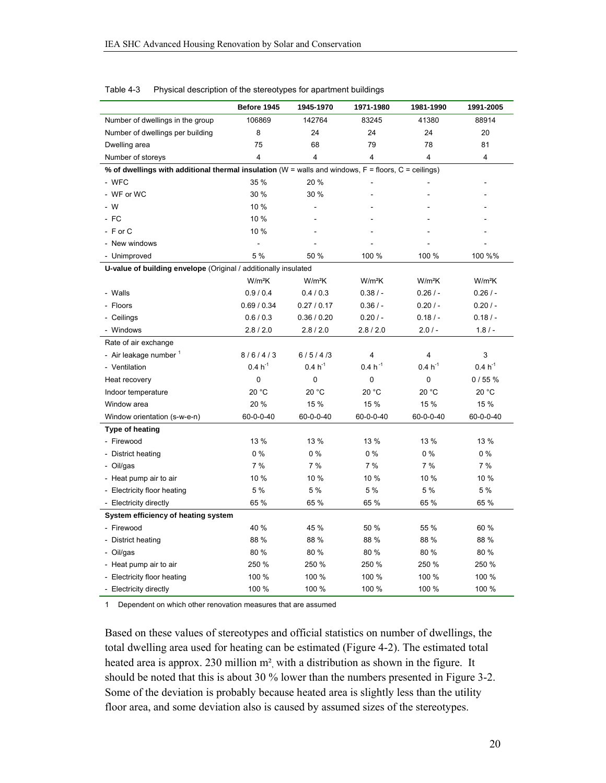|                                                                                                            | Before 1945  | 1945-1970    | 1971-1980    | 1981-1990    | 1991-2005    |  |  |  |  |
|------------------------------------------------------------------------------------------------------------|--------------|--------------|--------------|--------------|--------------|--|--|--|--|
| Number of dwellings in the group                                                                           | 106869       | 142764       | 83245        | 41380        | 88914        |  |  |  |  |
| Number of dwellings per building                                                                           | 8            | 24           | 24           | 24           | 20           |  |  |  |  |
| Dwelling area                                                                                              | 75           | 68           | 79           | 78           | 81           |  |  |  |  |
| Number of storeys                                                                                          | 4            | 4            | 4            | 4            | 4            |  |  |  |  |
| % of dwellings with additional thermal insulation ( $W =$ walls and windows, $F =$ floors, $C =$ ceilings) |              |              |              |              |              |  |  |  |  |
| - WFC                                                                                                      | 35 %         | 20 %         |              |              |              |  |  |  |  |
| - WF or WC                                                                                                 | 30 %         | 30 %         |              |              |              |  |  |  |  |
| $-W$                                                                                                       | 10 %         | ä,           |              |              |              |  |  |  |  |
| $-FC$                                                                                                      | 10 %         |              |              |              |              |  |  |  |  |
| $-$ F or C                                                                                                 | 10 %         |              |              |              |              |  |  |  |  |
| - New windows                                                                                              | $\sim$       |              |              |              |              |  |  |  |  |
| - Unimproved                                                                                               | 5 %          | 50 %         | 100 %        | 100 %        | 100 %%       |  |  |  |  |
| U-value of building envelope (Original / additionally insulated                                            |              |              |              |              |              |  |  |  |  |
|                                                                                                            | $W/m^2K$     | $W/m^2K$     | $W/m^2K$     | $W/m^2K$     | $W/m^2K$     |  |  |  |  |
| - Walls                                                                                                    | 0.9 / 0.4    | 0.4 / 0.3    | $0.38/ -$    | 0.26/        | 0.26/        |  |  |  |  |
| - Floors                                                                                                   | 0.69 / 0.34  | 0.27 / 0.17  | 0.36/        | 0.20/        | 0.20/        |  |  |  |  |
| - Ceilings                                                                                                 | 0.6 / 0.3    | 0.36 / 0.20  | 0.20/        | 0.18/        | 0.18/        |  |  |  |  |
| - Windows                                                                                                  | 2.8/2.0      | 2.8/2.0      | 2.8/2.0      | 2.0/         | $1.8/ -$     |  |  |  |  |
| Rate of air exchange                                                                                       |              |              |              |              |              |  |  |  |  |
| - Air leakage number 1                                                                                     | 8/6/4/3      | 6/5/4/3      | 4            | 4            | 3            |  |  |  |  |
| - Ventilation                                                                                              | $0.4 h^{-1}$ | $0.4 h^{-1}$ | $0.4 h^{-1}$ | $0.4 h^{-1}$ | $0.4 h^{-1}$ |  |  |  |  |
| Heat recovery                                                                                              | 0            | 0            | 0            | 0            | 0/55%        |  |  |  |  |
| Indoor temperature                                                                                         | 20 °C        | 20 °C        | 20 °C        | 20 °C        | 20 °C        |  |  |  |  |
| Window area                                                                                                | 20 %         | 15 %         | 15 %         | 15 %         | 15 %         |  |  |  |  |
| Window orientation (s-w-e-n)                                                                               | 60-0-0-40    | 60-0-0-40    | 60-0-0-40    | 60-0-0-40    | 60-0-0-40    |  |  |  |  |
| Type of heating                                                                                            |              |              |              |              |              |  |  |  |  |
| - Firewood                                                                                                 | 13 %         | 13 %         | 13 %         | 13 %         | 13 %         |  |  |  |  |
| - District heating                                                                                         | $0\%$        | $0\%$        | $0\%$        | $0\%$        | $0\%$        |  |  |  |  |
| - Oil/gas                                                                                                  | 7%           | 7%           | $7\%$        | $7\%$        | 7%           |  |  |  |  |
| - Heat pump air to air                                                                                     | 10 %         | 10 %         | 10 %         | 10 %         | 10 %         |  |  |  |  |
| - Electricity floor heating                                                                                | 5 %          | 5 %          | 5 %          | 5 %          | 5 %          |  |  |  |  |
| - Electricity directly                                                                                     | 65 %         | 65 %         | 65 %         | 65 %         | 65 %         |  |  |  |  |
| System efficiency of heating system                                                                        |              |              |              |              |              |  |  |  |  |
| - Firewood                                                                                                 | 40 %         | 45 %         | 50 %         | 55 %         | 60 %         |  |  |  |  |
| - District heating                                                                                         | 88 %         | 88 %         | 88 %         | 88 %         | 88 %         |  |  |  |  |
| - Oil/gas                                                                                                  | 80%          | 80 %         | 80%          | 80 %         | 80 %         |  |  |  |  |
| - Heat pump air to air                                                                                     | 250 %        | 250 %        | 250 %        | 250 %        | 250 %        |  |  |  |  |
| - Electricity floor heating                                                                                | 100 %        | 100 %        | 100 %        | 100 %        | 100 %        |  |  |  |  |
| - Electricity directly                                                                                     | 100 %        | 100 %        | 100 %        | 100 %        | 100 %        |  |  |  |  |

#### Table 4-3 Physical description of the stereotypes for apartment buildings

1 Dependent on which other renovation measures that are assumed

Based on these values of stereotypes and official statistics on number of dwellings, the total dwelling area used for heating can be estimated (Figure 4-2). The estimated total heated area is approx. 230 million m<sup>2</sup>, with a distribution as shown in the figure. It should be noted that this is about 30 % lower than the numbers presented in Figure 3-2. Some of the deviation is probably because heated area is slightly less than the utility floor area, and some deviation also is caused by assumed sizes of the stereotypes.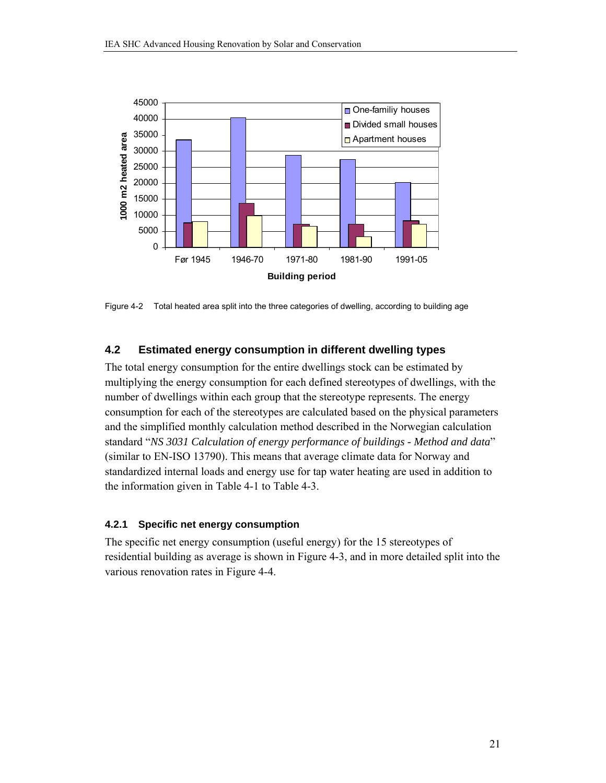

Figure 4-2 Total heated area split into the three categories of dwelling, according to building age

### **4.2 Estimated energy consumption in different dwelling types**

The total energy consumption for the entire dwellings stock can be estimated by multiplying the energy consumption for each defined stereotypes of dwellings, with the number of dwellings within each group that the stereotype represents. The energy consumption for each of the stereotypes are calculated based on the physical parameters and the simplified monthly calculation method described in the Norwegian calculation standard "*NS 3031 Calculation of energy performance of buildings - Method and data*" (similar to EN-ISO 13790). This means that average climate data for Norway and standardized internal loads and energy use for tap water heating are used in addition to the information given in Table 4-1 to Table 4-3.

#### **4.2.1 Specific net energy consumption**

The specific net energy consumption (useful energy) for the 15 stereotypes of residential building as average is shown in Figure 4-3, and in more detailed split into the various renovation rates in Figure 4-4.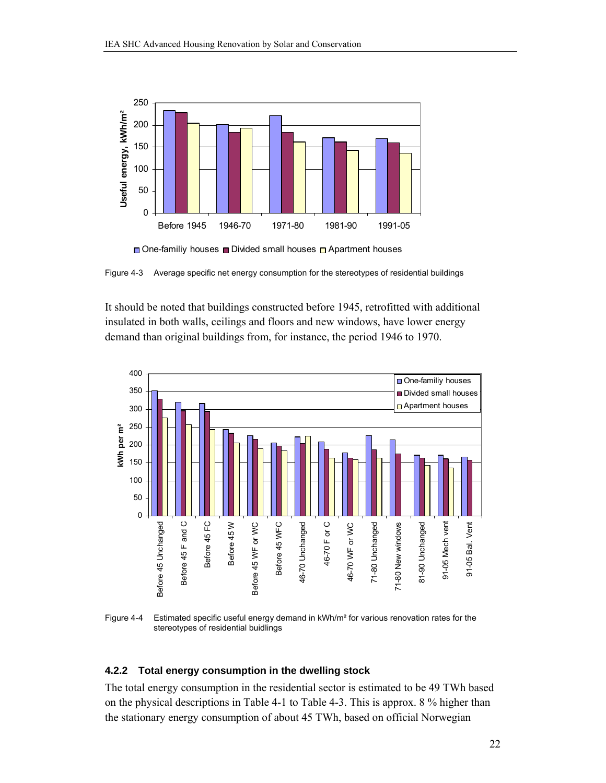



Figure 4-3 Average specific net energy consumption for the stereotypes of residential buildings

It should be noted that buildings constructed before 1945, retrofitted with additional insulated in both walls, ceilings and floors and new windows, have lower energy demand than original buildings from, for instance, the period 1946 to 1970.



Figure 4-4 Estimated specific useful energy demand in kWh/m<sup>2</sup> for various renovation rates for the stereotypes of residential buidlings

#### **4.2.2 Total energy consumption in the dwelling stock**

The total energy consumption in the residential sector is estimated to be 49 TWh based on the physical descriptions in Table 4-1 to Table 4-3. This is approx. 8 % higher than the stationary energy consumption of about 45 TWh, based on official Norwegian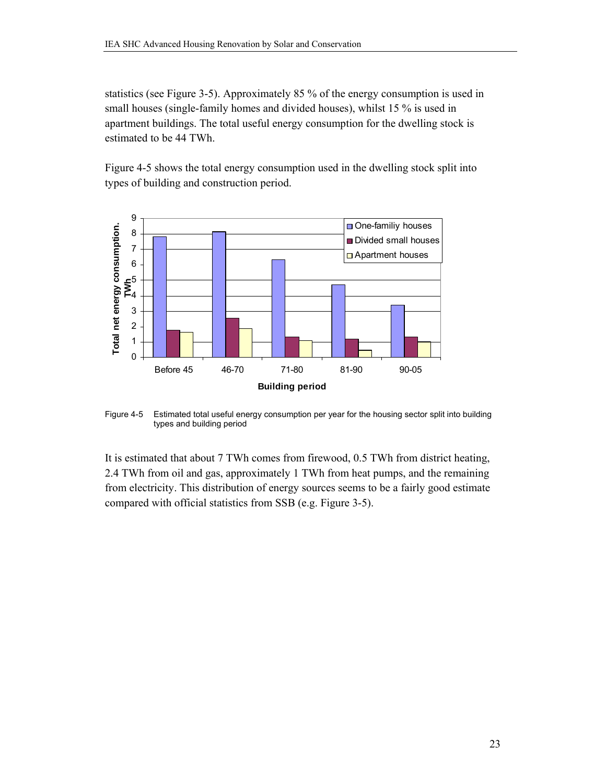statistics (see Figure 3-5). Approximately 85 % of the energy consumption is used in small houses (single-family homes and divided houses), whilst 15 % is used in apartment buildings. The total useful energy consumption for the dwelling stock is estimated to be 44 TWh.

Figure 4-5 shows the total energy consumption used in the dwelling stock split into types of building and construction period.



Figure 4-5 Estimated total useful energy consumption per year for the housing sector split into building types and building period

It is estimated that about 7 TWh comes from firewood, 0.5 TWh from district heating, 2.4 TWh from oil and gas, approximately 1 TWh from heat pumps, and the remaining from electricity. This distribution of energy sources seems to be a fairly good estimate compared with official statistics from SSB (e.g. Figure 3-5).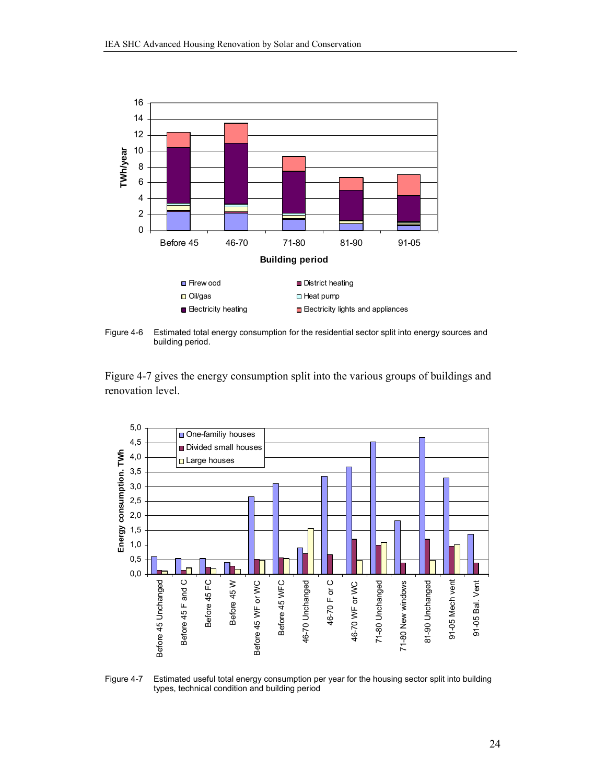

Figure 4-6 Estimated total energy consumption for the residential sector split into energy sources and building period.

Figure 4-7 gives the energy consumption split into the various groups of buildings and renovation level.



Figure 4-7 Estimated useful total energy consumption per year for the housing sector split into building types, technical condition and building period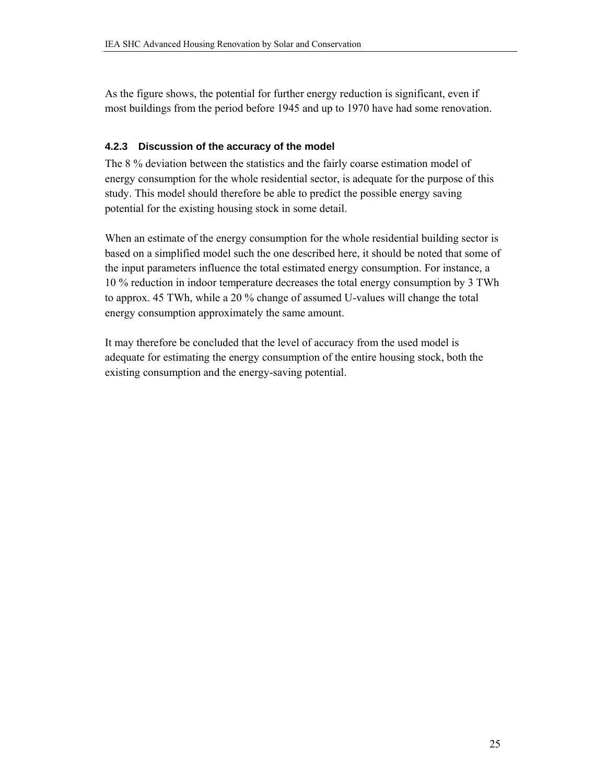As the figure shows, the potential for further energy reduction is significant, even if most buildings from the period before 1945 and up to 1970 have had some renovation.

### **4.2.3 Discussion of the accuracy of the model**

The 8 % deviation between the statistics and the fairly coarse estimation model of energy consumption for the whole residential sector, is adequate for the purpose of this study. This model should therefore be able to predict the possible energy saving potential for the existing housing stock in some detail.

When an estimate of the energy consumption for the whole residential building sector is based on a simplified model such the one described here, it should be noted that some of the input parameters influence the total estimated energy consumption. For instance, a 10 % reduction in indoor temperature decreases the total energy consumption by 3 TWh to approx. 45 TWh, while a 20 % change of assumed U-values will change the total energy consumption approximately the same amount.

It may therefore be concluded that the level of accuracy from the used model is adequate for estimating the energy consumption of the entire housing stock, both the existing consumption and the energy-saving potential.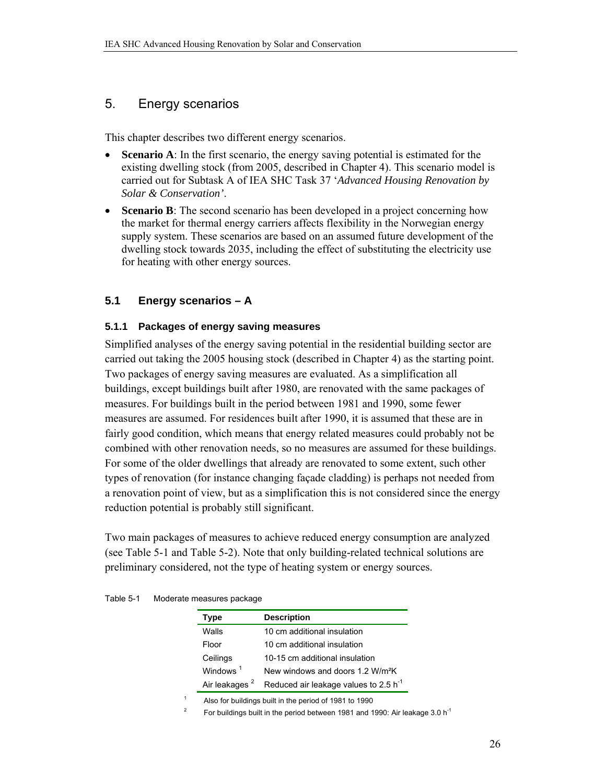### 5. Energy scenarios

This chapter describes two different energy scenarios.

- **Scenario A**: In the first scenario, the energy saving potential is estimated for the existing dwelling stock (from 2005, described in Chapter 4). This scenario model is carried out for Subtask A of IEA SHC Task 37 '*Advanced Housing Renovation by Solar & Conservation'*.
- **Scenario B**: The second scenario has been developed in a project concerning how the market for thermal energy carriers affects flexibility in the Norwegian energy supply system. These scenarios are based on an assumed future development of the dwelling stock towards 2035, including the effect of substituting the electricity use for heating with other energy sources.

### **5.1 Energy scenarios – A**

### **5.1.1 Packages of energy saving measures**

Simplified analyses of the energy saving potential in the residential building sector are carried out taking the 2005 housing stock (described in Chapter 4) as the starting point. Two packages of energy saving measures are evaluated. As a simplification all buildings, except buildings built after 1980, are renovated with the same packages of measures. For buildings built in the period between 1981 and 1990, some fewer measures are assumed. For residences built after 1990, it is assumed that these are in fairly good condition, which means that energy related measures could probably not be combined with other renovation needs, so no measures are assumed for these buildings. For some of the older dwellings that already are renovated to some extent, such other types of renovation (for instance changing façade cladding) is perhaps not needed from a renovation point of view, but as a simplification this is not considered since the energy reduction potential is probably still significant.

Two main packages of measures to achieve reduced energy consumption are analyzed (see Table 5-1 and Table 5-2). Note that only building-related technical solutions are preliminary considered, not the type of heating system or energy sources.

| Type                      | <b>Description</b>                                |
|---------------------------|---------------------------------------------------|
| Walls                     | 10 cm additional insulation                       |
| Floor                     | 10 cm additional insulation                       |
| Ceilings                  | 10-15 cm additional insulation                    |
| Windows <sup>1</sup>      | New windows and doors 1.2 W/m <sup>2</sup> K      |
| Air leakages <sup>2</sup> | Reduced air leakage values to 2.5 h <sup>-1</sup> |

Table 5-1 Moderate measures package

1 Also for buildings built in the period of 1981 to 1990

2 For buildings built in the period between 1981 and 1990: Air leakage 3.0 h<sup>-1</sup>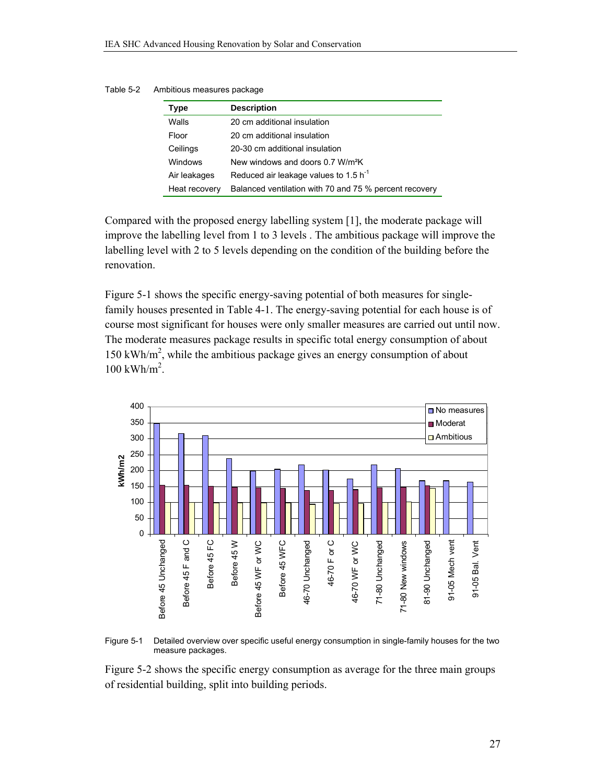| Type          | <b>Description</b>                                     |
|---------------|--------------------------------------------------------|
| Walls         | 20 cm additional insulation                            |
| Floor         | 20 cm additional insulation                            |
| Ceilings      | 20-30 cm additional insulation                         |
| Windows       | New windows and doors 0.7 W/m <sup>2</sup> K           |
| Air leakages  | Reduced air leakage values to 1.5 $h^{-1}$             |
| Heat recovery | Balanced ventilation with 70 and 75 % percent recovery |

Table 5-2 Ambitious measures package

Compared with the proposed energy labelling system [1], the moderate package will improve the labelling level from 1 to 3 levels . The ambitious package will improve the labelling level with 2 to 5 levels depending on the condition of the building before the renovation.

Figure 5-1 shows the specific energy-saving potential of both measures for singlefamily houses presented in Table 4-1. The energy-saving potential for each house is of course most significant for houses were only smaller measures are carried out until now. The moderate measures package results in specific total energy consumption of about 150 kWh/m<sup>2</sup>, while the ambitious package gives an energy consumption of about  $100$  kWh/m<sup>2</sup>.



Figure 5-1 Detailed overview over specific useful energy consumption in single-family houses for the two measure packages.

Figure 5-2 shows the specific energy consumption as average for the three main groups of residential building, split into building periods.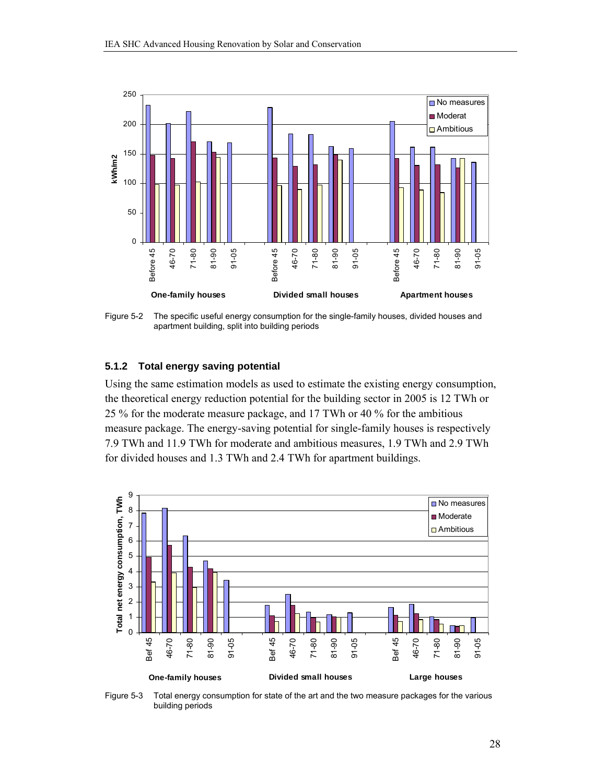

Figure 5-2 The specific useful energy consumption for the single-family houses, divided houses and apartment building, split into building periods

#### **5.1.2 Total energy saving potential**

Using the same estimation models as used to estimate the existing energy consumption, the theoretical energy reduction potential for the building sector in 2005 is 12 TWh or 25 % for the moderate measure package, and 17 TWh or 40 % for the ambitious measure package. The energy-saving potential for single-family houses is respectively 7.9 TWh and 11.9 TWh for moderate and ambitious measures, 1.9 TWh and 2.9 TWh for divided houses and 1.3 TWh and 2.4 TWh for apartment buildings.



Figure 5-3 Total energy consumption for state of the art and the two measure packages for the various building periods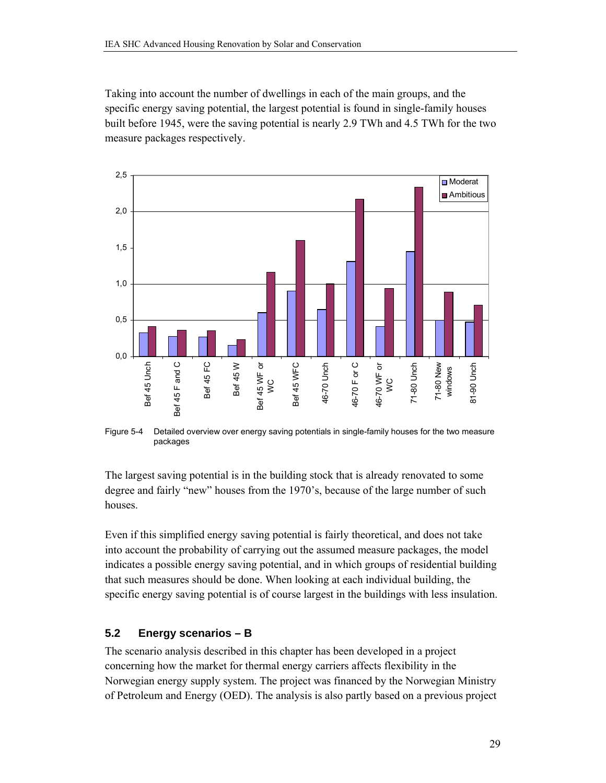Taking into account the number of dwellings in each of the main groups, and the specific energy saving potential, the largest potential is found in single-family houses built before 1945, were the saving potential is nearly 2.9 TWh and 4.5 TWh for the two measure packages respectively.



Figure 5-4 Detailed overview over energy saving potentials in single-family houses for the two measure packages

The largest saving potential is in the building stock that is already renovated to some degree and fairly "new" houses from the 1970's, because of the large number of such houses.

Even if this simplified energy saving potential is fairly theoretical, and does not take into account the probability of carrying out the assumed measure packages, the model indicates a possible energy saving potential, and in which groups of residential building that such measures should be done. When looking at each individual building, the specific energy saving potential is of course largest in the buildings with less insulation.

### **5.2 Energy scenarios – B**

The scenario analysis described in this chapter has been developed in a project concerning how the market for thermal energy carriers affects flexibility in the Norwegian energy supply system. The project was financed by the Norwegian Ministry of Petroleum and Energy (OED). The analysis is also partly based on a previous project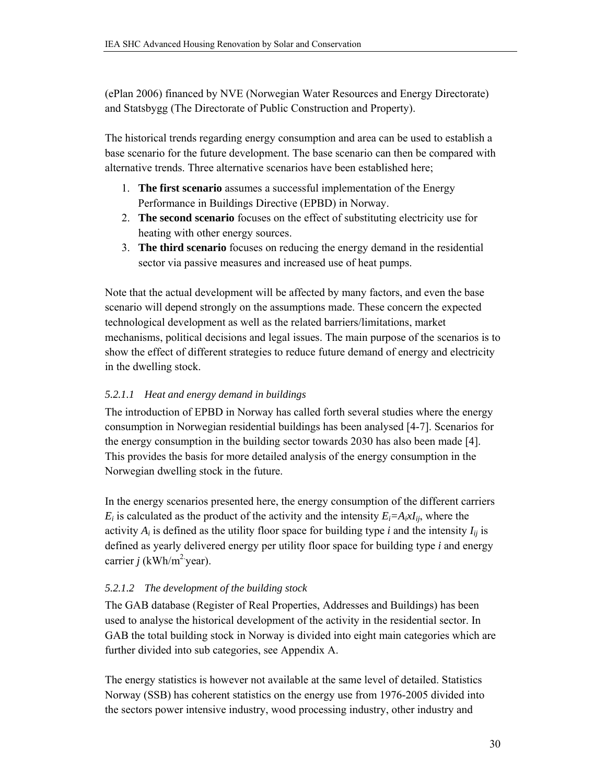(ePlan 2006) financed by NVE (Norwegian Water Resources and Energy Directorate) and Statsbygg (The Directorate of Public Construction and Property).

The historical trends regarding energy consumption and area can be used to establish a base scenario for the future development. The base scenario can then be compared with alternative trends. Three alternative scenarios have been established here;

- 1. **The first scenario** assumes a successful implementation of the Energy Performance in Buildings Directive (EPBD) in Norway.
- 2. **The second scenario** focuses on the effect of substituting electricity use for heating with other energy sources.
- 3. **The third scenario** focuses on reducing the energy demand in the residential sector via passive measures and increased use of heat pumps.

Note that the actual development will be affected by many factors, and even the base scenario will depend strongly on the assumptions made. These concern the expected technological development as well as the related barriers/limitations, market mechanisms, political decisions and legal issues. The main purpose of the scenarios is to show the effect of different strategies to reduce future demand of energy and electricity in the dwelling stock.

### *5.2.1.1 Heat and energy demand in buildings*

The introduction of EPBD in Norway has called forth several studies where the energy consumption in Norwegian residential buildings has been analysed [4-7]. Scenarios for the energy consumption in the building sector towards 2030 has also been made [4]. This provides the basis for more detailed analysis of the energy consumption in the Norwegian dwelling stock in the future.

In the energy scenarios presented here, the energy consumption of the different carriers  $E_i$  is calculated as the product of the activity and the intensity  $E_i = A_i x I_{ij}$ , where the activity  $A_i$  is defined as the utility floor space for building type *i* and the intensity  $I_{ij}$  is defined as yearly delivered energy per utility floor space for building type *i* and energy carrier  $j$  (kWh/m<sup>2</sup> year).

### *5.2.1.2 The development of the building stock*

The GAB database (Register of Real Properties, Addresses and Buildings) has been used to analyse the historical development of the activity in the residential sector. In GAB the total building stock in Norway is divided into eight main categories which are further divided into sub categories, see Appendix A.

The energy statistics is however not available at the same level of detailed. Statistics Norway (SSB) has coherent statistics on the energy use from 1976-2005 divided into the sectors power intensive industry, wood processing industry, other industry and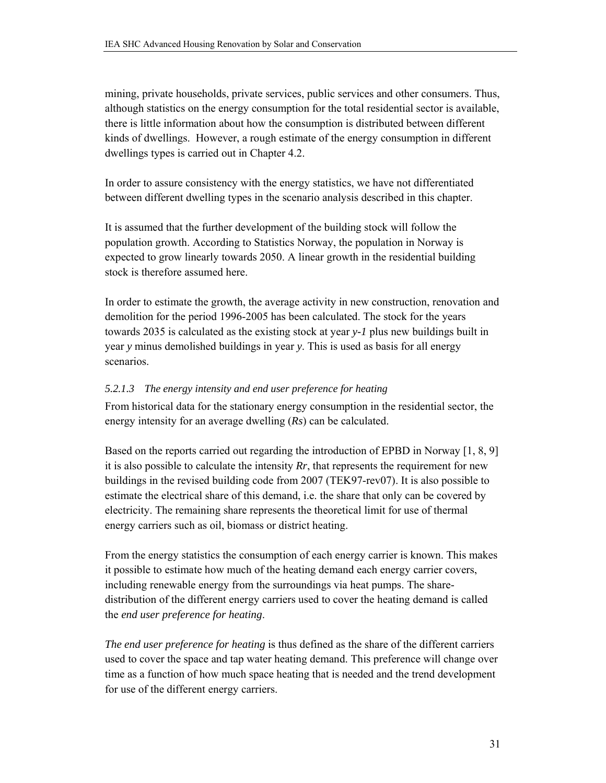mining, private households, private services, public services and other consumers. Thus, although statistics on the energy consumption for the total residential sector is available, there is little information about how the consumption is distributed between different kinds of dwellings. However, a rough estimate of the energy consumption in different dwellings types is carried out in Chapter 4.2.

In order to assure consistency with the energy statistics, we have not differentiated between different dwelling types in the scenario analysis described in this chapter.

It is assumed that the further development of the building stock will follow the population growth. According to Statistics Norway, the population in Norway is expected to grow linearly towards 2050. A linear growth in the residential building stock is therefore assumed here.

In order to estimate the growth, the average activity in new construction, renovation and demolition for the period 1996-2005 has been calculated. The stock for the years towards 2035 is calculated as the existing stock at year *y-1* plus new buildings built in year *y* minus demolished buildings in year *y*. This is used as basis for all energy scenarios.

### *5.2.1.3 The energy intensity and end user preference for heating*

From historical data for the stationary energy consumption in the residential sector, the energy intensity for an average dwelling (*Rs*) can be calculated.

Based on the reports carried out regarding the introduction of EPBD in Norway [1, 8, 9] it is also possible to calculate the intensity *Rr*, that represents the requirement for new buildings in the revised building code from 2007 (TEK97-rev07). It is also possible to estimate the electrical share of this demand, i.e. the share that only can be covered by electricity. The remaining share represents the theoretical limit for use of thermal energy carriers such as oil, biomass or district heating.

From the energy statistics the consumption of each energy carrier is known. This makes it possible to estimate how much of the heating demand each energy carrier covers, including renewable energy from the surroundings via heat pumps. The sharedistribution of the different energy carriers used to cover the heating demand is called the *end user preference for heating*.

*The end user preference for heating* is thus defined as the share of the different carriers used to cover the space and tap water heating demand. This preference will change over time as a function of how much space heating that is needed and the trend development for use of the different energy carriers.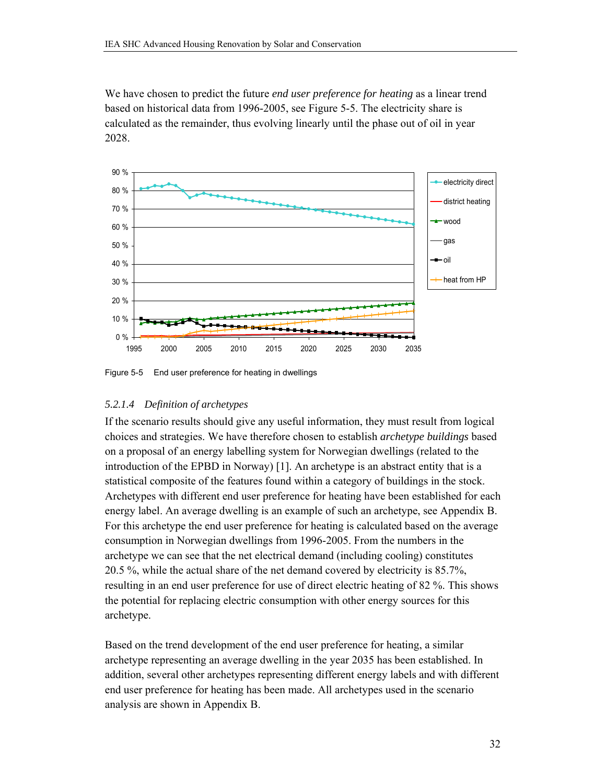We have chosen to predict the future *end user preference for heating* as a linear trend based on historical data from 1996-2005, see Figure 5-5. The electricity share is calculated as the remainder, thus evolving linearly until the phase out of oil in year 2028.



Figure 5-5 End user preference for heating in dwellings

### *5.2.1.4 Definition of archetypes*

If the scenario results should give any useful information, they must result from logical choices and strategies. We have therefore chosen to establish *archetype buildings* based on a proposal of an energy labelling system for Norwegian dwellings (related to the introduction of the EPBD in Norway) [1]. An archetype is an abstract entity that is a statistical composite of the features found within a category of buildings in the stock. Archetypes with different end user preference for heating have been established for each energy label. An average dwelling is an example of such an archetype, see Appendix B. For this archetype the end user preference for heating is calculated based on the average consumption in Norwegian dwellings from 1996-2005. From the numbers in the archetype we can see that the net electrical demand (including cooling) constitutes 20.5 %, while the actual share of the net demand covered by electricity is 85.7%, resulting in an end user preference for use of direct electric heating of 82 %. This shows the potential for replacing electric consumption with other energy sources for this archetype.

Based on the trend development of the end user preference for heating, a similar archetype representing an average dwelling in the year 2035 has been established. In addition, several other archetypes representing different energy labels and with different end user preference for heating has been made. All archetypes used in the scenario analysis are shown in Appendix B.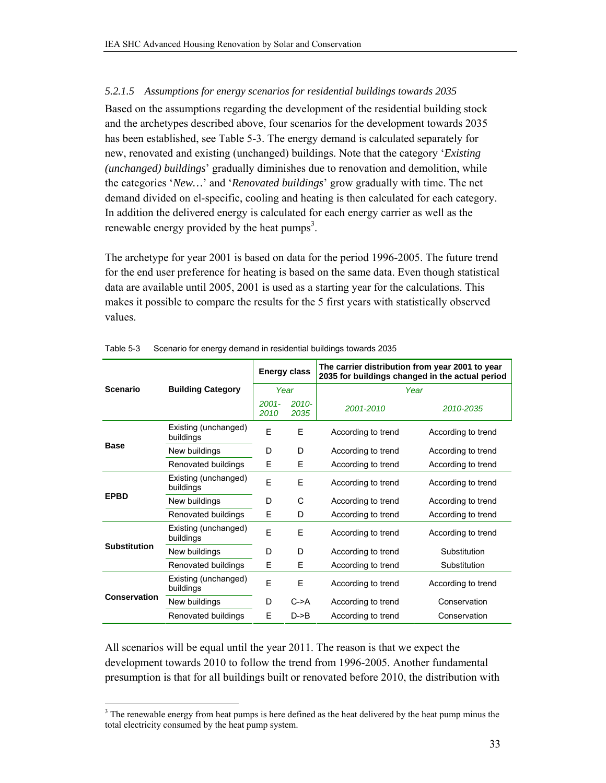### *5.2.1.5 Assumptions for energy scenarios for residential buildings towards 2035*

Based on the assumptions regarding the development of the residential building stock and the archetypes described above, four scenarios for the development towards 2035 has been established, see Table 5-3. The energy demand is calculated separately for new, renovated and existing (unchanged) buildings. Note that the category '*Existing (unchanged) buildings*' gradually diminishes due to renovation and demolition, while the categories '*New…*' and '*Renovated buildings*' grow gradually with time. The net demand divided on el-specific, cooling and heating is then calculated for each category. In addition the delivered energy is calculated for each energy carrier as well as the renewable energy provided by the heat pumps<sup>3</sup>.

The archetype for year 2001 is based on data for the period 1996-2005. The future trend for the end user preference for heating is based on the same data. Even though statistical data are available until 2005, 2001 is used as a starting year for the calculations. This makes it possible to compare the results for the 5 first years with statistically observed values.

|                     |                                   | <b>Energy class</b> |                   | The carrier distribution from year 2001 to year<br>2035 for buildings changed in the actual period |                    |  |  |
|---------------------|-----------------------------------|---------------------|-------------------|----------------------------------------------------------------------------------------------------|--------------------|--|--|
| <b>Scenario</b>     | <b>Building Category</b>          | Year                |                   | Year                                                                                               |                    |  |  |
|                     |                                   | $2001 -$<br>2010    | $2010 -$<br>2035  | 2001-2010                                                                                          | 2010-2035          |  |  |
|                     | Existing (unchanged)<br>buildings | E                   | E                 | According to trend                                                                                 | According to trend |  |  |
| <b>Base</b>         | New buildings                     | D                   | D                 | According to trend                                                                                 | According to trend |  |  |
|                     | Renovated buildings               | E                   | Е                 | According to trend                                                                                 | According to trend |  |  |
|                     | Existing (unchanged)<br>buildings | F                   | F                 | According to trend                                                                                 | According to trend |  |  |
| <b>EPBD</b>         | New buildings                     | D                   | C                 | According to trend                                                                                 | According to trend |  |  |
|                     | Renovated buildings               | E                   | D                 | According to trend                                                                                 | According to trend |  |  |
|                     | Existing (unchanged)<br>buildings | F                   | E                 | According to trend                                                                                 | According to trend |  |  |
| <b>Substitution</b> | New buildings                     | D                   | D                 | According to trend                                                                                 | Substitution       |  |  |
|                     | Renovated buildings               | E                   | Е                 | According to trend                                                                                 | Substitution       |  |  |
|                     | Existing (unchanged)<br>buildings | E                   | E                 | According to trend                                                                                 | According to trend |  |  |
| <b>Conservation</b> | New buildings                     | D                   | $C \rightarrow A$ | According to trend                                                                                 | Conservation       |  |  |
|                     | Renovated buildings               | E                   | $D\rightarrow B$  | According to trend                                                                                 | Conservation       |  |  |

#### Table 5-3 Scenario for energy demand in residential buildings towards 2035

All scenarios will be equal until the year 2011. The reason is that we expect the development towards 2010 to follow the trend from 1996-2005. Another fundamental presumption is that for all buildings built or renovated before 2010, the distribution with

<sup>&</sup>lt;sup>3</sup> The renewable energy from heat pumps is here defined as the heat delivered by the heat pump minus the total electricity consumed by the heat pump system.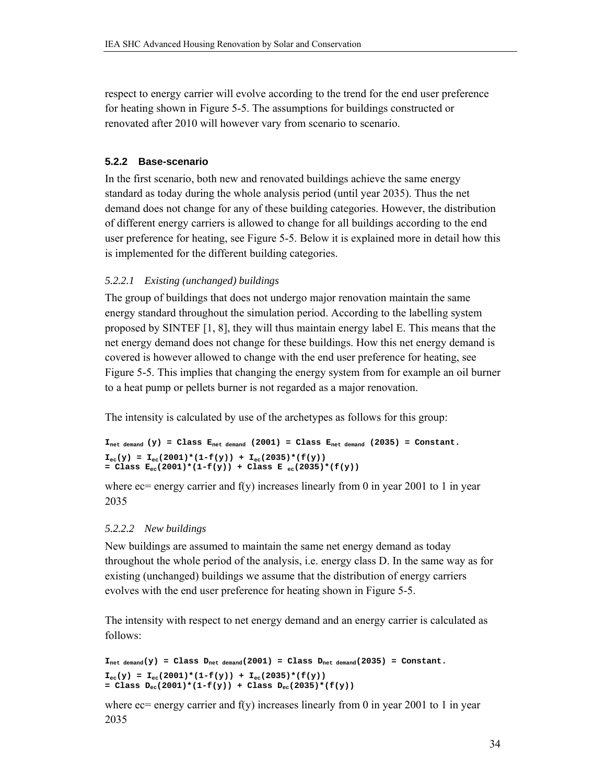respect to energy carrier will evolve according to the trend for the end user preference for heating shown in Figure 5-5. The assumptions for buildings constructed or renovated after 2010 will however vary from scenario to scenario.

### **5.2.2 Base-scenario**

In the first scenario, both new and renovated buildings achieve the same energy standard as today during the whole analysis period (until year 2035). Thus the net demand does not change for any of these building categories. However, the distribution of different energy carriers is allowed to change for all buildings according to the end user preference for heating, see Figure 5-5. Below it is explained more in detail how this is implemented for the different building categories.

### *5.2.2.1 Existing (unchanged) buildings*

The group of buildings that does not undergo major renovation maintain the same energy standard throughout the simulation period. According to the labelling system proposed by SINTEF [1, 8], they will thus maintain energy label E. This means that the net energy demand does not change for these buildings. How this net energy demand is covered is however allowed to change with the end user preference for heating, see Figure 5-5. This implies that changing the energy system from for example an oil burner to a heat pump or pellets burner is not regarded as a major renovation.

The intensity is calculated by use of the archetypes as follows for this group:

```
I_{net\ demand} (y) = Class E_{net\ demand} (2001) = Class E_{net\ demand} (2035) = Constant.
I_{\text{eq}}(y) = I_{\text{eq}}(2001) * (1 - f(y)) + I_{\text{eq}}(2035) * (f(y))= Class E_{ec}(2001)*(1-f(y)) + Class E_{ec}(2035)*(f(y))
```
where  $\chi$  energy carrier and f(y) increases linearly from 0 in year 2001 to 1 in year 2035

### *5.2.2.2 New buildings*

New buildings are assumed to maintain the same net energy demand as today throughout the whole period of the analysis, i.e. energy class D. In the same way as for existing (unchanged) buildings we assume that the distribution of energy carriers evolves with the end user preference for heating shown in Figure 5-5.

The intensity with respect to net energy demand and an energy carrier is calculated as follows:

```
I_{net\ demand}(y) = Class\ D_{net\ demand}(2001) = Class\ D_{net\ demand}(2035) = Constant.I_{ec}(y) = I_{ec}(2001) * (1 - f(y)) + I_{ec}(2035) * (f(y))= Class D_{ec}(2001)*(1-f(y)) + Class D_{ec}(2035)*(f(y))
```
where  $ec=$  energy carrier and f(y) increases linearly from 0 in year 2001 to 1 in year 2035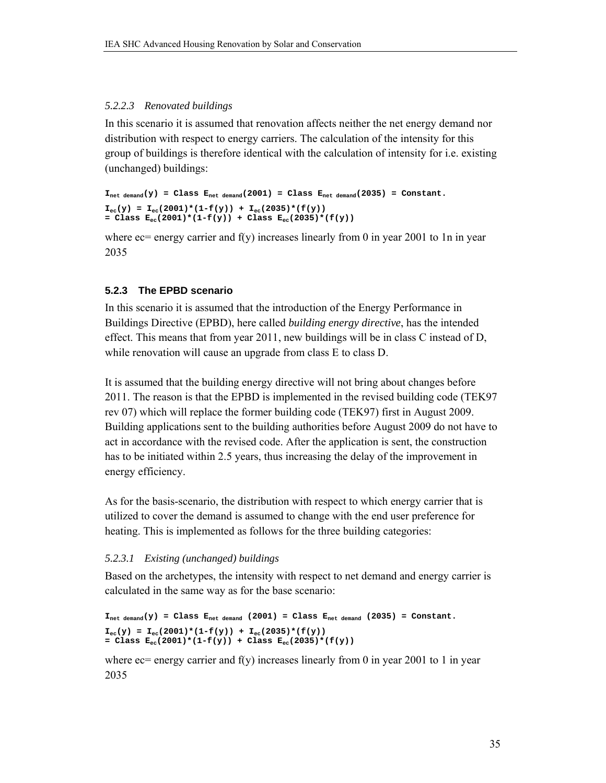### *5.2.2.3 Renovated buildings*

In this scenario it is assumed that renovation affects neither the net energy demand nor distribution with respect to energy carriers. The calculation of the intensity for this group of buildings is therefore identical with the calculation of intensity for i.e. existing (unchanged) buildings:

```
I_{net\ demand}(y) = Class E_{net\ demand}(2001) = Class E_{net\ demand}(2035) = Constant.I_{\text{ec}}(y) = I_{\text{ec}}(2001) * (1 - f(y)) + I_{\text{ec}}(2035) * (f(y))= Class E_{ec}(2001)*(1-f(y)) + Class E_{ec}(2035)*(f(y))
```
where  $\epsilon$  energy carrier and f(y) increases linearly from 0 in year 2001 to 1n in year 2035

### **5.2.3 The EPBD scenario**

In this scenario it is assumed that the introduction of the Energy Performance in Buildings Directive (EPBD), here called *building energy directive*, has the intended effect. This means that from year 2011, new buildings will be in class C instead of D, while renovation will cause an upgrade from class E to class D.

It is assumed that the building energy directive will not bring about changes before 2011. The reason is that the EPBD is implemented in the revised building code (TEK97 rev 07) which will replace the former building code (TEK97) first in August 2009. Building applications sent to the building authorities before August 2009 do not have to act in accordance with the revised code. After the application is sent, the construction has to be initiated within 2.5 years, thus increasing the delay of the improvement in energy efficiency.

As for the basis-scenario, the distribution with respect to which energy carrier that is utilized to cover the demand is assumed to change with the end user preference for heating. This is implemented as follows for the three building categories:

### *5.2.3.1 Existing (unchanged) buildings*

Based on the archetypes, the intensity with respect to net demand and energy carrier is calculated in the same way as for the base scenario:

```
I_{\text{net demand}}(y) = \text{Class } E_{\text{net demand}}(2001) = \text{Class } E_{\text{net demand}}(2035) = \text{Constant}.I_{ec}(y) = I_{ec}(2001)*(1-f(y)) + I_{ec}(2035)*(f(y))= Class E_{ec}(2001)*(1-f(y)) + Class E_{ec}(2035)*(f(y))
```
where  $ec$ = energy carrier and  $f(y)$  increases linearly from 0 in year 2001 to 1 in year 2035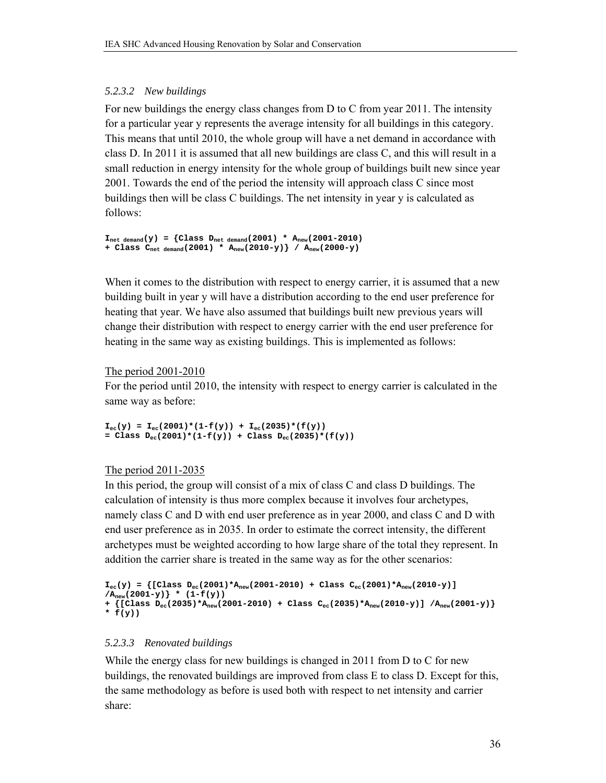### *5.2.3.2 New buildings*

For new buildings the energy class changes from D to C from year 2011. The intensity for a particular year y represents the average intensity for all buildings in this category. This means that until 2010, the whole group will have a net demand in accordance with class D. In 2011 it is assumed that all new buildings are class C, and this will result in a small reduction in energy intensity for the whole group of buildings built new since year 2001. Towards the end of the period the intensity will approach class C since most buildings then will be class C buildings. The net intensity in year y is calculated as follows:

```
I_{\text{net demand}}(y) = \{ \text{Class } D_{\text{net demand}}(2001) * A_{\text{new}}(2001-2010) \}+ Class Cnet demand(2001) * Anew(2010-y)} / Anew(2000-y)
```
When it comes to the distribution with respect to energy carrier, it is assumed that a new building built in year y will have a distribution according to the end user preference for heating that year. We have also assumed that buildings built new previous years will change their distribution with respect to energy carrier with the end user preference for heating in the same way as existing buildings. This is implemented as follows:

#### The period 2001-2010

For the period until 2010, the intensity with respect to energy carrier is calculated in the same way as before:

 $I_{ec}(y) = I_{ec}(2001)*(1-f(y)) + I_{ec}(2035)*(f(y))$  $=$  Class  $D_{ec}(2001)*(1-f(y)) + Class D_{ec}(2035)*(f(y))$ 

### The period 2011-2035

In this period, the group will consist of a mix of class C and class D buildings. The calculation of intensity is thus more complex because it involves four archetypes, namely class C and D with end user preference as in year 2000, and class C and D with end user preference as in 2035. In order to estimate the correct intensity, the different archetypes must be weighted according to how large share of the total they represent. In addition the carrier share is treated in the same way as for the other scenarios:

```
I_{ec}(y) = \{ [Class D_{ec}(2001) * A_{new}(2001-2010) + Class C_{ec}(2001) * A_{new}(2010-y)] \}\langle A_{\text{new}}(2001-y) \rangle * (1-f(y))+ {[Class Dec(2035)*Anew(2001-2010) + Class Cec(2035)*Anew(2010-y)] /Anew(2001-y)} 
* f(y))
```
#### *5.2.3.3 Renovated buildings*

While the energy class for new buildings is changed in 2011 from D to C for new buildings, the renovated buildings are improved from class E to class D. Except for this, the same methodology as before is used both with respect to net intensity and carrier share: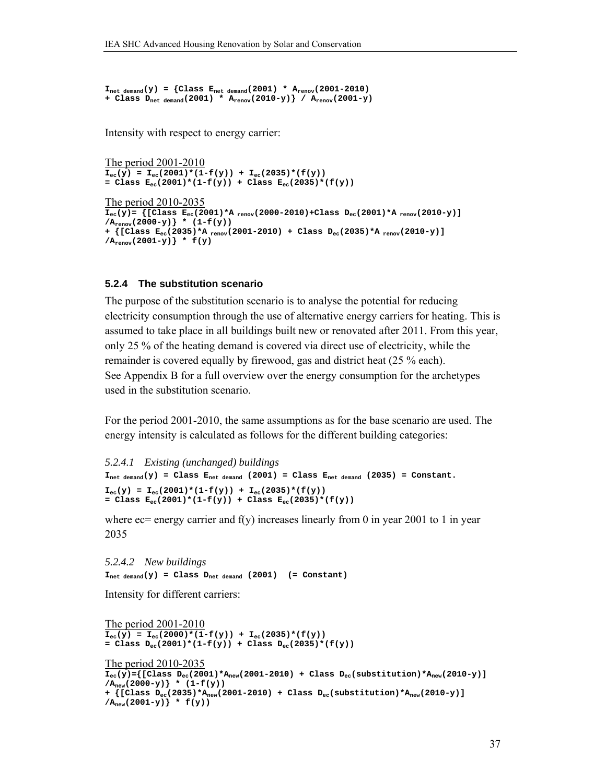$I_{\text{net demand}}(y) = {Class E_{\text{net demand}}(2001) * A_{\text{renov}}(2001-2010)}$ **+ Class Dnet demand(2001) \* Arenov(2010-y)} / Arenov(2001-y)** 

Intensity with respect to energy carrier:

The period 2001-2010  $I_{\text{ec}}(y) = I_{\text{ec}}(2001) * (1 - f(y)) + I_{\text{ec}}(2035) * (f(y))$  $=$  Class  $E_{ec}(2001)*(1-f(y)) + Class E_{ec}(2035)*(f(y))$ 

```
The period 2010-2035
\overline{I_{ec}(y)} = \{[Class E_{ec}(2001) * A<sub>renov</sub>(2000-2010)+Class D_{ec}(2001) * A<sub>renov</sub>(2010-y)]
/A<sub>renov</sub>(2000-y) * (1-f(y))
+ {[Class Eec(2035)*A renov(2001-2010) + Class Dec(2035)*A renov(2010-y)] 
/A<sub>renov</sub>(2001-y) * f(y)
```
#### **5.2.4 The substitution scenario**

The purpose of the substitution scenario is to analyse the potential for reducing electricity consumption through the use of alternative energy carriers for heating. This is assumed to take place in all buildings built new or renovated after 2011. From this year, only 25 % of the heating demand is covered via direct use of electricity, while the remainder is covered equally by firewood, gas and district heat (25 % each). See Appendix B for a full overview over the energy consumption for the archetypes used in the substitution scenario.

For the period 2001-2010, the same assumptions as for the base scenario are used. The energy intensity is calculated as follows for the different building categories:

```
5.2.4.1 Existing (unchanged) buildings 
I_{net\ demand}(y) = Class E_{net\ demand} (2001) = Class E_{net\ demand} (2035) = Constant.
I_{ec}(y) = I_{ec}(2001)*(1-f(y)) + I_{ec}(2035)*(f(y))= Class E_{ec}(2001)*(1-f(y)) + Class E_{ec}(2035)*(f(y))
```
where  $ec=$  energy carrier and f(y) increases linearly from 0 in year 2001 to 1 in year 2035

*5.2.4.2 New buildings*  **Inet demand(y) = Class Dnet demand (2001) (= Constant)** 

Intensity for different carriers:

```
The period 2001-2010
I_{ec}(\hat{y}) = I_{ec}(2000) * (1 - f(y)) + I_{ec}(2035) * (f(y))= Class D_{ec}(2001)*(1-f(y)) + Class D_{ec}(2035)*(f(y))The period 2010-2035
I_{ec}(\bar{y}) ={[Class D_{ec}(2001)*A_{new}(2001-2010) + Class D_{ec}(substitution)*A_{new}(2010-y)]
/\rm A_{new}(2000-y) * (1-f(y))+ {[Class Dec(2035)*Anew(2001-2010) + Class Dec(substitution)*Anew(2010-y)] 
/A<sub>new</sub>(2001-y)} * f(y)
```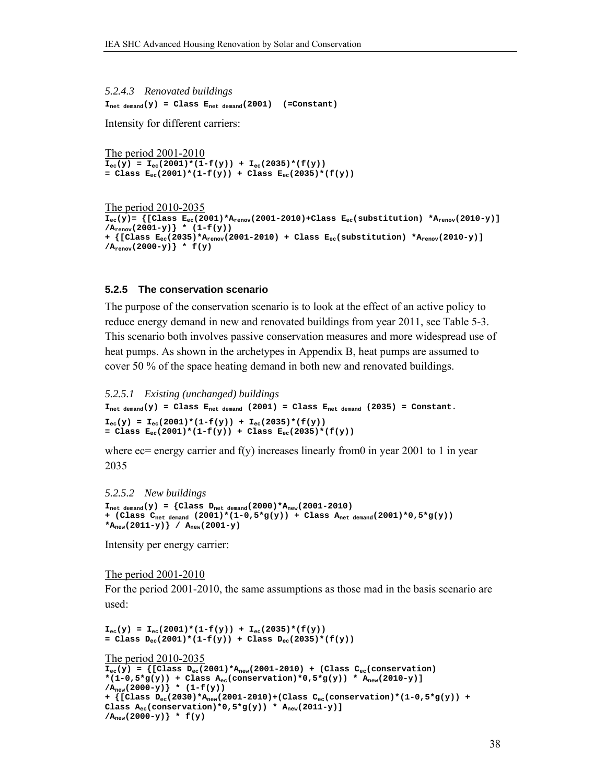*5.2.4.3 Renovated buildings*   $I_{\text{net demand}}(y) = Class E_{\text{net demand}}(2001)$  (=Constant)

Intensity for different carriers:

The period 2001-2010  $I_{ec}(y) = I_{ec}(2001)*(1-f(y)) + I_{ec}(2035)*(f(y))$ = Class  $E_{ec}(2001)*(1-f(y))$  + Class  $E_{ec}(2035)*(f(y))$ 

```
The period 2010-2035
I_{ec}(\bar{y})= {[Class E_{ec}(2001)*A_{renov}(2001-2010)+Class E_{ec}(substitution) *A_{renov}(2010-\bar{y})]
/Arenov(2001-y)} * (1-f(y)) 
+ {[Class Eec(2035)*Arenov(2001-2010) + Class Eec(substitution) *Arenov(2010-y)] 
/A<sub>renov</sub>(2000-y) * f(y)
```
#### **5.2.5 The conservation scenario**

The purpose of the conservation scenario is to look at the effect of an active policy to reduce energy demand in new and renovated buildings from year 2011, see Table 5-3. This scenario both involves passive conservation measures and more widespread use of heat pumps. As shown in the archetypes in Appendix B, heat pumps are assumed to cover 50 % of the space heating demand in both new and renovated buildings.

```
5.2.5.1 Existing (unchanged) buildings 
I_{\text{net demand}}(y) = Class E_{\text{net demand}} (2001) = Class E_{\text{net demand}} (2035) = Constant.I_{ec}(y) = I_{ec}(2001) * (1 - f(y)) + I_{ec}(2035) * (f(y))= Class E_{ec}(2001)*(1-f(y)) + Class E_{ec}(2035)*(f(y))
```
where  $\text{e} = \text{energy carrier}$  and  $f(y)$  increases linearly from0 in year 2001 to 1 in year 2035

```
5.2.5.2 New buildings 
I_{\text{net demand}}(y) = {Class D_{\text{net demand}}(2000)*A_{\text{new}}(2001-2010)}+ (Class Cnet demand (2001)*(1-0,5*g(y)) + Class Anet demand(2001)*0,5*g(y)) 
*_{A_{new}}(2011-y) / A_{new}(2001-y)
```
Intensity per energy carrier:

```
The period 2001-2010
```
For the period 2001-2010, the same assumptions as those mad in the basis scenario are used:

```
I_{ec}(y) = I_{ec}(2001) * (1 - f(y)) + I_{ec}(2035) * (f(y))= Class D_{ec}(2001)*(1-f(y)) + Class D_{ec}(2035)*(f(y))The period 2010-2035
\overline{I_{ec}(y)} = \{ [Class\ D_{ec}(2001) * A_{new}(2001-2010) + (Class\ C_{ec}(conservation)*(1-0,5*g(y)) + Class A_{ec}(conservation)*0,5*g(y)) * A_{new}(2010-y)]
/A<sub>new</sub>(2000-y) } * (1-f(y))
+ {[Class Dec(2030)*Anew(2001-2010)+(Class Cec(conservation)*(1-0,5*g(y)) + 
Class A_{ec}(conservation)*0,5*g(y)) * A_{new}(2011-y)]
/A_{\text{new}}(2000-y) * f(y)
```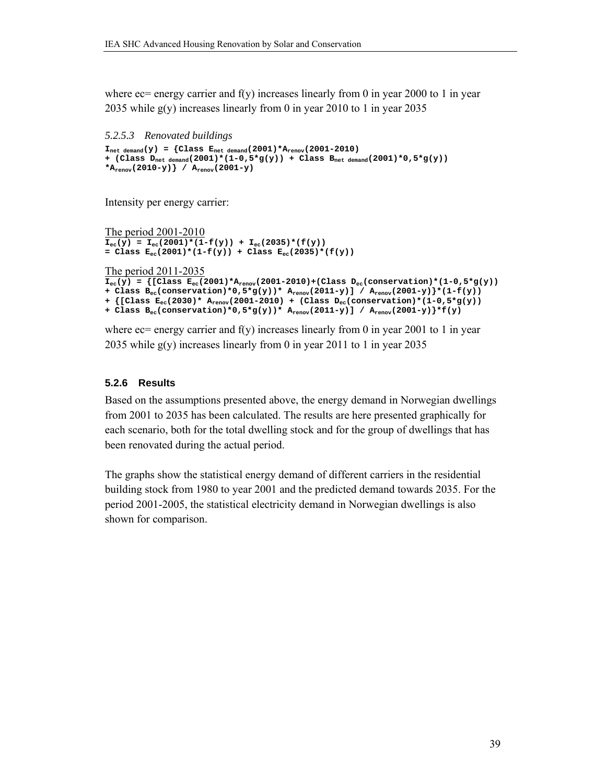where  $\chi$  energy carrier and f(y) increases linearly from 0 in year 2000 to 1 in year 2035 while g(y) increases linearly from 0 in year 2010 to 1 in year 2035

```
5.2.5.3 Renovated buildings 
I_{\text{net demand}}(y) = \{Class E_{\text{net demand}}(2001) * A_{\text{renov}}(2001-2010) \}+ (Class Dnet demand(2001)*(1-0,5*g(y)) + Class Bnet demand(2001)*0,5*g(y)) 
*_{A_{\text{renov}}(2010-y)} / A_{\text{renov}}(2001-y)
```
Intensity per energy carrier:

```
The period 2001-2010
I_{ec}(y) = I_{ec}(2001)*(1-f(y)) + I_{ec}(2035)*(f(y))= Class E_{ec}(2001)*(1-f(y)) + Class E_{ec}(2035)*(f(y))
```
The period 2011-2035

```
\overline{I}_{ec}(\gamma) = \{ [Class E_{ec}(2001) * A_{renov}(2001-2010) + (Class D_{ec}(conservation) * (1-0.5 * g(\gamma))+ Class Bec(conservation)*0,5*g(y))* Arenov(2011-y)] / Arenov(2001-y)}*(1-f(y)) 
+ {[Class Eec(2030)* Arenov(2001-2010) + (Class Dec(conservation)*(1-0,5*g(y)) 
+ Class Bec(conservation)*0,5*g(y))* Arenov(2011-y)] / Arenov(2001-y)}*f(y)
```
where  $ec=$  energy carrier and f(y) increases linearly from 0 in year 2001 to 1 in year 2035 while g(y) increases linearly from 0 in year 2011 to 1 in year 2035

#### **5.2.6 Results**

Based on the assumptions presented above, the energy demand in Norwegian dwellings from 2001 to 2035 has been calculated. The results are here presented graphically for each scenario, both for the total dwelling stock and for the group of dwellings that has been renovated during the actual period.

The graphs show the statistical energy demand of different carriers in the residential building stock from 1980 to year 2001 and the predicted demand towards 2035. For the period 2001-2005, the statistical electricity demand in Norwegian dwellings is also shown for comparison.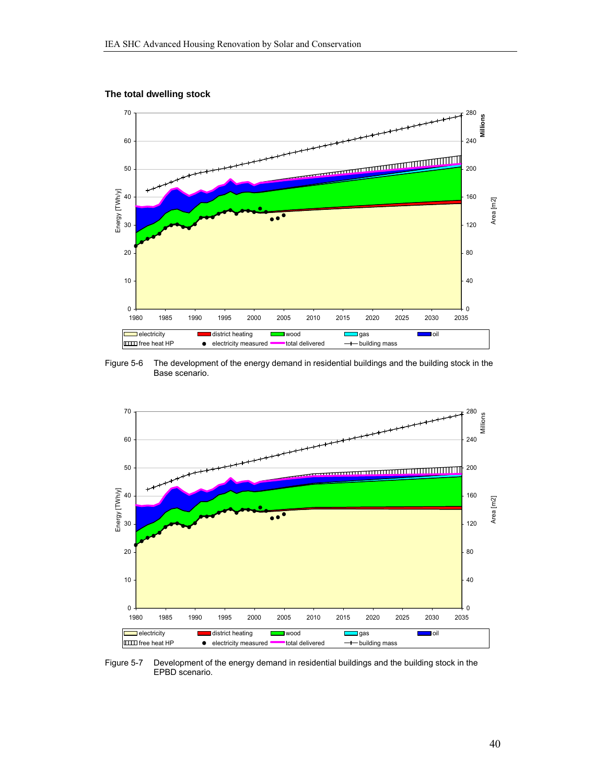



Figure 5-6 The development of the energy demand in residential buildings and the building stock in the Base scenario.



Figure 5-7 Development of the energy demand in residential buildings and the building stock in the EPBD scenario.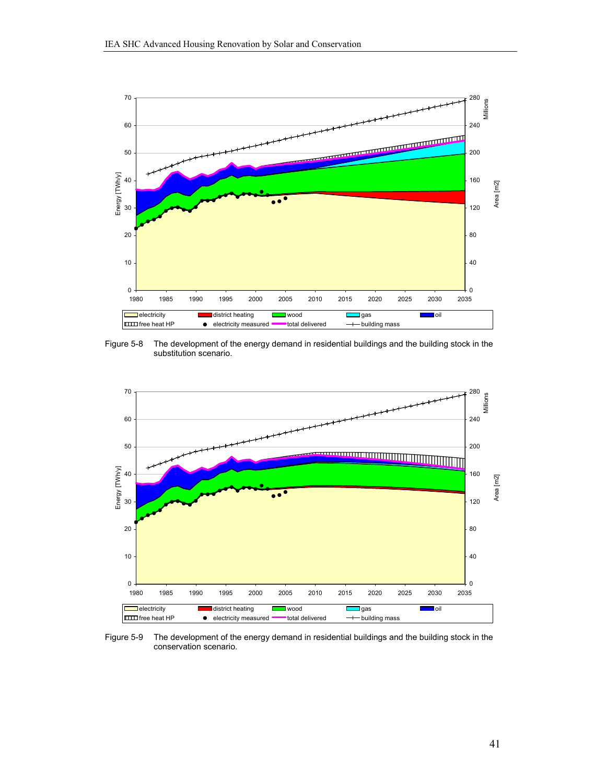

Figure 5-8 The development of the energy demand in residential buildings and the building stock in the substitution scenario.



Figure 5-9 The development of the energy demand in residential buildings and the building stock in the conservation scenario.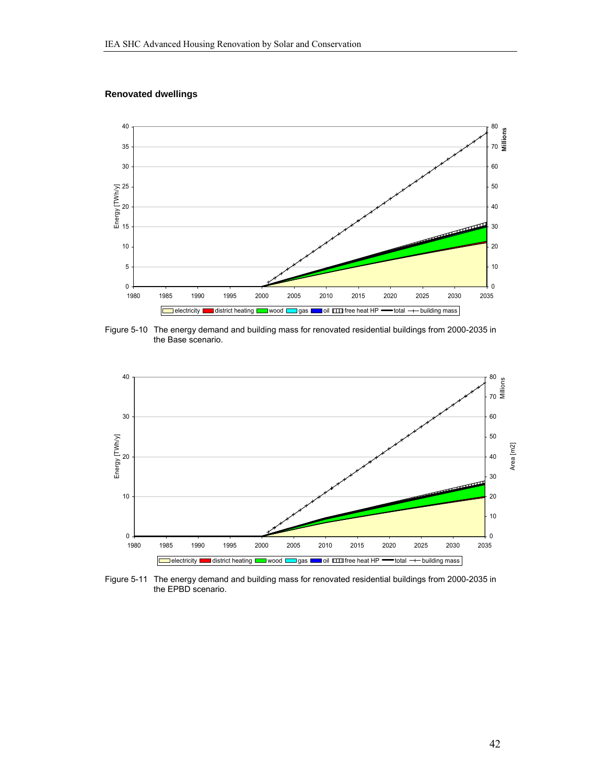#### **Renovated dwellings**



Figure 5-10 The energy demand and building mass for renovated residential buildings from 2000-2035 in the Base scenario.



Figure 5-11 The energy demand and building mass for renovated residential buildings from 2000-2035 in the EPBD scenario.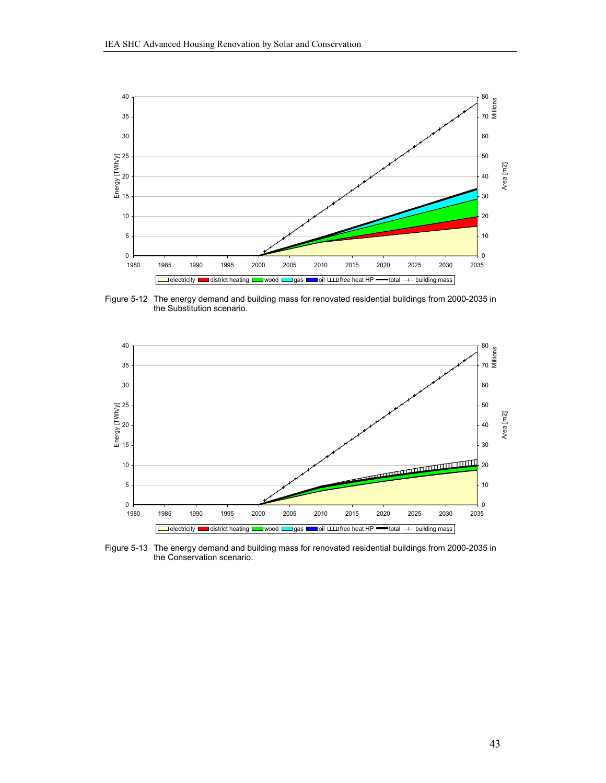

Figure 5-12 The energy demand and building mass for renovated residential buildings from 2000-2035 in the Substitution scenario.



Figure 5-13 The energy demand and building mass for renovated residential buildings from 2000-2035 in the Conservation scenario.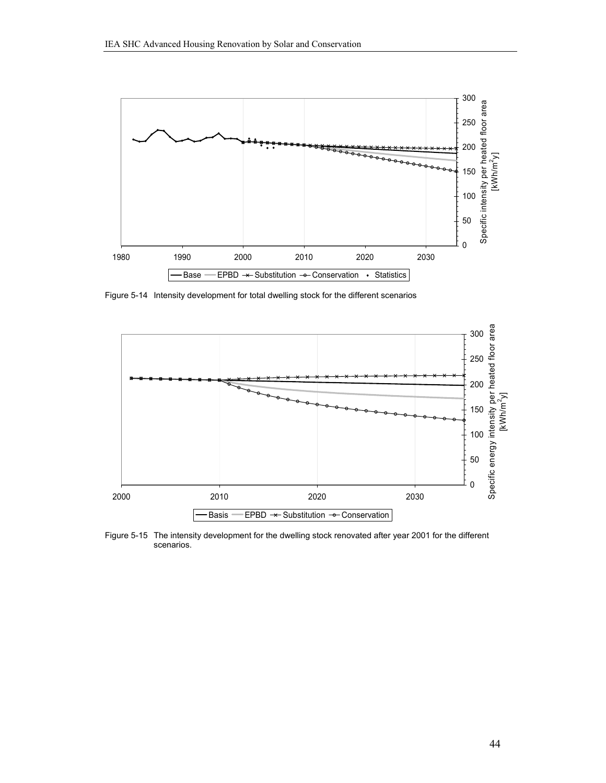

Figure 5-14 Intensity development for total dwelling stock for the different scenarios



Figure 5-15 The intensity development for the dwelling stock renovated after year 2001 for the different scenarios.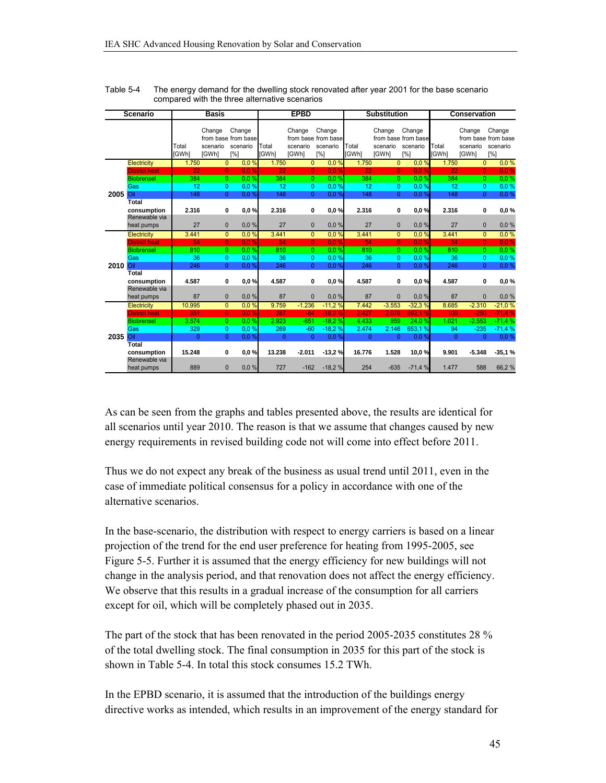| <b>Scenario</b> |                              |                       | <b>Basis</b>                |                                                  |                       | <b>EPBD</b>                 |                                                  |                       | <b>Substitution</b>                |                                                  |                       | <b>Conservation</b>         |                                                  |  |
|-----------------|------------------------------|-----------------------|-----------------------------|--------------------------------------------------|-----------------------|-----------------------------|--------------------------------------------------|-----------------------|------------------------------------|--------------------------------------------------|-----------------------|-----------------------------|--------------------------------------------------|--|
|                 |                              | Total<br><b>IGWhl</b> | Change<br>scenario<br>[GWh] | Change<br>from base from base<br>scenario<br>[%] | Total<br><b>IGWhl</b> | Change<br>scenario<br>[GWh] | Change<br>from base from base<br>scenario<br>[%] | Total<br><b>IGWhl</b> | Change<br>scenario<br><b>IGWhl</b> | Change<br>from base from base<br>scenario<br>[%] | Total<br><b>IGWhl</b> | Change<br>scenario<br>[GWh] | Change<br>from base from base<br>scenario<br>[%] |  |
|                 | Electricity                  | 1.750                 |                             | 0.0%<br>$\overline{0}$                           | 1.750                 | $\overline{0}$              | 0.0%                                             | 1.750                 | $\overline{0}$                     | 0.0%                                             | 1.750                 | $\overline{0}$              | 0.0%                                             |  |
|                 | <b>District heat</b>         | 22                    |                             | 0.0%<br>$\overline{0}$                           | 22                    | $\mathbf{0}$                | 0.0%                                             | 22                    | $\overline{0}$                     | 0.0%                                             | 22                    | $\overline{0}$              | 0.0%                                             |  |
|                 | <b>Biobrensel</b>            | 384                   |                             | 0.0%<br>$\overline{0}$                           | 384                   | $\Omega$                    | 0.0%                                             | 384                   | $\Omega$                           | 0.0%                                             | 384                   | $\Omega$                    | 0.0%                                             |  |
|                 | Gas                          | 12                    |                             | 0.0%<br>0                                        | 12                    | $\overline{0}$              | 0,0%                                             | 12                    | $\Omega$                           | 0.0%                                             | 12                    | $\overline{0}$              | 0.0%                                             |  |
| 2005            | Oil                          | 148                   |                             | $\overline{0}$<br>0.0%                           | 148                   | $\overline{0}$              | 0,0%                                             | 148                   | $\Omega$                           | 0.0%                                             | 148                   | $\Omega$                    | 0.0%                                             |  |
|                 | Total                        |                       |                             |                                                  |                       |                             |                                                  |                       |                                    |                                                  |                       |                             |                                                  |  |
|                 | consumption                  | 2.316                 |                             | 0,0%<br>0                                        | 2.316                 | 0                           | 0.0%                                             | 2.316                 | 0                                  | 0.0%                                             | 2.316                 | 0                           | 0,0%                                             |  |
|                 | Renewable via                |                       |                             |                                                  |                       |                             |                                                  |                       |                                    |                                                  |                       |                             |                                                  |  |
|                 | heat pumps                   | 27                    |                             | $\mathbf{0}$<br>0.0%                             | 27                    | $\Omega$                    | 0.0%                                             | 27                    | $\Omega$                           | 0.0%                                             | 27                    | $\mathbf{0}$                | 0.0%                                             |  |
|                 | Electricity                  | 3.441                 |                             | $\overline{0}$<br>0.0%                           | 3.441                 | $\overline{0}$              | 0.0%                                             | 3.441                 | $\overline{0}$                     | 0.0%                                             | 3.441                 | $\overline{0}$              | 0.0%                                             |  |
|                 | <b>District heat</b>         | 54                    |                             | 0.0%<br>$\overline{0}$                           | 54                    | $\mathbf{0}$                | 0.0%                                             | 54                    | $\Omega$                           | 0.0%                                             | 54                    | $\mathbf{0}$                | 0.0%                                             |  |
|                 | <b>Biobrensel</b>            | 810                   |                             | 0.0%<br>$\mathbf{0}$                             | 810                   | 0                           | 0.0%                                             | 810                   | $\Omega$                           | 0.0%                                             | 810                   | $\overline{0}$              | 0.0%                                             |  |
|                 | Gas                          | 36                    |                             | $\overline{0}$<br>0.0%                           | 36                    | $\overline{0}$              | 0.0%                                             | 36                    | $\Omega$                           | 0.0%                                             | 36                    | $\Omega$                    | 0.0%                                             |  |
| 2010 Oil        |                              | 246                   |                             | $\overline{0}$<br>0.0%                           | 246                   | $\overline{0}$              | 0.0%                                             | 246                   | $\Omega$                           | 0.0%                                             | 246                   | $\Omega$                    | 0,0%                                             |  |
|                 | Total                        |                       |                             |                                                  |                       |                             |                                                  |                       |                                    |                                                  |                       |                             |                                                  |  |
|                 | consumption<br>Renewable via | 4.587                 |                             | 0,0%<br>0                                        | 4.587                 | 0                           | 0,0%                                             | 4.587                 | 0                                  | 0.0%                                             | 4.587                 | 0                           | 0,0%                                             |  |
|                 | heat pumps                   | 87                    |                             | 0.0%<br>$\mathbf{0}$                             | 87                    | $\mathbf{0}$                | 0,0%                                             | 87                    | $\mathbf{0}$                       | 0.0%                                             | 87                    | $\mathbf{0}$                | 0.0%                                             |  |
|                 | Electricity                  | 10.995                |                             | $\overline{0}$<br>0,0%                           | 9.759                 | $-1.236$                    | $-11,2%$                                         | 7.442                 | $-3.553$                           | $-32.3%$                                         | 8.685                 | $-2.310$                    | $-21,0%$                                         |  |
|                 | <b>District heat</b>         | 351                   |                             | $\overline{0}$<br>0.0%                           | 287                   | $-64$                       | $-18.2%$                                         | 2.427                 | 2.076                              | 592.1 %                                          | 100                   | $-250$                      | $-71.4%$                                         |  |
|                 | <b>Biobrensel</b>            | 3.574                 |                             | 0.0%<br>$\overline{0}$                           | 2.923                 | $-651$                      | $-18.2%$                                         | 4.433                 | 859                                | 24,0%                                            | 1.021                 | $-2.553$                    | $-71,4%$                                         |  |
|                 | Gas                          | 329                   |                             | 0<br>0.0%                                        | 269                   | $-60$                       | $-18.2%$                                         | 2.474                 | 2.146                              | 653,1%                                           | 94                    | $-235$                      | $-71,4%$                                         |  |
| 2035            | Oil                          | $\mathbf{0}$          |                             | $\overline{0}$<br>0,0%                           | $\Omega$              | $\Omega$                    | 0.0%                                             | $\Omega$              | $\Omega$                           | 0.0%                                             | $\mathbf{0}$          | $\Omega$                    | 0.0%                                             |  |
|                 | <b>Total</b>                 |                       |                             |                                                  |                       |                             |                                                  |                       |                                    |                                                  |                       |                             |                                                  |  |
|                 | consumption                  | 15.248                |                             | 0<br>0.0%                                        | 13.238                | $-2.011$                    | $-13,2%$                                         | 16.776                | 1.528                              | 10,0%                                            | 9.901                 | $-5.348$                    | $-35,1%$                                         |  |
|                 | Renewable via                |                       |                             |                                                  |                       |                             |                                                  |                       |                                    |                                                  |                       |                             |                                                  |  |
|                 | heat pumps                   | 889                   |                             | $\overline{0}$<br>0.0%                           | 727                   | $-162$                      | $-18,2%$                                         | 254                   | $-635$                             | $-71,4%$                                         | 1.477                 | 588                         | 66,2%                                            |  |

Table 5-4 The energy demand for the dwelling stock renovated after year 2001 for the base scenario compared with the three alternative scenarios

As can be seen from the graphs and tables presented above, the results are identical for all scenarios until year 2010. The reason is that we assume that changes caused by new energy requirements in revised building code not will come into effect before 2011.

Thus we do not expect any break of the business as usual trend until 2011, even in the case of immediate political consensus for a policy in accordance with one of the alternative scenarios.

In the base-scenario, the distribution with respect to energy carriers is based on a linear projection of the trend for the end user preference for heating from 1995-2005, see Figure 5-5. Further it is assumed that the energy efficiency for new buildings will not change in the analysis period, and that renovation does not affect the energy efficiency. We observe that this results in a gradual increase of the consumption for all carriers except for oil, which will be completely phased out in 2035.

The part of the stock that has been renovated in the period 2005-2035 constitutes 28 % of the total dwelling stock. The final consumption in 2035 for this part of the stock is shown in Table 5-4. In total this stock consumes 15.2 TWh.

In the EPBD scenario, it is assumed that the introduction of the buildings energy directive works as intended, which results in an improvement of the energy standard for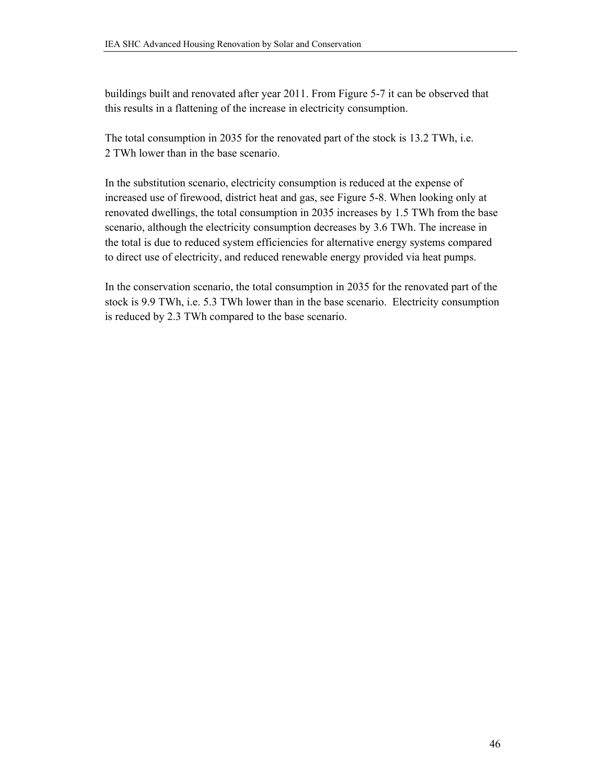buildings built and renovated after year 2011. From Figure 5-7 it can be observed that this results in a flattening of the increase in electricity consumption.

The total consumption in 2035 for the renovated part of the stock is 13.2 TWh, i.e. 2 TWh lower than in the base scenario.

In the substitution scenario, electricity consumption is reduced at the expense of increased use of firewood, district heat and gas, see Figure 5-8. When looking only at renovated dwellings, the total consumption in 2035 increases by 1.5 TWh from the base scenario, although the electricity consumption decreases by 3.6 TWh. The increase in the total is due to reduced system efficiencies for alternative energy systems compared to direct use of electricity, and reduced renewable energy provided via heat pumps.

In the conservation scenario, the total consumption in 2035 for the renovated part of the stock is 9.9 TWh, i.e. 5.3 TWh lower than in the base scenario. Electricity consumption is reduced by 2.3 TWh compared to the base scenario.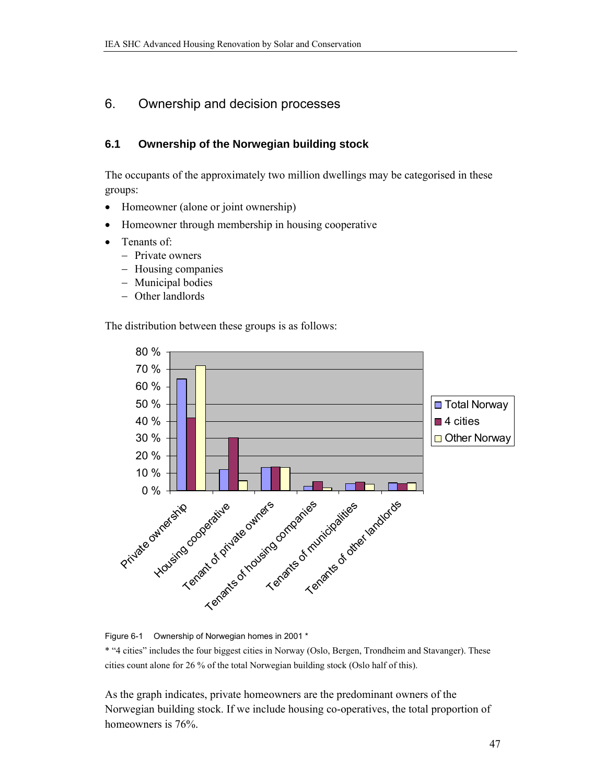### 6. Ownership and decision processes

### **6.1 Ownership of the Norwegian building stock**

The occupants of the approximately two million dwellings may be categorised in these groups:

- Homeowner (alone or joint ownership)
- Homeowner through membership in housing cooperative
- Tenants of:
	- Private owners
	- Housing companies
	- Municipal bodies
	- Other landlords

The distribution between these groups is as follows:



Figure 6-1 Ownership of Norwegian homes in 2001 \*

\* "4 cities" includes the four biggest cities in Norway (Oslo, Bergen, Trondheim and Stavanger). These cities count alone for 26 % of the total Norwegian building stock (Oslo half of this).

As the graph indicates, private homeowners are the predominant owners of the Norwegian building stock. If we include housing co-operatives, the total proportion of homeowners is 76%.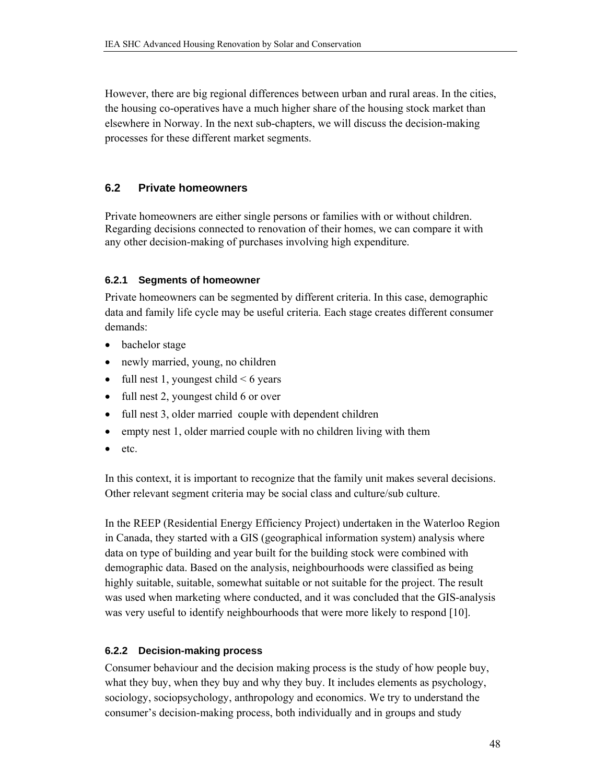However, there are big regional differences between urban and rural areas. In the cities, the housing co-operatives have a much higher share of the housing stock market than elsewhere in Norway. In the next sub-chapters, we will discuss the decision-making processes for these different market segments.

### **6.2 Private homeowners**

Private homeowners are either single persons or families with or without children. Regarding decisions connected to renovation of their homes, we can compare it with any other decision-making of purchases involving high expenditure.

### **6.2.1 Segments of homeowner**

Private homeowners can be segmented by different criteria. In this case, demographic data and family life cycle may be useful criteria. Each stage creates different consumer demands:

- bachelor stage
- newly married, young, no children
- full nest 1, youngest child  $< 6$  years
- full nest 2, youngest child 6 or over
- full nest 3, older married couple with dependent children
- empty nest 1, older married couple with no children living with them
- etc.

In this context, it is important to recognize that the family unit makes several decisions. Other relevant segment criteria may be social class and culture/sub culture.

In the REEP (Residential Energy Efficiency Project) undertaken in the Waterloo Region in Canada, they started with a GIS (geographical information system) analysis where data on type of building and year built for the building stock were combined with demographic data. Based on the analysis, neighbourhoods were classified as being highly suitable, suitable, somewhat suitable or not suitable for the project. The result was used when marketing where conducted, and it was concluded that the GIS-analysis was very useful to identify neighbourhoods that were more likely to respond [10].

### **6.2.2 Decision-making process**

Consumer behaviour and the decision making process is the study of how people buy, what they buy, when they buy and why they buy. It includes elements as psychology, sociology, sociopsychology, anthropology and economics. We try to understand the consumer's decision-making process, both individually and in groups and study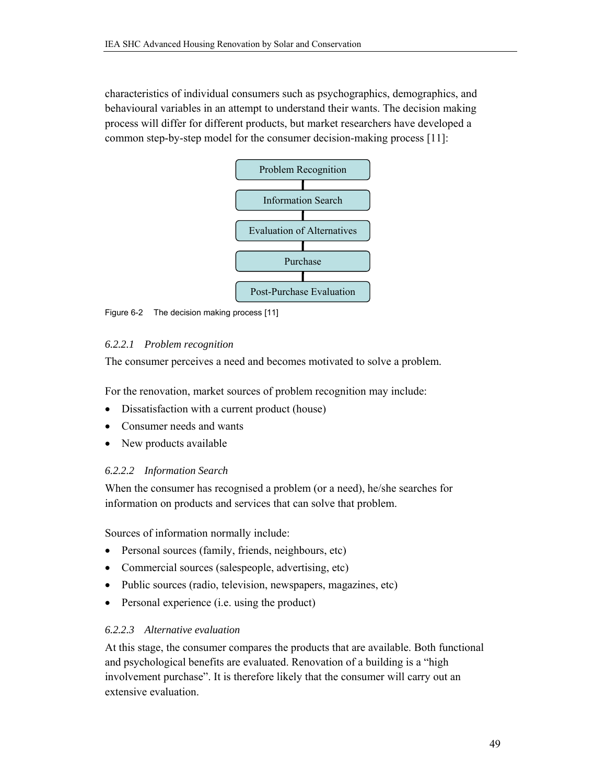characteristics of individual consumers such as psychographics, demographics, and behavioural variables in an attempt to understand their wants. The decision making process will differ for different products, but market researchers have developed a common step-by-step model for the consumer decision-making process [11]:



Figure 6-2 The decision making process [11]

### *6.2.2.1 Problem recognition*

The consumer perceives a need and becomes motivated to solve a problem.

For the renovation, market sources of problem recognition may include:

- Dissatisfaction with a current product (house)
- Consumer needs and wants
- New products available

### *6.2.2.2 Information Search*

When the consumer has recognised a problem (or a need), he/she searches for information on products and services that can solve that problem.

Sources of information normally include:

- Personal sources (family, friends, neighbours, etc)
- Commercial sources (salespeople, advertising, etc)
- Public sources (radio, television, newspapers, magazines, etc)
- Personal experience (i.e. using the product)

### *6.2.2.3 Alternative evaluation*

At this stage, the consumer compares the products that are available. Both functional and psychological benefits are evaluated. Renovation of a building is a "high involvement purchase". It is therefore likely that the consumer will carry out an extensive evaluation.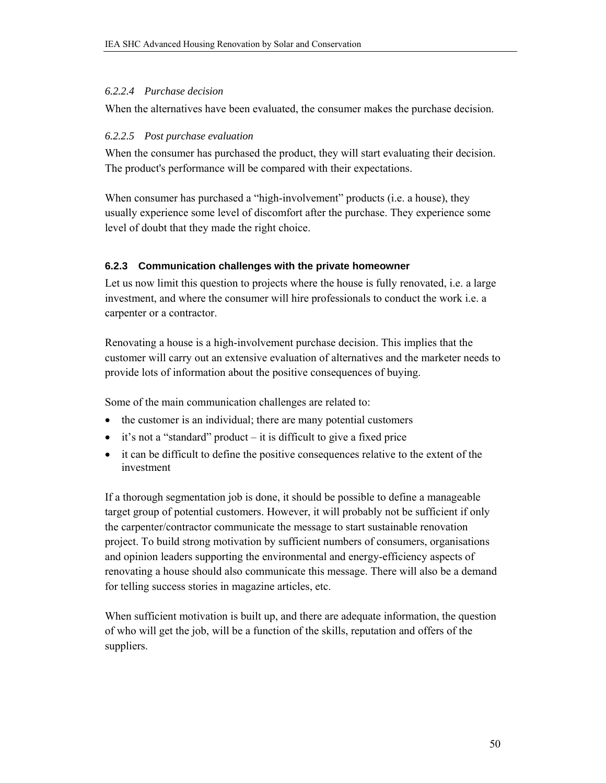#### *6.2.2.4 Purchase decision*

When the alternatives have been evaluated, the consumer makes the purchase decision.

#### *6.2.2.5 Post purchase evaluation*

When the consumer has purchased the product, they will start evaluating their decision. The product's performance will be compared with their expectations.

When consumer has purchased a "high-involvement" products (i.e. a house), they usually experience some level of discomfort after the purchase. They experience some level of doubt that they made the right choice.

### **6.2.3 Communication challenges with the private homeowner**

Let us now limit this question to projects where the house is fully renovated, i.e. a large investment, and where the consumer will hire professionals to conduct the work i.e. a carpenter or a contractor.

Renovating a house is a high-involvement purchase decision. This implies that the customer will carry out an extensive evaluation of alternatives and the marketer needs to provide lots of information about the positive consequences of buying.

Some of the main communication challenges are related to:

- the customer is an individual; there are many potential customers
- $\bullet$  it's not a "standard" product it is difficult to give a fixed price
- it can be difficult to define the positive consequences relative to the extent of the investment

If a thorough segmentation job is done, it should be possible to define a manageable target group of potential customers. However, it will probably not be sufficient if only the carpenter/contractor communicate the message to start sustainable renovation project. To build strong motivation by sufficient numbers of consumers, organisations and opinion leaders supporting the environmental and energy-efficiency aspects of renovating a house should also communicate this message. There will also be a demand for telling success stories in magazine articles, etc.

When sufficient motivation is built up, and there are adequate information, the question of who will get the job, will be a function of the skills, reputation and offers of the suppliers.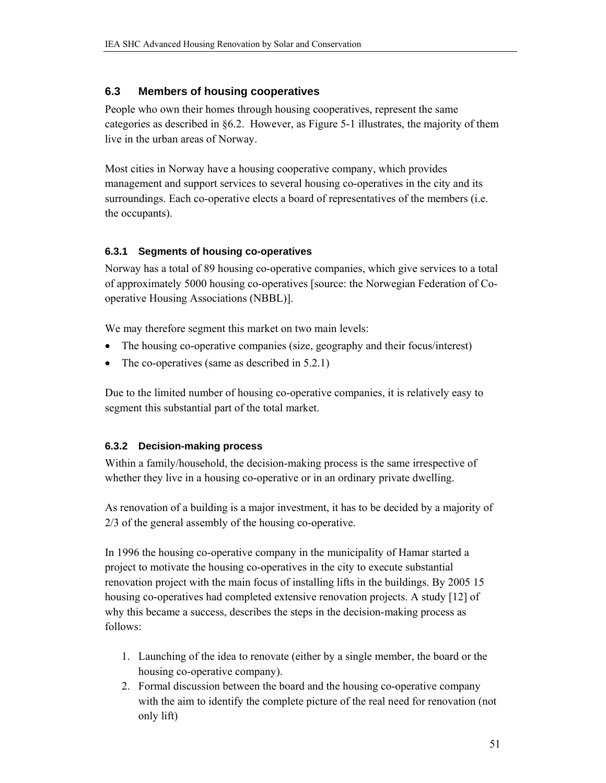### **6.3 Members of housing cooperatives**

People who own their homes through housing cooperatives, represent the same categories as described in §6.2. However, as Figure 5-1 illustrates, the majority of them live in the urban areas of Norway.

Most cities in Norway have a housing cooperative company, which provides management and support services to several housing co-operatives in the city and its surroundings. Each co-operative elects a board of representatives of the members (i.e. the occupants).

### **6.3.1 Segments of housing co-operatives**

Norway has a total of 89 housing co-operative companies, which give services to a total of approximately 5000 housing co-operatives [source: the Norwegian Federation of Cooperative Housing Associations (NBBL)].

We may therefore segment this market on two main levels:

- The housing co-operative companies (size, geography and their focus/interest)
- The co-operatives (same as described in 5.2.1)

Due to the limited number of housing co-operative companies, it is relatively easy to segment this substantial part of the total market.

### **6.3.2 Decision-making process**

Within a family/household, the decision-making process is the same irrespective of whether they live in a housing co-operative or in an ordinary private dwelling.

As renovation of a building is a major investment, it has to be decided by a majority of 2/3 of the general assembly of the housing co-operative.

In 1996 the housing co-operative company in the municipality of Hamar started a project to motivate the housing co-operatives in the city to execute substantial renovation project with the main focus of installing lifts in the buildings. By 2005 15 housing co-operatives had completed extensive renovation projects. A study [12] of why this became a success, describes the steps in the decision-making process as follows:

- 1. Launching of the idea to renovate (either by a single member, the board or the housing co-operative company).
- 2. Formal discussion between the board and the housing co-operative company with the aim to identify the complete picture of the real need for renovation (not only lift)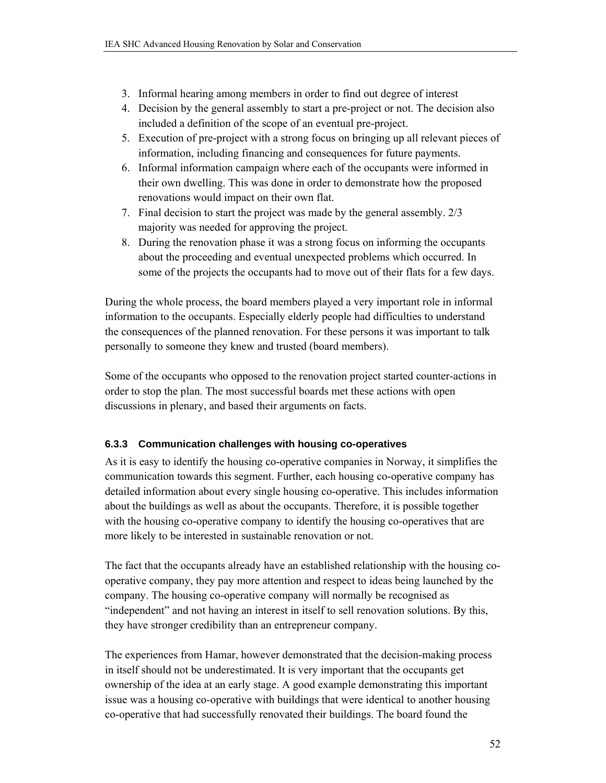- 3. Informal hearing among members in order to find out degree of interest
- 4. Decision by the general assembly to start a pre-project or not. The decision also included a definition of the scope of an eventual pre-project.
- 5. Execution of pre-project with a strong focus on bringing up all relevant pieces of information, including financing and consequences for future payments.
- 6. Informal information campaign where each of the occupants were informed in their own dwelling. This was done in order to demonstrate how the proposed renovations would impact on their own flat.
- 7. Final decision to start the project was made by the general assembly. 2/3 majority was needed for approving the project.
- 8. During the renovation phase it was a strong focus on informing the occupants about the proceeding and eventual unexpected problems which occurred. In some of the projects the occupants had to move out of their flats for a few days.

During the whole process, the board members played a very important role in informal information to the occupants. Especially elderly people had difficulties to understand the consequences of the planned renovation. For these persons it was important to talk personally to someone they knew and trusted (board members).

Some of the occupants who opposed to the renovation project started counter-actions in order to stop the plan. The most successful boards met these actions with open discussions in plenary, and based their arguments on facts.

### **6.3.3 Communication challenges with housing co-operatives**

As it is easy to identify the housing co-operative companies in Norway, it simplifies the communication towards this segment. Further, each housing co-operative company has detailed information about every single housing co-operative. This includes information about the buildings as well as about the occupants. Therefore, it is possible together with the housing co-operative company to identify the housing co-operatives that are more likely to be interested in sustainable renovation or not.

The fact that the occupants already have an established relationship with the housing cooperative company, they pay more attention and respect to ideas being launched by the company. The housing co-operative company will normally be recognised as "independent" and not having an interest in itself to sell renovation solutions. By this, they have stronger credibility than an entrepreneur company.

The experiences from Hamar, however demonstrated that the decision-making process in itself should not be underestimated. It is very important that the occupants get ownership of the idea at an early stage. A good example demonstrating this important issue was a housing co-operative with buildings that were identical to another housing co-operative that had successfully renovated their buildings. The board found the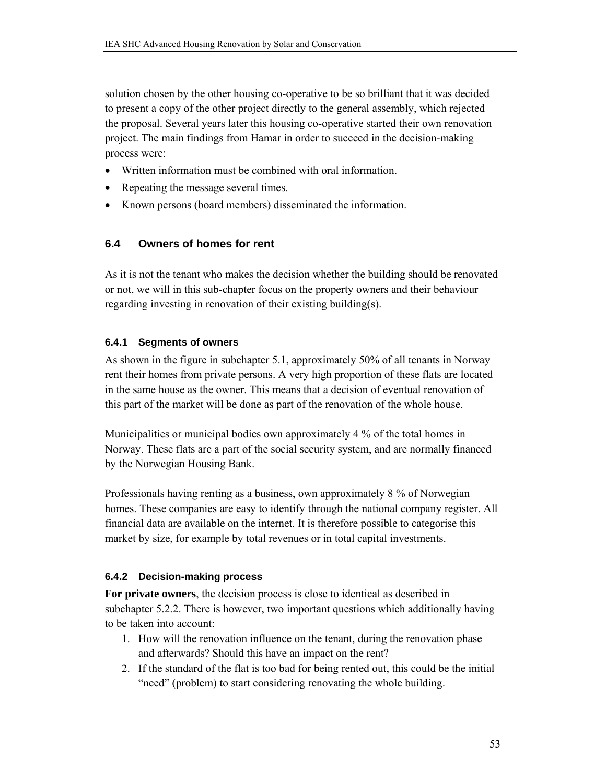solution chosen by the other housing co-operative to be so brilliant that it was decided to present a copy of the other project directly to the general assembly, which rejected the proposal. Several years later this housing co-operative started their own renovation project. The main findings from Hamar in order to succeed in the decision-making process were:

- Written information must be combined with oral information.
- Repeating the message several times.
- Known persons (board members) disseminated the information.

### **6.4 Owners of homes for rent**

As it is not the tenant who makes the decision whether the building should be renovated or not, we will in this sub-chapter focus on the property owners and their behaviour regarding investing in renovation of their existing building(s).

### **6.4.1 Segments of owners**

As shown in the figure in subchapter 5.1, approximately 50% of all tenants in Norway rent their homes from private persons. A very high proportion of these flats are located in the same house as the owner. This means that a decision of eventual renovation of this part of the market will be done as part of the renovation of the whole house.

Municipalities or municipal bodies own approximately 4 % of the total homes in Norway. These flats are a part of the social security system, and are normally financed by the Norwegian Housing Bank.

Professionals having renting as a business, own approximately 8 % of Norwegian homes. These companies are easy to identify through the national company register. All financial data are available on the internet. It is therefore possible to categorise this market by size, for example by total revenues or in total capital investments.

### **6.4.2 Decision-making process**

**For private owners**, the decision process is close to identical as described in subchapter 5.2.2. There is however, two important questions which additionally having to be taken into account:

- 1. How will the renovation influence on the tenant, during the renovation phase and afterwards? Should this have an impact on the rent?
- 2. If the standard of the flat is too bad for being rented out, this could be the initial "need" (problem) to start considering renovating the whole building.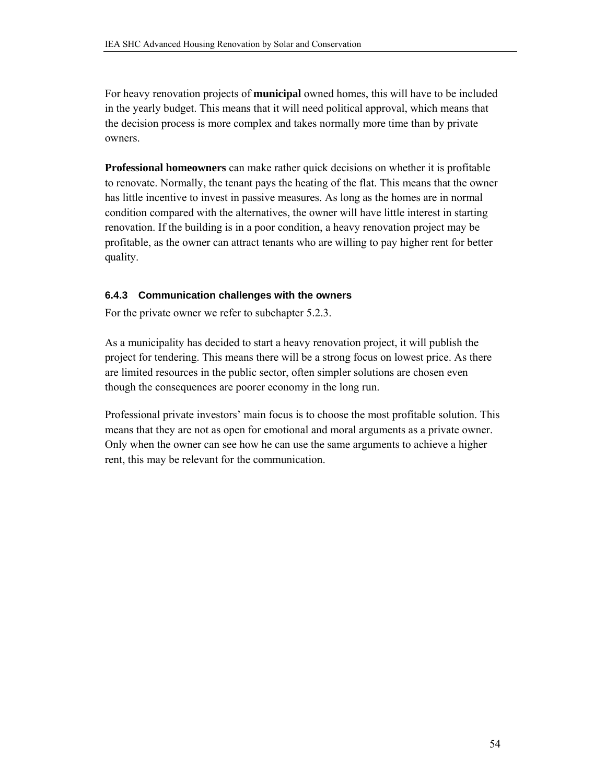For heavy renovation projects of **municipal** owned homes, this will have to be included in the yearly budget. This means that it will need political approval, which means that the decision process is more complex and takes normally more time than by private owners.

**Professional homeowners** can make rather quick decisions on whether it is profitable to renovate. Normally, the tenant pays the heating of the flat. This means that the owner has little incentive to invest in passive measures. As long as the homes are in normal condition compared with the alternatives, the owner will have little interest in starting renovation. If the building is in a poor condition, a heavy renovation project may be profitable, as the owner can attract tenants who are willing to pay higher rent for better quality.

#### **6.4.3 Communication challenges with the owners**

For the private owner we refer to subchapter 5.2.3.

As a municipality has decided to start a heavy renovation project, it will publish the project for tendering. This means there will be a strong focus on lowest price. As there are limited resources in the public sector, often simpler solutions are chosen even though the consequences are poorer economy in the long run.

Professional private investors' main focus is to choose the most profitable solution. This means that they are not as open for emotional and moral arguments as a private owner. Only when the owner can see how he can use the same arguments to achieve a higher rent, this may be relevant for the communication.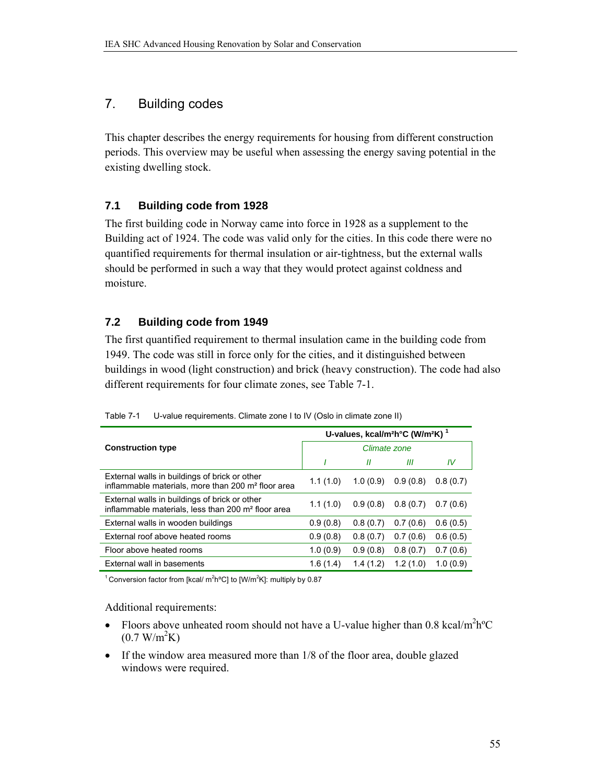### 7. Building codes

This chapter describes the energy requirements for housing from different construction periods. This overview may be useful when assessing the energy saving potential in the existing dwelling stock.

### **7.1 Building code from 1928**

The first building code in Norway came into force in 1928 as a supplement to the Building act of 1924. The code was valid only for the cities. In this code there were no quantified requirements for thermal insulation or air-tightness, but the external walls should be performed in such a way that they would protect against coldness and moisture.

### **7.2 Building code from 1949**

The first quantified requirement to thermal insulation came in the building code from 1949. The code was still in force only for the cities, and it distinguished between buildings in wood (light construction) and brick (heavy construction). The code had also different requirements for four climate zones, see Table 7-1.

|                                                                                                                 | U-values, kcal/m <sup>2</sup> h°C (W/m <sup>2</sup> K) <sup>1</sup> |                   |          |          |  |  |
|-----------------------------------------------------------------------------------------------------------------|---------------------------------------------------------------------|-------------------|----------|----------|--|--|
| <b>Construction type</b>                                                                                        | Climate zone                                                        |                   |          |          |  |  |
|                                                                                                                 |                                                                     | $^{\prime\prime}$ | Ш        | IV       |  |  |
| External walls in buildings of brick or other<br>inflammable materials, more than 200 m <sup>2</sup> floor area | 1.1(1.0)                                                            | 1.0(0.9)          | 0.9(0.8) | 0.8(0.7) |  |  |
| External walls in buildings of brick or other<br>inflammable materials, less than 200 m <sup>2</sup> floor area | 1.1(1.0)                                                            | 0.9(0.8)          | 0.8(0.7) | 0.7(0.6) |  |  |
| External walls in wooden buildings                                                                              | 0.9(0.8)                                                            | 0.8(0.7)          | 0.7(0.6) | 0.6(0.5) |  |  |
| External roof above heated rooms                                                                                | 0.9(0.8)                                                            | 0.8(0.7)          | 0.7(0.6) | 0.6(0.5) |  |  |
| Floor above heated rooms                                                                                        | 1.0(0.9)                                                            | 0.9(0.8)          | 0.8(0.7) | 0.7(0.6) |  |  |
| External wall in basements                                                                                      | 1.6(1.4)                                                            | 1.4(1.2)          | 1.2(1.0) | 1.0(0.9) |  |  |

Table 7-1 U-value requirements. Climate zone I to IV (Oslo in climate zone II)

<sup>1</sup> Conversion factor from [kcal/  $m^2h^oC$ ] to [W/ $m^2K$ ]: multiply by 0.87

Additional requirements:

- Floors above unheated room should not have a U-value higher than 0.8 kcal/m<sup>2</sup>h<sup>o</sup>C  $(0.7 \text{ W/m}^2 \text{K})$
- If the window area measured more than 1/8 of the floor area, double glazed windows were required.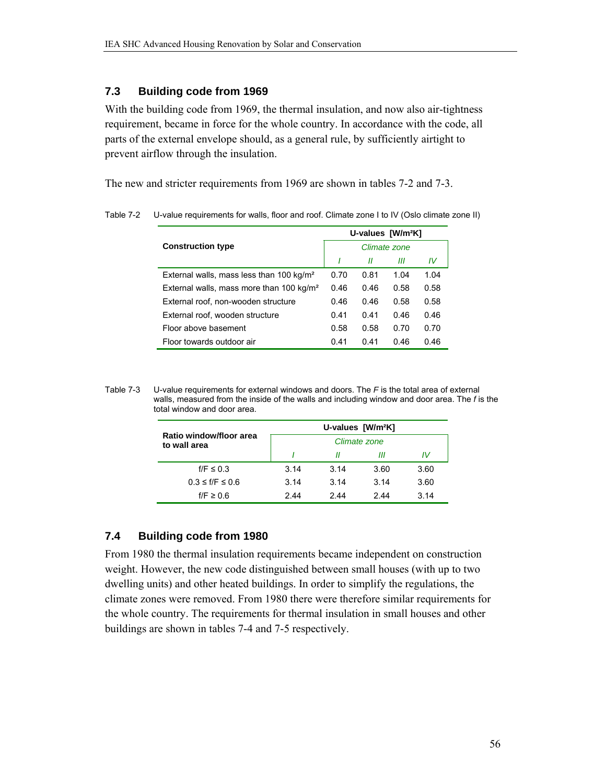### **7.3 Building code from 1969**

With the building code from 1969, the thermal insulation, and now also air-tightness requirement, became in force for the whole country. In accordance with the code, all parts of the external envelope should, as a general rule, by sufficiently airtight to prevent airflow through the insulation.

The new and stricter requirements from 1969 are shown in tables 7-2 and 7-3.

|                                                      | U-values [W/m <sup>2</sup> K] |      |      |      |  |
|------------------------------------------------------|-------------------------------|------|------|------|--|
| <b>Construction type</b>                             | Climate zone                  |      |      |      |  |
|                                                      |                               | П    | Ш    | IV   |  |
| External walls, mass less than 100 kg/m <sup>2</sup> | 0.70                          | 0.81 | 1.04 | 1.04 |  |
| External walls, mass more than 100 kg/m <sup>2</sup> | 0.46                          | 0.46 | 0.58 | 0.58 |  |
| External roof, non-wooden structure                  | 0.46                          | 0.46 | 0.58 | 0.58 |  |
| External roof, wooden structure                      | 0.41                          | 0.41 | 0.46 | 0.46 |  |
| Floor above basement                                 | 0.58                          | 0.58 | 0.70 | 0.70 |  |
| Floor towards outdoor air                            | 0.41                          | 0.41 | 0.46 | 0.46 |  |

Table 7-2 U-value requirements for walls, floor and roof. Climate zone I to IV (Oslo climate zone II)

Table 7-3 U-value requirements for external windows and doors. The *F* is the total area of external walls, measured from the inside of the walls and including window and door area. The *f* is the total window and door area.

|                                         | U-values [W/m <sup>2</sup> K] |      |      |      |  |  |  |
|-----------------------------------------|-------------------------------|------|------|------|--|--|--|
| Ratio window/floor area<br>to wall area | Climate zone                  |      |      |      |  |  |  |
|                                         |                               | Н    | Ш    | IV   |  |  |  |
| $f/F \leq 0.3$                          | 3.14                          | 3.14 | 3.60 | 3.60 |  |  |  |
| $0.3 \le f/F \le 0.6$                   | 3.14                          | 3.14 | 3.14 | 3.60 |  |  |  |
| $f/F \geq 0.6$                          | 2.44                          | 244  | 2 44 | 3.14 |  |  |  |

### **7.4 Building code from 1980**

From 1980 the thermal insulation requirements became independent on construction weight. However, the new code distinguished between small houses (with up to two dwelling units) and other heated buildings. In order to simplify the regulations, the climate zones were removed. From 1980 there were therefore similar requirements for the whole country. The requirements for thermal insulation in small houses and other buildings are shown in tables 7-4 and 7-5 respectively.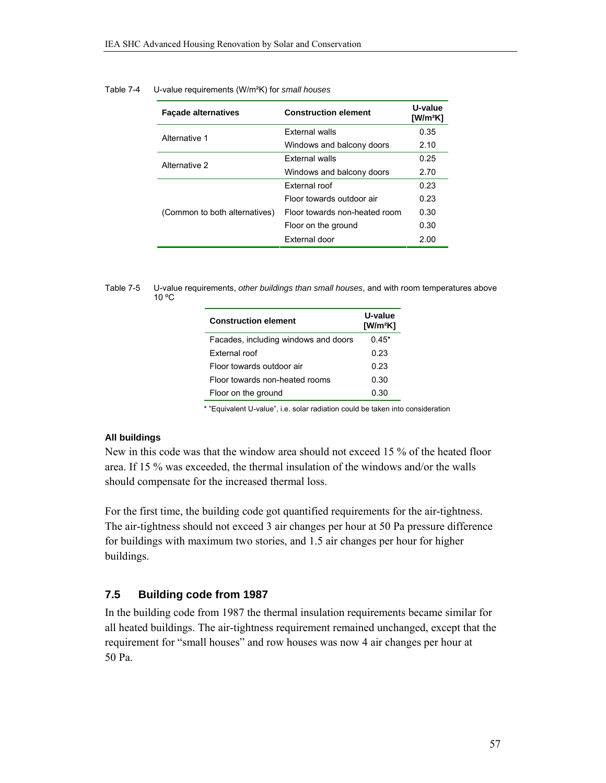| <b>Façade alternatives</b>    | <b>Construction element</b>   | U-value<br>$[W/m^2K]$ |
|-------------------------------|-------------------------------|-----------------------|
| Alternative 1                 | <b>External walls</b>         | 0.35                  |
|                               | Windows and balcony doors     | 2.10                  |
| Alternative 2                 | <b>External walls</b>         | 0.25                  |
|                               | Windows and balcony doors     |                       |
|                               | External roof                 | 0.23                  |
|                               | Floor towards outdoor air     | 0.23                  |
| (Common to both alternatives) | Floor towards non-heated room | 0.30                  |
|                               | Floor on the ground           | 0.30                  |
|                               | External door                 | 2.00                  |

#### Table 7-4 U-value requirements (W/m²K) for *small houses*

Table 7-5 U-value requirements, *other buildings than small houses*, and with room temperatures above 10 ºC

| <b>Construction element</b>          | U-value<br>$[W/m^2K]$ |
|--------------------------------------|-----------------------|
| Facades, including windows and doors | $0.45*$               |
| External roof                        | 0.23                  |
| Floor towards outdoor air            | 0.23                  |
| Floor towards non-heated rooms       | 0.30                  |
| Floor on the ground                  | 0.30                  |

\* "Equivalent U-value", i.e. solar radiation could be taken into consideration

#### **All buildings**

New in this code was that the window area should not exceed 15 % of the heated floor area. If 15 % was exceeded, the thermal insulation of the windows and/or the walls should compensate for the increased thermal loss.

For the first time, the building code got quantified requirements for the air-tightness. The air-tightness should not exceed 3 air changes per hour at 50 Pa pressure difference for buildings with maximum two stories, and 1.5 air changes per hour for higher buildings.

#### **7.5 Building code from 1987**

In the building code from 1987 the thermal insulation requirements became similar for all heated buildings. The air-tightness requirement remained unchanged, except that the requirement for "small houses" and row houses was now 4 air changes per hour at 50 Pa.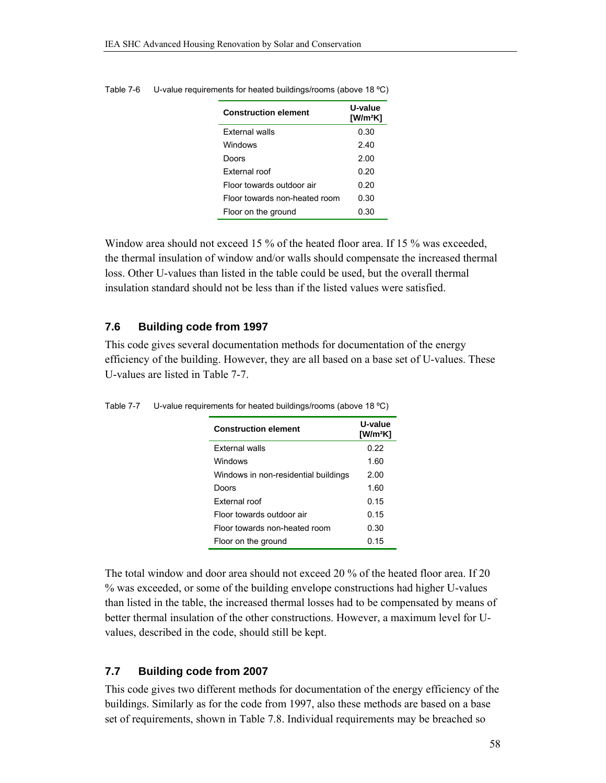| <b>Construction element</b>   | U-value<br>[W/m <sup>2</sup> K] |  |  |  |
|-------------------------------|---------------------------------|--|--|--|
| <b>External walls</b>         | 0.30                            |  |  |  |
| Windows                       | 2.40                            |  |  |  |
| Doors                         | 2.00                            |  |  |  |
| External roof                 | 0.20                            |  |  |  |
| Floor towards outdoor air     | 0.20                            |  |  |  |
| Floor towards non-heated room | 0.30                            |  |  |  |
| Floor on the ground           | 0.30                            |  |  |  |
|                               |                                 |  |  |  |

Table 7-6 U-value requirements for heated buildings/rooms (above 18 ºC)

Window area should not exceed 15 % of the heated floor area. If 15 % was exceeded, the thermal insulation of window and/or walls should compensate the increased thermal loss. Other U-values than listed in the table could be used, but the overall thermal insulation standard should not be less than if the listed values were satisfied.

### **7.6 Building code from 1997**

This code gives several documentation methods for documentation of the energy efficiency of the building. However, they are all based on a base set of U-values. These U-values are listed in Table 7-7.

| <b>Construction element</b>          | U-value<br>$[W/m^2K]$ |  |  |  |
|--------------------------------------|-----------------------|--|--|--|
| <b>External walls</b>                | 0.22                  |  |  |  |
| Windows                              | 1.60                  |  |  |  |
| Windows in non-residential buildings | 2.00                  |  |  |  |
| Doors                                | 1.60                  |  |  |  |
| External roof                        | 0.15                  |  |  |  |
| Floor towards outdoor air            | 0.15                  |  |  |  |
| Floor towards non-heated room        | 0.30                  |  |  |  |
| Floor on the ground                  | 0.15                  |  |  |  |

Table 7-7 U-value requirements for heated buildings/rooms (above 18 °C)

The total window and door area should not exceed 20 % of the heated floor area. If 20 % was exceeded, or some of the building envelope constructions had higher U-values than listed in the table, the increased thermal losses had to be compensated by means of better thermal insulation of the other constructions. However, a maximum level for Uvalues, described in the code, should still be kept.

### **7.7 Building code from 2007**

This code gives two different methods for documentation of the energy efficiency of the buildings. Similarly as for the code from 1997, also these methods are based on a base set of requirements, shown in Table 7.8. Individual requirements may be breached so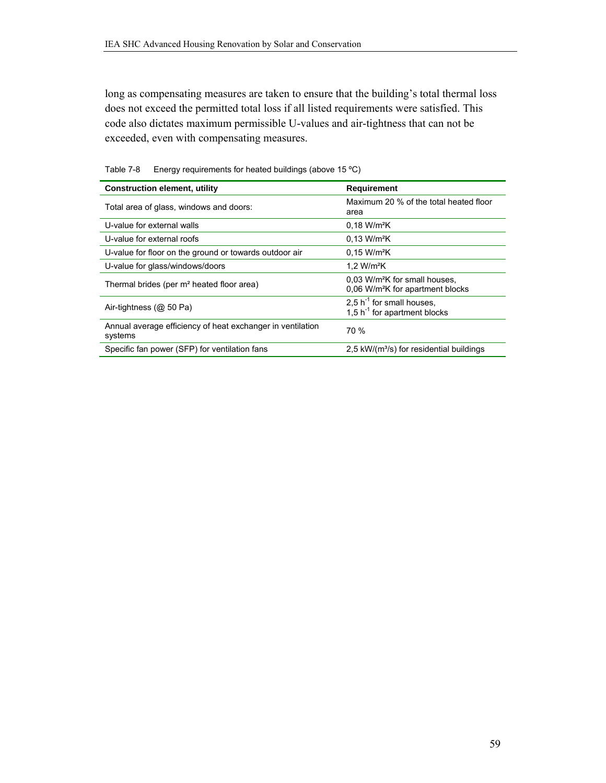long as compensating measures are taken to ensure that the building's total thermal loss does not exceed the permitted total loss if all listed requirements were satisfied. This code also dictates maximum permissible U-values and air-tightness that can not be exceeded, even with compensating measures.

| <b>Construction element, utility</b>                                  | Requirement                                                                               |
|-----------------------------------------------------------------------|-------------------------------------------------------------------------------------------|
| Total area of glass, windows and doors:                               | Maximum 20 % of the total heated floor<br>area                                            |
| U-value for external walls                                            | 0.18 W/m <sup>2</sup> K                                                                   |
| U-value for external roofs                                            | 0.13 W/m <sup>2</sup> K                                                                   |
| U-value for floor on the ground or towards outdoor air                | 0.15 W/m <sup>2</sup> K                                                                   |
| U-value for glass/windows/doors                                       | 1.2 W/m <sup>2</sup> K                                                                    |
| Thermal brides (per m <sup>2</sup> heated floor area)                 | 0.03 W/m <sup>2</sup> K for small houses.<br>0.06 W/m <sup>2</sup> K for apartment blocks |
| Air-tightness $(@ 50 Pa)$                                             | 2,5 $h^{-1}$ for small houses,<br>1,5 $h^{-1}$ for apartment blocks                       |
| Annual average efficiency of heat exchanger in ventilation<br>systems | 70 %                                                                                      |
| Specific fan power (SFP) for ventilation fans                         | $2.5 \text{ kW/(m}^3\text{/s})$ for residential buildings                                 |

Table 7-8 Energy requirements for heated buildings (above 15 °C)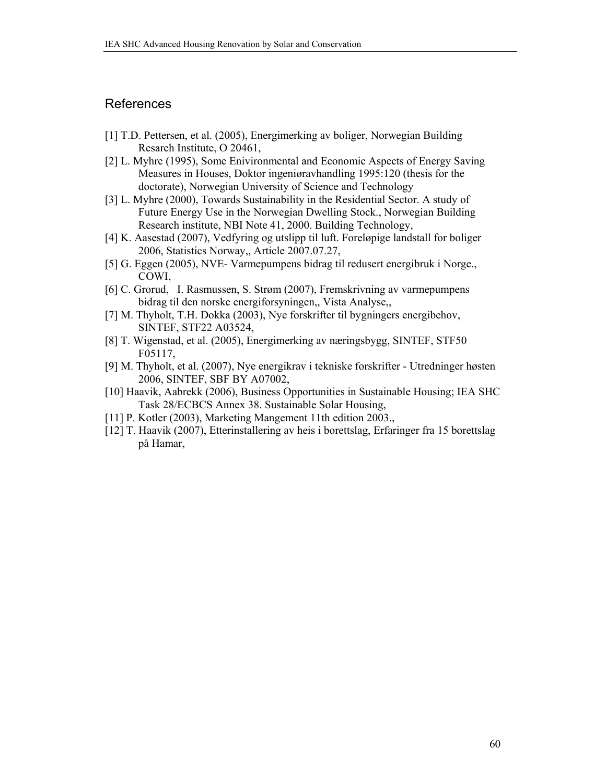### References

- [1] T.D. Pettersen, et al. (2005), Energimerking av boliger, Norwegian Building Resarch Institute, O 20461,
- [2] L. Myhre (1995), Some Enivironmental and Economic Aspects of Energy Saving Measures in Houses, Doktor ingeniøravhandling 1995:120 (thesis for the doctorate), Norwegian University of Science and Technology
- [3] L. Myhre (2000), Towards Sustainability in the Residential Sector. A study of Future Energy Use in the Norwegian Dwelling Stock., Norwegian Building Research institute, NBI Note 41, 2000. Building Technology,
- [4] K. Aasestad (2007), Vedfyring og utslipp til luft. Foreløpige landstall for boliger 2006, Statistics Norway,, Article 2007.07.27,
- [5] G. Eggen (2005), NVE- Varmepumpens bidrag til redusert energibruk i Norge., COWI,
- [6] C. Grorud, I. Rasmussen, S. Strøm (2007), Fremskrivning av varmepumpens bidrag til den norske energiforsyningen,, Vista Analyse,,
- [7] M. Thyholt, T.H. Dokka (2003), Nye forskrifter til bygningers energibehov, SINTEF, STF22 A03524,
- [8] T. Wigenstad, et al. (2005), Energimerking av næringsbygg, SINTEF, STF50 F05117,
- [9] M. Thyholt, et al. (2007), Nye energikrav i tekniske forskrifter Utredninger høsten 2006, SINTEF, SBF BY A07002,
- [10] Haavik, Aabrekk (2006), Business Opportunities in Sustainable Housing; IEA SHC Task 28/ECBCS Annex 38. Sustainable Solar Housing,
- [11] P. Kotler (2003), Marketing Mangement 11th edition 2003.,
- [12] T. Haavik (2007), Etterinstallering av heis i borettslag, Erfaringer fra 15 borettslag på Hamar,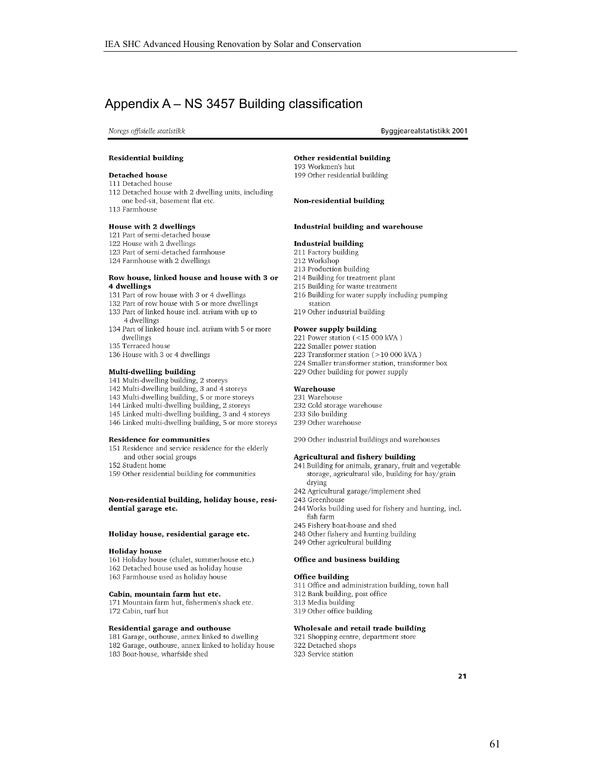### Appendix A – NS 3457 Building classification

Noregs offisielle statistikk

Byggjearealstatistikk 2001

#### **Residential building**

#### **Detached house**

- 111 Detached house
- 112 Detached house with 2 dwelling units, including
- one bed-sit, basement flat etc.

113 Farmhouse

- House with 2 dwellings
- 121 Part of semi-detached house
- 122 House with 2 dwellings
- 123 Part of semi-detached farmhouse
- 124 Farmhouse with 2 dwellings

#### Row house, linked house and house with 3 or 4 dwellings

- 131 Part of row house with 3 or 4 dwellings
- 132 Part of row house with 5 or more dwellings
- 133 Part of linked house incl. atrium with up to 4 dwellings
- 134 Part of linked house incl. atrium with 5 or more dwellings
- 135 Terraced house
- 136 House with 3 or 4 dwellings

#### Multi-dwelling building

- 141 Multi-dwelling building, 2 storeys
- 142 Multi-dwelling building, 3 and 4 storeys
- 143 Multi-dwelling building, 5 or more storeys
- 144 Linked multi-dwelling building, 2 storeys
- 145 Linked multi-dwelling building, 3 and 4 storeys
- 146 Linked multi-dwelling building, 5 or more storeys

#### **Residence for communities**

151 Residence and service residence for the elderly and other social groups

152 Student home

159 Other residential building for communities

#### Non-residential building, holiday house, residential garage etc.

#### Holiday house, residential garage etc.

#### **Holiday** house

161 Holiday house (chalet, summerhouse etc.) 162 Detached house used as holiday house 163 Farmhouse used as holiday house

#### Cabin, mountain farm hut etc.

171 Mountain farm hut, fishermen's shack etc. 172 Cabin, turf hut

#### Residential garage and outhouse

181 Garage, outhouse, annex linked to dwelling 182 Garage, outhouse, annex linked to holiday house 183 Boat-house, wharfside shed

Other residential building 193 Workmen's hut 199 Other residential building

#### Non-residential building

#### Industrial building and warehouse

#### **Industrial building**

- 211 Factory building
- 212 Workshop 213 Production building
- 214 Building for treatment plant
- 215 Building for waste treatment
- 216 Building for water supply including pumping station
- 219 Other industrial building

#### Power supply building

- 221 Power station (<15 000 kVA)
- 222 Smaller power station
- 223 Transformer station (>10 000 kVA)
- 224 Smaller transformer station, transformer box
- 229 Other building for power supply

#### Warehouse

- 231 Warehouse
- 232 Cold storage warehouse
- 233 Silo building 239 Other warehouse

290 Other industrial buildings and warehouses

#### Agricultural and fishery building

- 241 Building for animals, granary, fruit and vegetable storage, agricultural silo, building for hay/grain drying
- 242 Agricultural garage/implement shed
- 243 Greenhouse
- 244 Works building used for fishery and hunting, incl. fish farm
- 245 Fishery boat-house and shed
- 248 Other fishery and hunting building 249 Other agricultural building
- 

#### Office and business building

#### **Office building**

- 311 Office and administration building, town hall 312 Bank building, post office 313 Media building
- 319 Other office building

#### Wholesale and retail trade building

321 Shopping centre, department store 322 Detached shops 323 Service station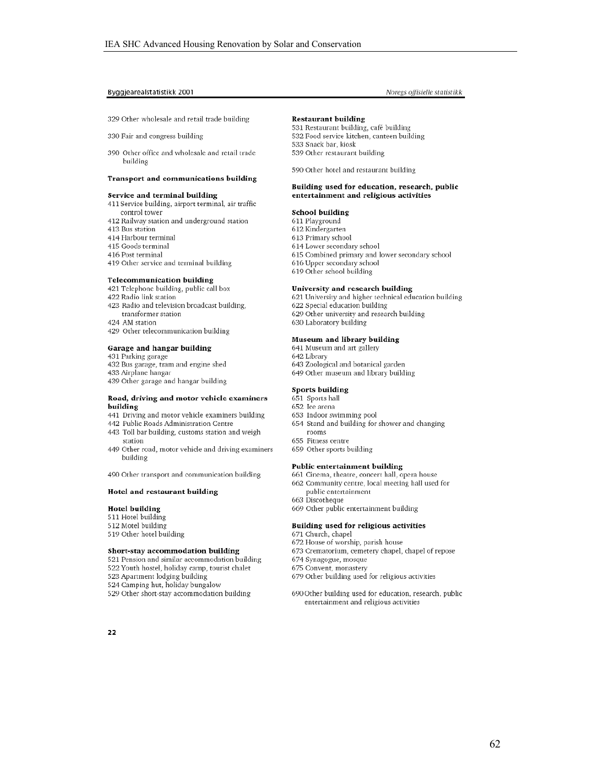#### Byggjearealstatistikk 2001

329 Other wholesale and retail trade building

330 Fair and congress building

390 Other office and wholesale and retail trade building

#### Transport and communications building

#### Service and terminal building

- 411 Service building, airport terminal, air traffic control tower
- 412 Railway station and underground station
- 413 Bus station
- 414 Harbour terminal
- 415 Goods terminal
- 416 Post terminal
- 419 Other service and terminal building

#### **Telecommunication building**

- 421 Telephone building, public call box
- 422 Radio link station
- 423 Radio and television broadcast building, transformer station
- 424 AM station
- 429 Other telecommunication building

#### Garage and hangar building

- 431 Parking garage
- 432 Bus garage, tram and engine shed
- 433 Airplane hangar
- 439 Other garage and hangar building

#### Road, driving and motor vehicle examiners building

- 441 Driving and motor vehicle examiners building
- 442 Public Roads Administration Centre
- 443 Toll bar building, customs station and weigh station
- 449 Other road, motor vehicle and driving examiners building

490 Other transport and communication building

#### Hotel and restaurant building

#### **Hotel building**

- 511 Hotel building
- 512 Motel building
- 519 Other hotel building
- Short-stay accommodation building
- 521 Pension and similar accommodation building
- 522 Youth hostel, holiday camp, tourist chalet
- 523 Apartment lodging building
- 524 Camping hut, holiday bungalow
- 529 Other short-stay accommodation building

# Noregs offisielle statistikk

#### **Restaurant building**

531 Restaurant building, café building 532 Food service kitchen, canteen building 533 Snack bar, kiosk 539 Other restaurant building

590 Other hotel and restaurant building

#### Building used for education, research, public entertainment and religious activities

#### School building

- 611 Playground
- 612 Kindergarten
- 613 Primary school 614 Lower secondary school
- 
- 615 Combined primary and lower secondary school
- 616 Upper secondary school 619 Other school building

#### University and research building

- 621 University and higher technical education building
- 622 Special education building
- 629 Other university and research building
- 630 Laboratory building

#### Museum and library building

- 641 Museum and art gallery
- 642 Library
- 643 Zoological and botanical garden 649 Other museum and library building
- 

#### **Sports building**

- 651 Sports hall
- 652 Ice arena
- 653 Indoor swimming pool
- 654 Stand and building for shower and changing rooms
- 655 Fitness centre
	- 659 Other sports building

#### Public entertainment building

- 661 Cinema, theatre, concert hall, opera house 662 Community centre, local meeting hall used for public entertainment
- 663 Discotheque
- 669 Other public entertainment building

#### Building used for religious activities

- 671 Church, chapel
- 672 House of worship, parish house
- 673 Crematorium, cemetery chapel, chapel of repose
- 674 Synagogue, mosque
- 675 Convent, monastery
- 679 Other building used for religious activities
- 690 Other building used for education, research, public entertainment and religious activities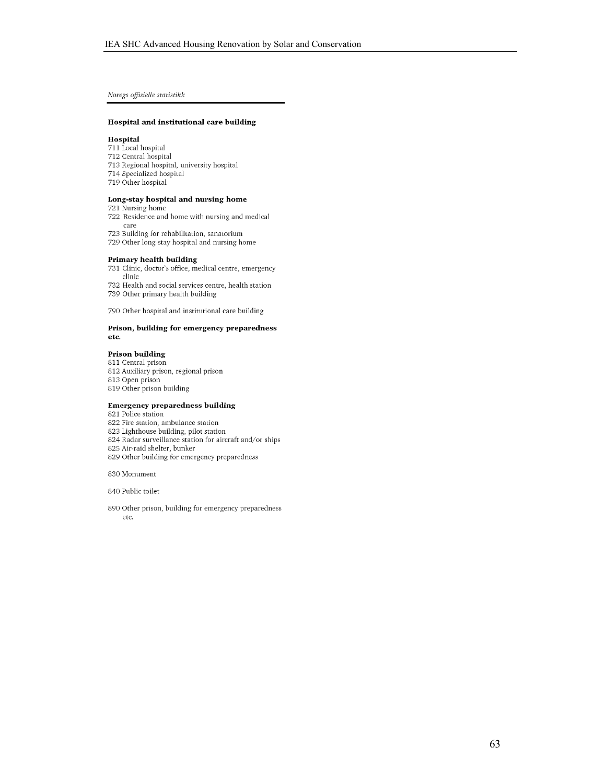Noregs offisielle statistikk

#### Hospital and institutional care building

#### Hospital

- 711 Local hospital
- 712 Central hospital
- 713 Regional hospital, university hospital 714 Specialized hospital
- 719 Other hospital
- 

#### Long-stay hospital and nursing home

721 Nursing home

- 722 Residence and home with nursing and medical care
- 723 Building for rehabilitation, sanatorium
- 729 Other long-stay hospital and nursing home

#### Primary health building

731 Clinic, doctor's office, medical centre, emergency clinic

732 Health and social services centre, health station 739 Other primary health building

790 Other hospital and institutional care building

#### Prison, building for emergency preparedness etc.

#### Prison building

811 Central prison 812 Auxiliary prison, regional prison 813 Open prison 819 Other prison building

#### **Emergency preparedness building**

821 Police station

822 Fire station, ambulance station

- 823 Lighthouse building, pilot station
- 824 Radar surveillance station for aircraft and/or ships

825 Air-raid shelter, bunker

829 Other building for emergency preparedness

830 Monument

840 Public toilet

890 Other prison, building for emergency preparedness etc.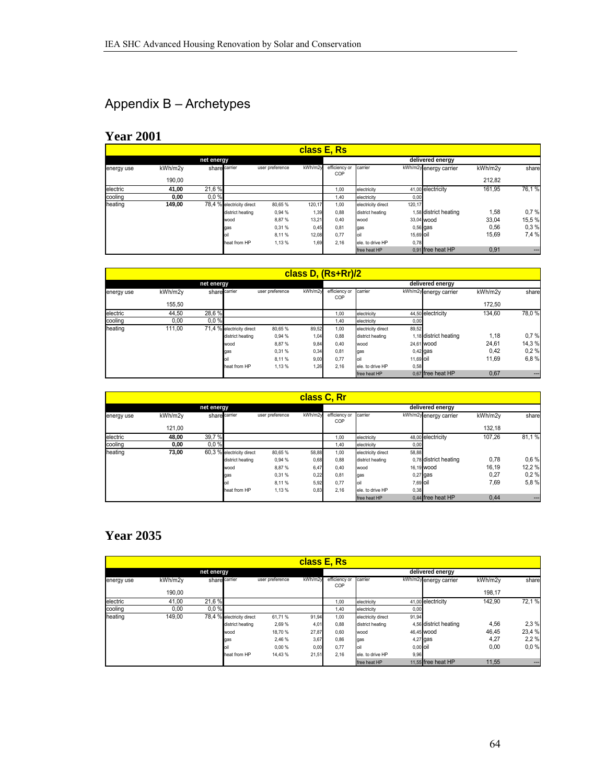# Appendix B – Archetypes

### **Year 2001**

|            |         |                           |                 | class E, Rs |                      |                    |                        |         |       |  |
|------------|---------|---------------------------|-----------------|-------------|----------------------|--------------------|------------------------|---------|-------|--|
|            |         | net energy                |                 |             | delivered energy     |                    |                        |         |       |  |
| energy use | kWh/m2v | share carrier             | user preference | kWh/m2v     | efficiency or<br>COP | carrier            | kWh/m2y energy carrier | kWh/m2v | share |  |
|            | 190.00  |                           |                 |             |                      |                    |                        | 212.82  |       |  |
| electric   | 41,00   | 21.6%                     |                 |             | 1,00                 | electricity        | 41,00 electricity      | 161.95  | 76,1% |  |
| cooling    | 0,00    | 0.0%                      |                 |             | 1,40                 | electricity        | 0,00                   |         |       |  |
| heating    | 149,00  | 78,4 % electricity direct | 80,65%          | 120,17      | 1,00                 | electricity direct | 120,17                 |         |       |  |
|            |         | district heating          | 0,94 %          | 1,39        | 0,88                 | district heating   | 1,58 district heating  | 1,58    | 0.7%  |  |
|            |         | wood                      | 8,87%           | 13,21       | 0,40                 | wood               | 33.04 wood             | 33,04   | 15,5% |  |
|            |         | gas                       | 0.31 %          | 0,45        | 0,81                 | gas                | $0,56$ gas             | 0,56    | 0.3%  |  |
|            |         |                           | 8.11 %          | 12,08       | 0,77                 | loil               | 15,69 oil              | 15,69   | 7,4 % |  |
|            |         | heat from HP              | 1,13%           | 1,69        | 2,16                 | ele, to drive HP   | 0,78                   |         |       |  |
|            |         |                           |                 |             |                      | free heat HP       | 0.91 free heat HP      | 0,91    | ---   |  |

|            |         |                           |                 |         | class D, (Rs+Rr)/2   |                    |                        |         |       |
|------------|---------|---------------------------|-----------------|---------|----------------------|--------------------|------------------------|---------|-------|
|            |         | net energy                |                 |         | delivered energy     |                    |                        |         |       |
| energy use | kWh/m2v | share carrier             | user preference | kWh/m2y | efficiency or<br>COP | carrier            | kWh/m2y energy carrier | kWh/m2v | share |
|            | 155.50  |                           |                 |         |                      |                    |                        | 172.50  |       |
| electric   | 44.50   | 28,6%                     |                 |         | 1,00                 | electricity        | 44,50 electricity      | 134.60  | 78,0% |
| cooling    | 0.00    | 0.0%                      |                 |         | 1.40                 | electricity        | 0,00                   |         |       |
| heating    | 111.00  | 71,4 % electricity direct | 80.65 %         | 89,52   | 1,00                 | electricity direct | 89,52                  |         |       |
|            |         | district heating          | 0,94 %          | 1,04    | 0,88                 | district heating   | 1,18 district heating  | 1,18    | 0.7%  |
|            |         | wood                      | 8.87%           | 9,84    | 0,40                 | lwood              | 24.61 wood             | 24,61   | 14,3% |
|            |         | qas                       | 0,31%           | 0,34    | 0,81                 | gas                | $0.42$ gas             | 0,42    | 0.2%  |
|            |         |                           | 8.11%           | 9,00    | 0,77                 | oil                | 11.69 <b>Oil</b>       | 11.69   | 6,8%  |
|            |         | heat from HP              | 1,13%           | 1,26    | 2,16                 | ele, to drive HP   | 0,58                   |         |       |
|            |         |                           |                 |         |                      | free heat HP       | 0.67 free heat HP      | 0,67    | ---   |

|            | class C, Rr |                           |                 |                  |                      |                    |                        |         |       |  |  |  |  |
|------------|-------------|---------------------------|-----------------|------------------|----------------------|--------------------|------------------------|---------|-------|--|--|--|--|
|            |             | net energy                |                 | delivered energy |                      |                    |                        |         |       |  |  |  |  |
| energy use | kWh/m2v     | share carrier             | user preference | kWh/m2y          | efficiency or<br>COP | carrier            | kWh/m2y energy carrier | kWh/m2v | share |  |  |  |  |
|            | 121.00      |                           |                 |                  |                      |                    |                        | 132.18  |       |  |  |  |  |
| electric   | 48.00       | 39,7%                     |                 |                  | 1,00                 | electricity        | 48,00 electricity      | 107.26  | 81,1% |  |  |  |  |
| cooling    | 0,00        | 0.0%                      |                 |                  | 1,40                 | electricity        | 0,00                   |         |       |  |  |  |  |
| heating    | 73,00       | 60,3 % electricity direct | 80,65%          | 58,88            | 1,00                 | electricity direct | 58,88                  |         |       |  |  |  |  |
|            |             | district heating          | 0,94 %          | 0,68             | 0,88                 | district heating   | 0.78 district heating  | 0,78    | 0.6%  |  |  |  |  |
|            |             | wood                      | 8.87%           | 6,47             | 0,40                 | wood               | 16.19 wood             | 16.19   | 12,2% |  |  |  |  |
|            |             | gas                       | 0,31%           | 0,22             | 0,81                 | gas                | $0,27$ gas             | 0,27    | 0.2%  |  |  |  |  |
|            |             |                           | 8.11%           | 5,92             | 0,77                 | oil                | 7,69 oil               | 7,69    | 5,8%  |  |  |  |  |
|            |             | heat from HP              | 1,13 %          | 0,83             | 2,16                 | lele. to drive HP  | 0,38                   |         |       |  |  |  |  |
|            |             |                           |                 |                  |                      | free heat HP       | 0.44 free heat HP      | 0,44    | ---   |  |  |  |  |

# **Year 2035**

|            |         |                           |                 | class E, Rs |                      |                    |                        |         |        |
|------------|---------|---------------------------|-----------------|-------------|----------------------|--------------------|------------------------|---------|--------|
|            |         | net energy                |                 |             | delivered energy     |                    |                        |         |        |
| energy use | kWh/m2v | share carrier             | user preference | kWh/m2y     | efficiency or<br>COP | carrier            | kWh/m2y energy carrier | kWh/m2v | share  |
|            | 190.00  |                           |                 |             |                      |                    |                        | 198,17  |        |
| electric   | 41,00   | 21,6%                     |                 |             | 1,00                 | electricity        | 41,00 electricity      | 142,90  | 72,1%  |
| coolina    | 0,00    | 0.0%                      |                 |             | 1,40                 | electricity        | 0,00                   |         |        |
| heating    | 149.00  | 78,4 % electricity direct | 61.71%          | 91,94       | 1,00                 | electricity direct | 91,94                  |         |        |
|            |         | district heating          | 2,69 %          | 4,01        | 0,88                 | district heating   | 4,56 district heating  | 4,56    | 2,3 %  |
|            |         | wood                      | 18.70 %         | 27,87       | 0,60                 | wood               | 46.45 wood             | 46,45   | 23,4 % |
|            |         | gas                       | 2.46 %          | 3,67        | 0,86                 | gas                | 4,27 gas               | 4,27    | 2.2%   |
|            |         | loil                      | 0.00%           | 0,00        | 0,77                 | loil               | 0,00 oil               | 0,00    | 0.0%   |
|            |         | heat from HP              | 14,43%          | 21,51       | 2,16                 | ele. to drive HP   | 9,96                   |         |        |
|            |         |                           |                 |             |                      | free heat HP       | 11,55 free heat HP     | 11,55   | ---    |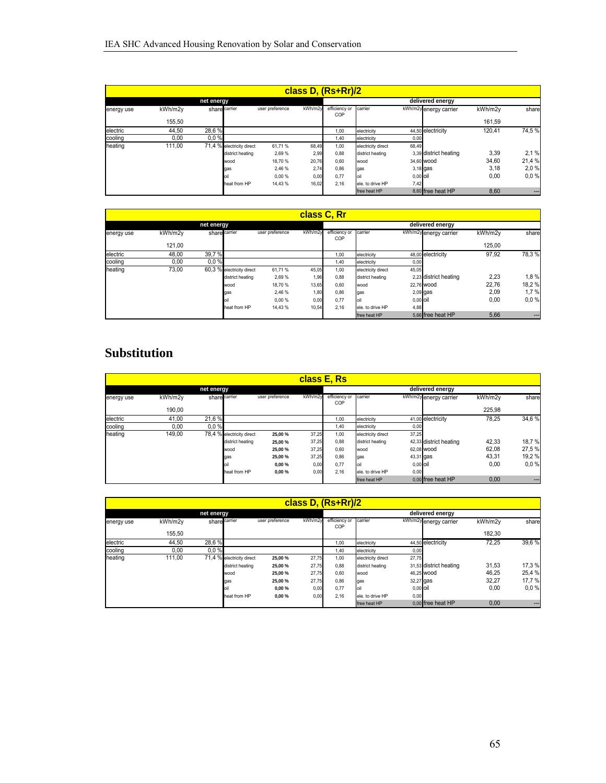|            | class D, (Rs+Rr)/2 |                           |                 |                  |                      |                    |                        |         |        |  |  |  |  |
|------------|--------------------|---------------------------|-----------------|------------------|----------------------|--------------------|------------------------|---------|--------|--|--|--|--|
|            |                    | net energy                |                 | delivered energy |                      |                    |                        |         |        |  |  |  |  |
| energy use | kWh/m2v            | share carrier             | user preference | kWh/m2y          | efficiency or<br>COP | carrier            | kWh/m2y energy carrier | kWh/m2v | share  |  |  |  |  |
|            | 155.50             |                           |                 |                  |                      |                    |                        | 161,59  |        |  |  |  |  |
| electric   | 44.50              | 28.6%                     |                 |                  | 1,00                 | electricity        | 44,50 electricity      | 120.41  | 74,5%  |  |  |  |  |
| cooling    | 0,00               | 0.0%                      |                 |                  | 1,40                 | electricity        | 0,00                   |         |        |  |  |  |  |
| heating    | 111.00             | 71,4 % electricity direct | 61,71%          | 68,49            | 1,00                 | electricity direct | 68,49                  |         |        |  |  |  |  |
|            |                    | district heating          | 2,69 %          | 2,99             | 0,88                 | district heating   | 3,39 district heating  | 3,39    | 2,1%   |  |  |  |  |
|            |                    | wood                      | 18.70 %         | 20,76            | 0,60                 | Iwood              | 34.60 wood             | 34,60   | 21,4 % |  |  |  |  |
|            |                    | gas                       | 2,46 %          | 2,74             | 0,86                 | gas                | $3,18$ gas             | 3,18    | 2,0%   |  |  |  |  |
|            |                    |                           | 0,00%           | 0,00             | 0,77                 | oil                | $0.00$ oil             | 0,00    | 0.0%   |  |  |  |  |
|            |                    | heat from HP              | 14.43 %         | 16,02            | 2,16                 | ele, to drive HP   | 7,42                   |         |        |  |  |  |  |
|            |                    |                           |                 |                  |                      | free heat HP       | 8,60 free heat HP      | 8,60    | ---    |  |  |  |  |

|            | class C, Rr |                           |                 |                  |                      |                    |                        |         |                   |  |  |  |  |  |
|------------|-------------|---------------------------|-----------------|------------------|----------------------|--------------------|------------------------|---------|-------------------|--|--|--|--|--|
|            |             | net energy                |                 | delivered energy |                      |                    |                        |         |                   |  |  |  |  |  |
| energy use | kWh/m2v     | share carrier             | user preference | kWh/m2y          | efficiency or<br>COP | carrier            | kWh/m2y energy carrier | kWh/m2y | share             |  |  |  |  |  |
|            | 121.00      |                           |                 |                  |                      |                    |                        | 125.00  |                   |  |  |  |  |  |
| electric   | 48,00       | 39,7%                     |                 |                  | 1,00                 | electricity        | 48,00 electricity      | 97,92   | 78,3%             |  |  |  |  |  |
| cooling    | 0,00        | 0.0%                      |                 |                  | 1,40                 | electricity        | 0,00                   |         |                   |  |  |  |  |  |
| heating    | 73,00       | 60,3 % electricity direct | 61,71%          | 45,05            | 1,00                 | electricity direct | 45,05                  |         |                   |  |  |  |  |  |
|            |             | district heating          | 2,69 %          | 1,96             | 0,88                 | district heating   | 2.23 district heating  | 2,23    | 1,8%              |  |  |  |  |  |
|            |             | wood                      | 18.70 %         | 13,65            | 0,60                 | wood               | 22.76 wood             | 22.76   | 18,2%             |  |  |  |  |  |
|            |             | gas                       | 2.46 %          | 1,80             | 0,86                 | gas                | $2,09$ gas             | 2,09    | 1,7%              |  |  |  |  |  |
|            |             |                           | 0.00%           | 0,00             | 0,77                 |                    | $0,00$ oil             | 0,00    | 0.0%              |  |  |  |  |  |
|            |             | heat from HP              | 14,43%          | 10,54            | 2,16                 | ele, to drive HP   | 4,88                   |         |                   |  |  |  |  |  |
|            |             |                           |                 |                  |                      | free heat HP       | 5,66 free heat HP      | 5,66    | $\qquad \qquad -$ |  |  |  |  |  |

### **Substitution**

|            | class E, Rs<br>delivered energy |                           |                 |         |                      |                    |                        |         |       |  |  |  |  |  |
|------------|---------------------------------|---------------------------|-----------------|---------|----------------------|--------------------|------------------------|---------|-------|--|--|--|--|--|
|            |                                 | net energy                |                 |         |                      |                    |                        |         |       |  |  |  |  |  |
| energy use | kWh/m2v                         | share carrier             | user preference | kWh/m2v | efficiency or<br>COP | carrier            | kWh/m2y energy carrier | kWh/m2y | share |  |  |  |  |  |
|            | 190,00                          |                           |                 |         |                      |                    |                        | 225.98  |       |  |  |  |  |  |
| electric   | 41,00                           | 21,6%                     |                 |         | 1,00                 | electricity        | 41,00 electricity      | 78.25   | 34,6% |  |  |  |  |  |
| cooling    | 0,00                            | 0.0%                      |                 |         | 1,40                 | electricity        | 0,00                   |         |       |  |  |  |  |  |
| heating    | 149,00                          | 78,4 % electricity direct | 25,00 %         | 37,25   | 1,00                 | electricity direct | 37,25                  |         |       |  |  |  |  |  |
|            |                                 | district heating          | 25,00 %         | 37,25   | 0,88                 | district heating   | 42,33 district heating | 42,33   | 18,7% |  |  |  |  |  |
|            |                                 | wood                      | 25.00 %         | 37,25   | 0,60                 | wood               | 62.08 wood             | 62.08   | 27,5% |  |  |  |  |  |
|            |                                 | gas                       | 25.00 %         | 37,25   | 0,86                 | gas                | 43,31 gas              | 43,31   | 19,2% |  |  |  |  |  |
|            |                                 |                           | 0,00%           | 0,00    | 0,77                 |                    | 0,00 oil               | 0,00    | 0.0%  |  |  |  |  |  |
|            |                                 | heat from HP              | 0,00%           | 0,00    | 2,16                 | ele, to drive HP   | 0,00                   |         |       |  |  |  |  |  |
|            |                                 |                           |                 |         |                      | free heat HP       | 0.00 free heat HP      | 0,00    | $--$  |  |  |  |  |  |

|            | class D, (Rs+Rr)/2 |                           |                 |         |                      |                    |                        |         |        |  |  |  |  |
|------------|--------------------|---------------------------|-----------------|---------|----------------------|--------------------|------------------------|---------|--------|--|--|--|--|
|            |                    | net energy                |                 |         | delivered energy     |                    |                        |         |        |  |  |  |  |
| energy use | kWh/m2v            | share carrier             | user preference | kWh/m2v | efficiency or<br>COP | carrier            | kWh/m2y energy carrier | kWh/m2v | share  |  |  |  |  |
|            | 155.50             |                           |                 |         |                      |                    |                        | 182.30  |        |  |  |  |  |
| electric   | 44,50              | 28,6%                     |                 |         | 1,00                 | electricity        | 44,50 electricity      | 72,25   | 39,6%  |  |  |  |  |
| cooling    | 0,00               | 0.0%                      |                 |         | 1,40                 | electricity        | 0,00                   |         |        |  |  |  |  |
| heating    | 111.00             | 71,4 % electricity direct | 25,00 %         | 27,75   | 1,00                 | electricity direct | 27,75                  |         |        |  |  |  |  |
|            |                    | district heating          | 25,00 %         | 27,75   | 0,88                 | district heating   | 31,53 district heating | 31,53   | 17,3 % |  |  |  |  |
|            |                    | wood                      | 25.00 %         | 27,75   | 0,60                 | wood               | 46.25 wood             | 46,25   | 25,4 % |  |  |  |  |
|            |                    | gas                       | 25.00 %         | 27,75   | 0,86                 | gas                | 32,27 gas              | 32.27   | 17,7 % |  |  |  |  |
|            |                    |                           | 0,00%           | 0,00    | 0,77                 | loil               | $0,00$ oil             | 0,00    | 0.0%   |  |  |  |  |
|            |                    | heat from HP              | 0,00%           | 0,00    | 2,16                 | ele, to drive HP   | 0,00                   |         |        |  |  |  |  |
|            |                    |                           |                 |         |                      | free heat HP       | 0.00 free heat HP      | 0,00    |        |  |  |  |  |